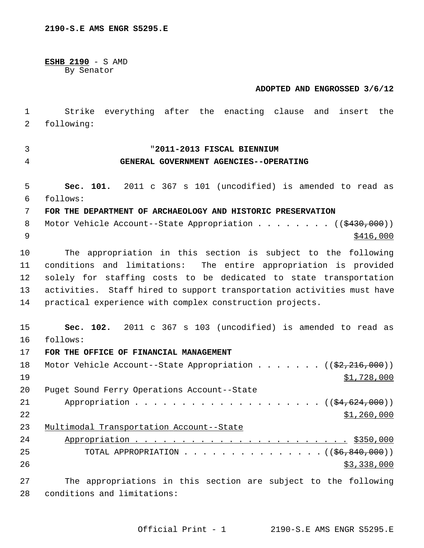**ESHB 2190** - S AMD By Senator

#### **ADOPTED AND ENGROSSED 3/6/12**

 1 Strike everything after the enacting clause and insert the 2 following:

3 "**2011-2013 FISCAL BIENNIUM**

## 4 **GENERAL GOVERNMENT AGENCIES--OPERATING**

 5 **Sec. 101.** 2011 c 367 s 101 (uncodified) is amended to read as 6 follows: 7 **FOR THE DEPARTMENT OF ARCHAEOLOGY AND HISTORIC PRESERVATION** 8 Motor Vehicle Account--State Appropriation . . . . . . . ((\$430,000))  $\frac{$416,000}{ }$ 10 The appropriation in this section is subject to the following 11 conditions and limitations: The entire appropriation is provided 12 solely for staffing costs to be dedicated to state transportation 13 activities. Staff hired to support transportation activities must have 14 practical experience with complex construction projects.

15 **Sec. 102.** 2011 c 367 s 103 (uncodified) is amended to read as 16 follows:

17 **FOR THE OFFICE OF FINANCIAL MANAGEMENT**

| 18 | Motor Vehicle Account--State Appropriation ((\$2,216,000))     |
|----|----------------------------------------------------------------|
| 19 | \$1,728,000                                                    |
| 20 | Puget Sound Ferry Operations Account--State                    |
| 21 |                                                                |
| 22 | \$1,260,000                                                    |
| 23 | Multimodal Transportation Account--State                       |
| 24 |                                                                |
| 25 | TOTAL APPROPRIATION $($ $($ $\frac{6}{6}$ , $\frac{840}{100})$ |
| 26 | \$3,338,000                                                    |
|    |                                                                |

27 The appropriations in this section are subject to the following 28 conditions and limitations: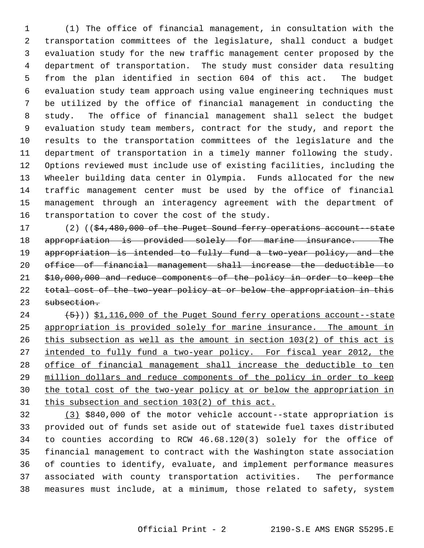1 (1) The office of financial management, in consultation with the 2 transportation committees of the legislature, shall conduct a budget 3 evaluation study for the new traffic management center proposed by the 4 department of transportation. The study must consider data resulting 5 from the plan identified in section 604 of this act. The budget 6 evaluation study team approach using value engineering techniques must 7 be utilized by the office of financial management in conducting the 8 study. The office of financial management shall select the budget 9 evaluation study team members, contract for the study, and report the 10 results to the transportation committees of the legislature and the 11 department of transportation in a timely manner following the study. 12 Options reviewed must include use of existing facilities, including the 13 Wheeler building data center in Olympia. Funds allocated for the new 14 traffic management center must be used by the office of financial 15 management through an interagency agreement with the department of 16 transportation to cover the cost of the study.

17 (2) ((\$4,480,000 of the Puget Sound ferry operations account-state appropriation is provided solely for marine insurance. The appropriation is intended to fully fund a two-year policy, and the office of financial management shall increase the deductible to \$10,000,000 and reduce components of the policy in order to keep the 22 total cost of the two-year policy at or below the appropriation in this subsection.

 $(24$   $(5))$  \$1,116,000 of the Puget Sound ferry operations account--state appropriation is provided solely for marine insurance. The amount in this subsection as well as the amount in section 103(2) of this act is intended to fully fund a two-year policy. For fiscal year 2012, the office of financial management shall increase the deductible to ten million dollars and reduce components of the policy in order to keep the total cost of the two-year policy at or below the appropriation in this subsection and section 103(2) of this act.

32 (3) \$840,000 of the motor vehicle account--state appropriation is 33 provided out of funds set aside out of statewide fuel taxes distributed 34 to counties according to RCW 46.68.120(3) solely for the office of 35 financial management to contract with the Washington state association 36 of counties to identify, evaluate, and implement performance measures 37 associated with county transportation activities. The performance 38 measures must include, at a minimum, those related to safety, system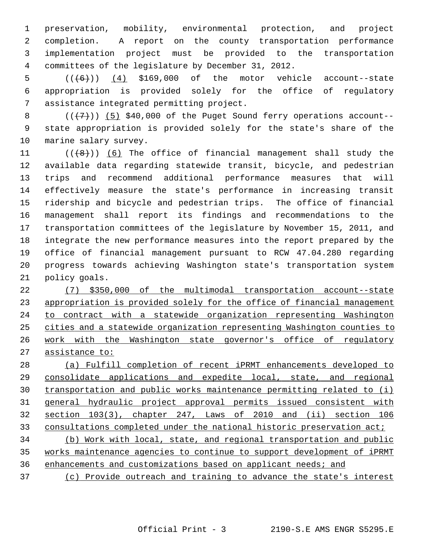1 preservation, mobility, environmental protection, and project 2 completion. A report on the county transportation performance 3 implementation project must be provided to the transportation 4 committees of the legislature by December 31, 2012.

5  $((\lbrace 6 \rbrace))$  (4) \$169,000 of the motor vehicle account--state 6 appropriation is provided solely for the office of regulatory 7 assistance integrated permitting project.

 $8$  ( $(\overline{+7})$ ) (5) \$40,000 of the Puget Sound ferry operations account- 9 state appropriation is provided solely for the state's share of the 10 marine salary survey.

11  $((\lbrace 8 \rbrace))$  (6) The office of financial management shall study the 12 available data regarding statewide transit, bicycle, and pedestrian 13 trips and recommend additional performance measures that will 14 effectively measure the state's performance in increasing transit 15 ridership and bicycle and pedestrian trips. The office of financial 16 management shall report its findings and recommendations to the 17 transportation committees of the legislature by November 15, 2011, and 18 integrate the new performance measures into the report prepared by the 19 office of financial management pursuant to RCW 47.04.280 regarding 20 progress towards achieving Washington state's transportation system 21 policy goals.

 (7) \$350,000 of the multimodal transportation account--state appropriation is provided solely for the office of financial management to contract with a statewide organization representing Washington cities and a statewide organization representing Washington counties to work with the Washington state governor's office of regulatory assistance to:

 (a) Fulfill completion of recent iPRMT enhancements developed to consolidate applications and expedite local, state, and regional transportation and public works maintenance permitting related to (i) general hydraulic project approval permits issued consistent with section 103(3), chapter 247, Laws of 2010 and (ii) section 106 33 consultations completed under the national historic preservation act; (b) Work with local, state, and regional transportation and public works maintenance agencies to continue to support development of iPRMT

36 enhancements and customizations based on applicant needs; and

37 (c) Provide outreach and training to advance the state's interest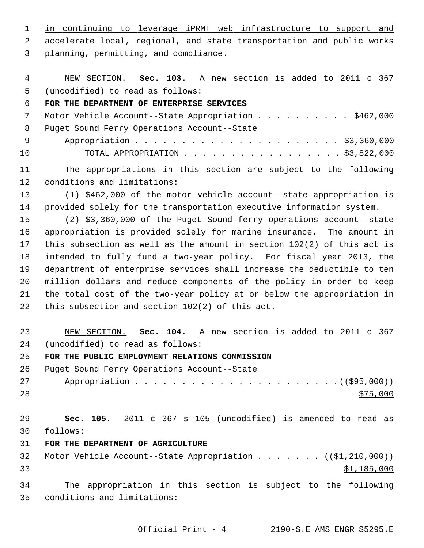1 in continuing to leverage iPRMT web infrastructure to support and

2 accelerate local, regional, and state transportation and public works

3 planning, permitting, and compliance.

 4 NEW SECTION. **Sec. 103.** A new section is added to 2011 c 367 5 (uncodified) to read as follows:

## 6 **FOR THE DEPARTMENT OF ENTERPRISE SERVICES**

7 Motor Vehicle Account--State Appropriation . . . . . . . . . \$462,000 8 Puget Sound Ferry Operations Account--State 9 Appropriation . . . . . . . . . . . . . . . . . . . . . . \$3,360,000

10 TOTAL APPROPRIATION . . . . . . . . . . . . . . . . . \$3,822,000

11 The appropriations in this section are subject to the following 12 conditions and limitations:

13 (1) \$462,000 of the motor vehicle account--state appropriation is 14 provided solely for the transportation executive information system.

15 (2) \$3,360,000 of the Puget Sound ferry operations account--state 16 appropriation is provided solely for marine insurance. The amount in 17 this subsection as well as the amount in section 102(2) of this act is 18 intended to fully fund a two-year policy. For fiscal year 2013, the 19 department of enterprise services shall increase the deductible to ten 20 million dollars and reduce components of the policy in order to keep 21 the total cost of the two-year policy at or below the appropriation in 22 this subsection and section 102(2) of this act.

23 NEW SECTION. **Sec. 104.** A new section is added to 2011 c 367 24 (uncodified) to read as follows:

## 25 **FOR THE PUBLIC EMPLOYMENT RELATIONS COMMISSION**

26 Puget Sound Ferry Operations Account--State

27 Appropriation . . . . . . . . . . . . . . . . . . . . . .((\$95,000))  $28 \frac{$75,000}{ }$ 

29 **Sec. 105.** 2011 c 367 s 105 (uncodified) is amended to read as 30 follows:

- 31 **FOR THE DEPARTMENT OF AGRICULTURE**
- 32 Motor Vehicle Account--State Appropriation . . . . . . ((\$1,210,000))  $33$   $$1,185,000$

34 The appropriation in this section is subject to the following 35 conditions and limitations: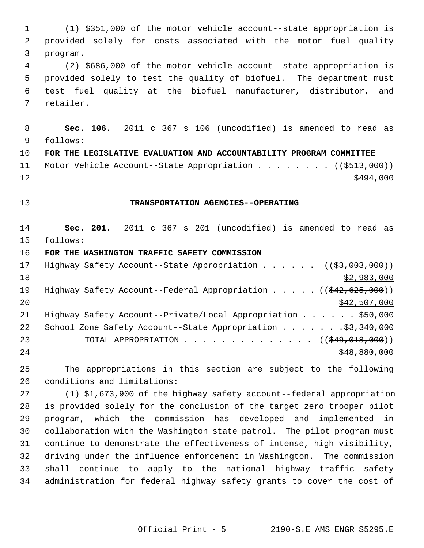1 (1) \$351,000 of the motor vehicle account--state appropriation is 2 provided solely for costs associated with the motor fuel quality 3 program. 4 (2) \$686,000 of the motor vehicle account--state appropriation is 5 provided solely to test the quality of biofuel. The department must 6 test fuel quality at the biofuel manufacturer, distributor, and 7 retailer. 8 **Sec. 106.** 2011 c 367 s 106 (uncodified) is amended to read as 9 follows: 10 **FOR THE LEGISLATIVE EVALUATION AND ACCOUNTABILITY PROGRAM COMMITTEE** 11 Motor Vehicle Account--State Appropriation . . . . . . . ((\$513,000))  $12$   $\frac{$494,000}{ }$ 13 **TRANSPORTATION AGENCIES--OPERATING** 14 **Sec. 201.** 2011 c 367 s 201 (uncodified) is amended to read as 15 follows: 16 **FOR THE WASHINGTON TRAFFIC SAFETY COMMISSION** 17 Highway Safety Account--State Appropriation . . . . . ((\$3,003,000))  $18$  \$2,983,000 19 Highway Safety Account--Federal Appropriation . . . . . ((\$42,625,000))  $20$  \$42,507,000 21 Highway Safety Account--Private/Local Appropriation . . . . . \$50,000 22 School Zone Safety Account--State Appropriation . . . . . . . \$3,340,000 23 TOTAL APPROPRIATION . . . . . . . . . . . . . ((<del>\$49,018,000</del>)) 24 \$48,880,000 \$48,880,000 25 The appropriations in this section are subject to the following 26 conditions and limitations: 27 (1) \$1,673,900 of the highway safety account--federal appropriation

28 is provided solely for the conclusion of the target zero trooper pilot 29 program, which the commission has developed and implemented in 30 collaboration with the Washington state patrol. The pilot program must 31 continue to demonstrate the effectiveness of intense, high visibility, 32 driving under the influence enforcement in Washington. The commission 33 shall continue to apply to the national highway traffic safety 34 administration for federal highway safety grants to cover the cost of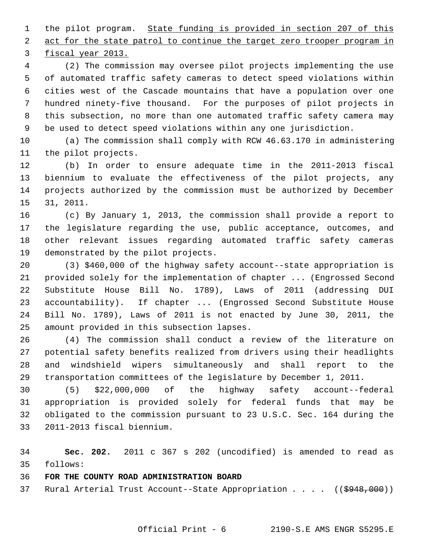1 the pilot program. State funding is provided in section 207 of this 2 act for the state patrol to continue the target zero trooper program in

3 fiscal year 2013.

 4 (2) The commission may oversee pilot projects implementing the use 5 of automated traffic safety cameras to detect speed violations within 6 cities west of the Cascade mountains that have a population over one 7 hundred ninety-five thousand. For the purposes of pilot projects in 8 this subsection, no more than one automated traffic safety camera may 9 be used to detect speed violations within any one jurisdiction.

10 (a) The commission shall comply with RCW 46.63.170 in administering 11 the pilot projects.

12 (b) In order to ensure adequate time in the 2011-2013 fiscal 13 biennium to evaluate the effectiveness of the pilot projects, any 14 projects authorized by the commission must be authorized by December 15 31, 2011.

16 (c) By January 1, 2013, the commission shall provide a report to 17 the legislature regarding the use, public acceptance, outcomes, and 18 other relevant issues regarding automated traffic safety cameras 19 demonstrated by the pilot projects.

20 (3) \$460,000 of the highway safety account--state appropriation is 21 provided solely for the implementation of chapter ... (Engrossed Second 22 Substitute House Bill No. 1789), Laws of 2011 (addressing DUI 23 accountability). If chapter ... (Engrossed Second Substitute House 24 Bill No. 1789), Laws of 2011 is not enacted by June 30, 2011, the 25 amount provided in this subsection lapses.

26 (4) The commission shall conduct a review of the literature on 27 potential safety benefits realized from drivers using their headlights 28 and windshield wipers simultaneously and shall report to the 29 transportation committees of the legislature by December 1, 2011.

30 (5) \$22,000,000 of the highway safety account--federal 31 appropriation is provided solely for federal funds that may be 32 obligated to the commission pursuant to 23 U.S.C. Sec. 164 during the 33 2011-2013 fiscal biennium.

34 **Sec. 202.** 2011 c 367 s 202 (uncodified) is amended to read as 35 follows:

## 36 **FOR THE COUNTY ROAD ADMINISTRATION BOARD**

37 Rural Arterial Trust Account--State Appropriation . . . ((\$948,000))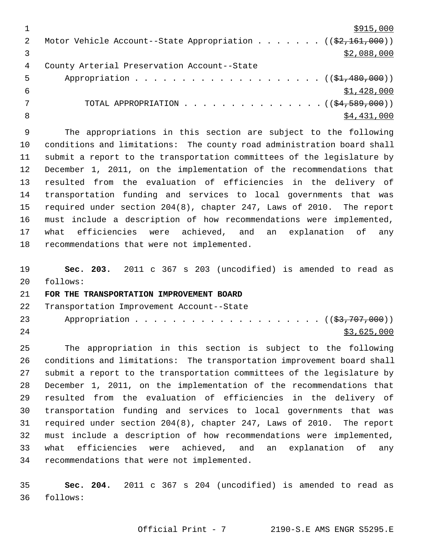|   | \$915,000                                                                       |
|---|---------------------------------------------------------------------------------|
|   | Motor Vehicle Account--State Appropriation ( $(\frac{2}{2}, \frac{161}{160})$ ) |
|   | \$2,088,000                                                                     |
| 4 | County Arterial Preservation Account--State                                     |
| 5 |                                                                                 |
| 6 | \$1,428,000                                                                     |
|   | TOTAL APPROPRIATION $($ $($ $\frac{24}{569},000)$ $)$                           |
|   | \$4,431,000                                                                     |

 9 The appropriations in this section are subject to the following 10 conditions and limitations: The county road administration board shall 11 submit a report to the transportation committees of the legislature by 12 December 1, 2011, on the implementation of the recommendations that 13 resulted from the evaluation of efficiencies in the delivery of 14 transportation funding and services to local governments that was 15 required under section 204(8), chapter 247, Laws of 2010. The report 16 must include a description of how recommendations were implemented, 17 what efficiencies were achieved, and an explanation of any 18 recommendations that were not implemented.

19 **Sec. 203.** 2011 c 367 s 203 (uncodified) is amended to read as 20 follows:

#### 21 **FOR THE TRANSPORTATION IMPROVEMENT BOARD**

| 22 |  |  | Transportation Improvement Account--State |  |
|----|--|--|-------------------------------------------|--|
|----|--|--|-------------------------------------------|--|

23 Appropriation . . . . . . . . . . . . . . . . . . (  $(\frac{23}{707},000)$  )  $24$  \$3,625,000

25 The appropriation in this section is subject to the following 26 conditions and limitations: The transportation improvement board shall 27 submit a report to the transportation committees of the legislature by 28 December 1, 2011, on the implementation of the recommendations that 29 resulted from the evaluation of efficiencies in the delivery of 30 transportation funding and services to local governments that was 31 required under section 204(8), chapter 247, Laws of 2010. The report 32 must include a description of how recommendations were implemented, 33 what efficiencies were achieved, and an explanation of any 34 recommendations that were not implemented.

35 **Sec. 204.** 2011 c 367 s 204 (uncodified) is amended to read as 36 follows: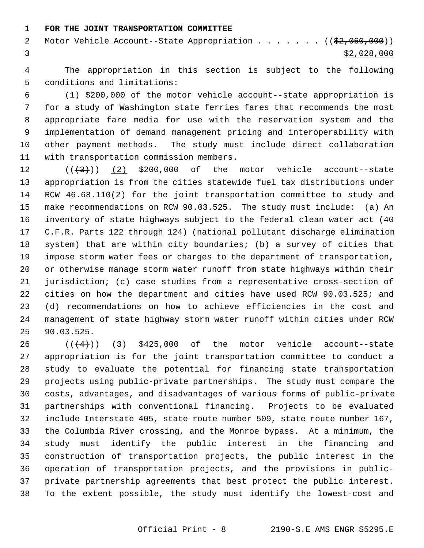#### 1 **FOR THE JOINT TRANSPORTATION COMMITTEE**

2 Motor Vehicle Account--State Appropriation . . . . . . ((\$2,060,000)) 3  $\frac{1}{2}$  3

 4 The appropriation in this section is subject to the following 5 conditions and limitations:

 6 (1) \$200,000 of the motor vehicle account--state appropriation is 7 for a study of Washington state ferries fares that recommends the most 8 appropriate fare media for use with the reservation system and the 9 implementation of demand management pricing and interoperability with 10 other payment methods. The study must include direct collaboration 11 with transportation commission members.

12  $((+3))$  (2) \$200,000 of the motor vehicle account--state 13 appropriation is from the cities statewide fuel tax distributions under 14 RCW 46.68.110(2) for the joint transportation committee to study and 15 make recommendations on RCW 90.03.525. The study must include: (a) An 16 inventory of state highways subject to the federal clean water act (40 17 C.F.R. Parts 122 through 124) (national pollutant discharge elimination 18 system) that are within city boundaries; (b) a survey of cities that 19 impose storm water fees or charges to the department of transportation, 20 or otherwise manage storm water runoff from state highways within their 21 jurisdiction; (c) case studies from a representative cross-section of 22 cities on how the department and cities have used RCW 90.03.525; and 23 (d) recommendations on how to achieve efficiencies in the cost and 24 management of state highway storm water runoff within cities under RCW 25 90.03.525.

26  $((4+))$  (3) \$425,000 of the motor vehicle account--state 27 appropriation is for the joint transportation committee to conduct a 28 study to evaluate the potential for financing state transportation 29 projects using public-private partnerships. The study must compare the 30 costs, advantages, and disadvantages of various forms of public-private 31 partnerships with conventional financing. Projects to be evaluated 32 include Interstate 405, state route number 509, state route number 167, 33 the Columbia River crossing, and the Monroe bypass. At a minimum, the 34 study must identify the public interest in the financing and 35 construction of transportation projects, the public interest in the 36 operation of transportation projects, and the provisions in public-37 private partnership agreements that best protect the public interest. 38 To the extent possible, the study must identify the lowest-cost and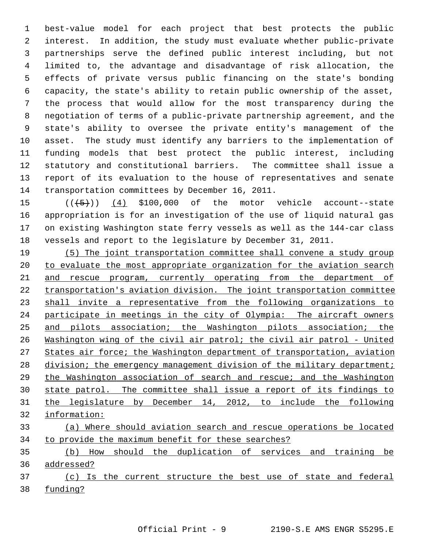1 best-value model for each project that best protects the public 2 interest. In addition, the study must evaluate whether public-private 3 partnerships serve the defined public interest including, but not 4 limited to, the advantage and disadvantage of risk allocation, the 5 effects of private versus public financing on the state's bonding 6 capacity, the state's ability to retain public ownership of the asset, 7 the process that would allow for the most transparency during the 8 negotiation of terms of a public-private partnership agreement, and the 9 state's ability to oversee the private entity's management of the 10 asset. The study must identify any barriers to the implementation of 11 funding models that best protect the public interest, including 12 statutory and constitutional barriers. The committee shall issue a 13 report of its evaluation to the house of representatives and senate 14 transportation committees by December 16, 2011.

15  $((\left\langle 5\right\rangle))$  (4) \$100,000 of the motor vehicle account--state 16 appropriation is for an investigation of the use of liquid natural gas 17 on existing Washington state ferry vessels as well as the 144-car class 18 vessels and report to the legislature by December 31, 2011.

 (5) The joint transportation committee shall convene a study group to evaluate the most appropriate organization for the aviation search 21 and rescue program, currently operating from the department of transportation's aviation division. The joint transportation committee shall invite a representative from the following organizations to participate in meetings in the city of Olympia: The aircraft owners and pilots association; the Washington pilots association; the Washington wing of the civil air patrol; the civil air patrol - United States air force; the Washington department of transportation, aviation 28 division; the emergency management division of the military department; the Washington association of search and rescue; and the Washington state patrol. The committee shall issue a report of its findings to the legislature by December 14, 2012, to include the following information: (a) Where should aviation search and rescue operations be located to provide the maximum benefit for these searches?

35 (b) How should the duplication of services and training be 36 addressed?

37 (c) Is the current structure the best use of state and federal 38 funding?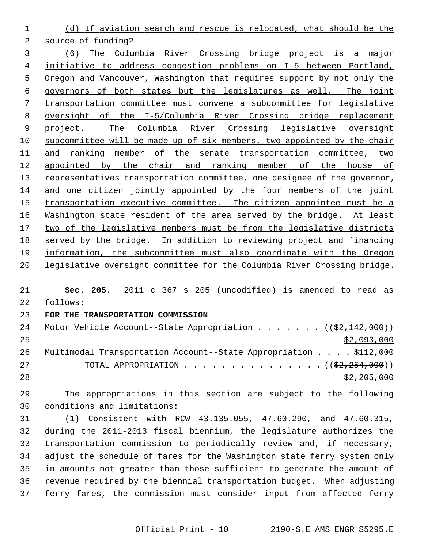(d) If aviation search and rescue is relocated, what should be the

source of funding?

 (6) The Columbia River Crossing bridge project is a major initiative to address congestion problems on I-5 between Portland, Oregon and Vancouver, Washington that requires support by not only the governors of both states but the legislatures as well. The joint transportation committee must convene a subcommittee for legislative oversight of the I-5/Columbia River Crossing bridge replacement project. The Columbia River Crossing legislative oversight subcommittee will be made up of six members, two appointed by the chair and ranking member of the senate transportation committee, two 12 appointed by the chair and ranking member of the house of representatives transportation committee, one designee of the governor, and one citizen jointly appointed by the four members of the joint transportation executive committee. The citizen appointee must be a Washington state resident of the area served by the bridge. At least two of the legislative members must be from the legislative districts served by the bridge. In addition to reviewing project and financing information, the subcommittee must also coordinate with the Oregon legislative oversight committee for the Columbia River Crossing bridge.

 **Sec. 205.** 2011 c 367 s 205 (uncodified) is amended to read as 22 follows:

### **FOR THE TRANSPORTATION COMMISSION**

| 24 | Motor Vehicle Account--State Appropriation ( $(\frac{2}{2}, \frac{142}{100})$ ) |
|----|---------------------------------------------------------------------------------|
| 25 | \$2,093,000                                                                     |
| 26 | Multimodal Transportation Account--State Appropriation \$112,000                |
| 27 | TOTAL APPROPRIATION $($ $(\frac{2}{2}, \frac{254}{2500}) )$                     |
| 28 | \$2,205,000                                                                     |

29 The appropriations in this section are subject to the following 30 conditions and limitations:

31 (1) Consistent with RCW 43.135.055, 47.60.290, and 47.60.315, 32 during the 2011-2013 fiscal biennium, the legislature authorizes the 33 transportation commission to periodically review and, if necessary, 34 adjust the schedule of fares for the Washington state ferry system only 35 in amounts not greater than those sufficient to generate the amount of 36 revenue required by the biennial transportation budget. When adjusting 37 ferry fares, the commission must consider input from affected ferry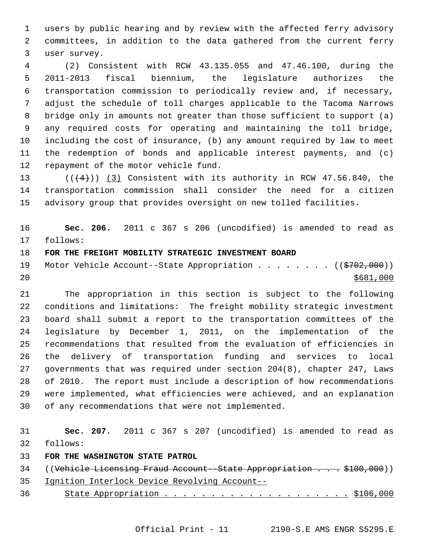1 users by public hearing and by review with the affected ferry advisory 2 committees, in addition to the data gathered from the current ferry 3 user survey.

 4 (2) Consistent with RCW 43.135.055 and 47.46.100, during the 5 2011-2013 fiscal biennium, the legislature authorizes the 6 transportation commission to periodically review and, if necessary, 7 adjust the schedule of toll charges applicable to the Tacoma Narrows 8 bridge only in amounts not greater than those sufficient to support (a) 9 any required costs for operating and maintaining the toll bridge, 10 including the cost of insurance, (b) any amount required by law to meet 11 the redemption of bonds and applicable interest payments, and (c) 12 repayment of the motor vehicle fund.

13  $((+4))$  (3) Consistent with its authority in RCW 47.56.840, the 14 transportation commission shall consider the need for a citizen 15 advisory group that provides oversight on new tolled facilities.

16 **Sec. 206.** 2011 c 367 s 206 (uncodified) is amended to read as 17 follows:

## 18 **FOR THE FREIGHT MOBILITY STRATEGIC INVESTMENT BOARD**

19 Motor Vehicle Account--State Appropriation . . . . . . . ((\$702,000))  $20$ 

21 The appropriation in this section is subject to the following 22 conditions and limitations: The freight mobility strategic investment 23 board shall submit a report to the transportation committees of the 24 legislature by December 1, 2011, on the implementation of the 25 recommendations that resulted from the evaluation of efficiencies in 26 the delivery of transportation funding and services to local 27 governments that was required under section 204(8), chapter 247, Laws 28 of 2010. The report must include a description of how recommendations 29 were implemented, what efficiencies were achieved, and an explanation 30 of any recommendations that were not implemented.

31 **Sec. 207.** 2011 c 367 s 207 (uncodified) is amended to read as 32 follows:

# 33 **FOR THE WASHINGTON STATE PATROL**

34 ((Vehicle Licensing Fraud Account--State Appropriation . . . \$100,000))

35 Ignition Interlock Device Revolving Account--

36 State Appropriation . . . . . . . . . . . . . . . . . . . . \$106,000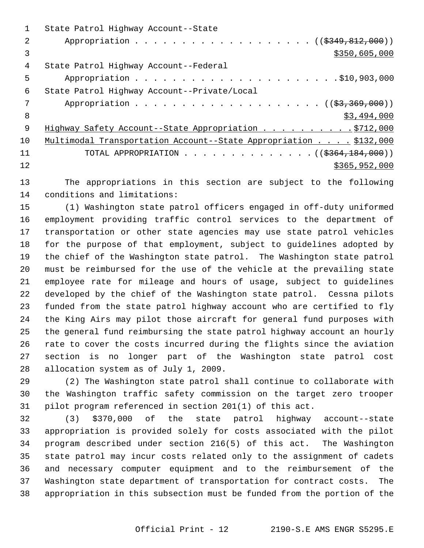|     | State Patrol Highway Account--State                              |
|-----|------------------------------------------------------------------|
| 2   | Appropriation ( $(\frac{2349}{12100})$ )                         |
| 3   | \$350,605,000                                                    |
| 4   | State Patrol Highway Account--Federal                            |
| 5   |                                                                  |
| 6   | State Patrol Highway Account--Private/Local                      |
| 7   |                                                                  |
| 8   | \$3,494,000                                                      |
| - 9 | Highway Safety Account--State Appropriation 9712,000             |
| 10  | Multimodal Transportation Account--State Appropriation \$132,000 |
| 11  | TOTAL APPROPRIATION ( $(\frac{2364,184,000}{s})$ )               |
| 12  | \$365,952,000                                                    |
|     |                                                                  |

13 The appropriations in this section are subject to the following 14 conditions and limitations:

15 (1) Washington state patrol officers engaged in off-duty uniformed 16 employment providing traffic control services to the department of 17 transportation or other state agencies may use state patrol vehicles 18 for the purpose of that employment, subject to guidelines adopted by 19 the chief of the Washington state patrol. The Washington state patrol 20 must be reimbursed for the use of the vehicle at the prevailing state 21 employee rate for mileage and hours of usage, subject to guidelines 22 developed by the chief of the Washington state patrol. Cessna pilots 23 funded from the state patrol highway account who are certified to fly 24 the King Airs may pilot those aircraft for general fund purposes with 25 the general fund reimbursing the state patrol highway account an hourly 26 rate to cover the costs incurred during the flights since the aviation 27 section is no longer part of the Washington state patrol cost 28 allocation system as of July 1, 2009.

29 (2) The Washington state patrol shall continue to collaborate with 30 the Washington traffic safety commission on the target zero trooper 31 pilot program referenced in section 201(1) of this act.

32 (3) \$370,000 of the state patrol highway account--state 33 appropriation is provided solely for costs associated with the pilot 34 program described under section 216(5) of this act. The Washington 35 state patrol may incur costs related only to the assignment of cadets 36 and necessary computer equipment and to the reimbursement of the 37 Washington state department of transportation for contract costs. The 38 appropriation in this subsection must be funded from the portion of the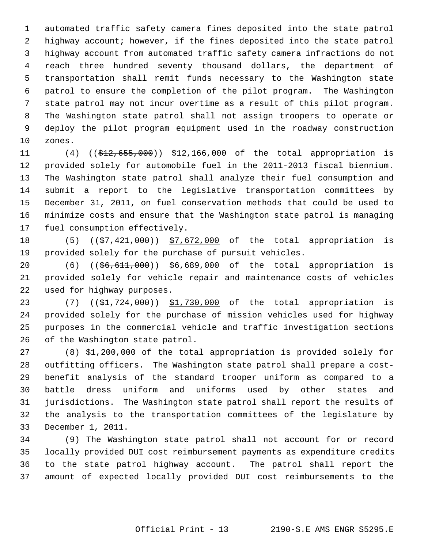1 automated traffic safety camera fines deposited into the state patrol 2 highway account; however, if the fines deposited into the state patrol 3 highway account from automated traffic safety camera infractions do not 4 reach three hundred seventy thousand dollars, the department of 5 transportation shall remit funds necessary to the Washington state 6 patrol to ensure the completion of the pilot program. The Washington 7 state patrol may not incur overtime as a result of this pilot program. 8 The Washington state patrol shall not assign troopers to operate or 9 deploy the pilot program equipment used in the roadway construction 10 zones.

11 (4) ((\$12,655,000)) \$12,166,000 of the total appropriation is 12 provided solely for automobile fuel in the 2011-2013 fiscal biennium. 13 The Washington state patrol shall analyze their fuel consumption and 14 submit a report to the legislative transportation committees by 15 December 31, 2011, on fuel conservation methods that could be used to 16 minimize costs and ensure that the Washington state patrol is managing 17 fuel consumption effectively.

18 (5) ((\$7,421,000)) \$7,672,000 of the total appropriation is 19 provided solely for the purchase of pursuit vehicles.

20 (6) ((\$6,611,000)) \$6,689,000 of the total appropriation is 21 provided solely for vehicle repair and maintenance costs of vehicles 22 used for highway purposes.

23 (7) ((\$1,724,000)) \$1,730,000 of the total appropriation is 24 provided solely for the purchase of mission vehicles used for highway 25 purposes in the commercial vehicle and traffic investigation sections 26 of the Washington state patrol.

27 (8) \$1,200,000 of the total appropriation is provided solely for 28 outfitting officers. The Washington state patrol shall prepare a cost-29 benefit analysis of the standard trooper uniform as compared to a 30 battle dress uniform and uniforms used by other states and 31 jurisdictions. The Washington state patrol shall report the results of 32 the analysis to the transportation committees of the legislature by 33 December 1, 2011.

34 (9) The Washington state patrol shall not account for or record 35 locally provided DUI cost reimbursement payments as expenditure credits 36 to the state patrol highway account. The patrol shall report the 37 amount of expected locally provided DUI cost reimbursements to the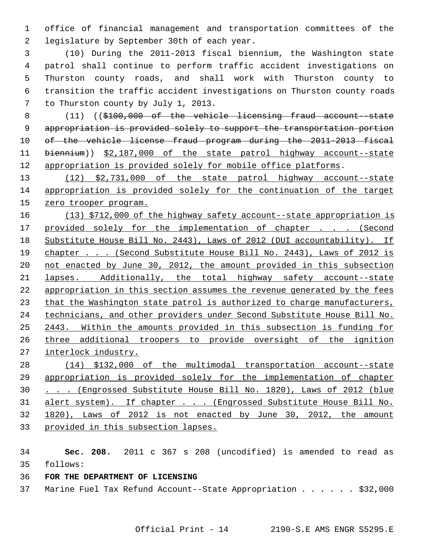1 office of financial management and transportation committees of the 2 legislature by September 30th of each year.

 3 (10) During the 2011-2013 fiscal biennium, the Washington state 4 patrol shall continue to perform traffic accident investigations on 5 Thurston county roads, and shall work with Thurston county to 6 transition the traffic accident investigations on Thurston county roads 7 to Thurston county by July 1, 2013.

 8 (11) ((\$100,000 of the vehicle licensing fraud account--state appropriation is provided solely to support the transportation portion of the vehicle license fraud program during the 2011-2013 fiscal biennium)) \$2,187,000 of the state patrol highway account--state appropriation is provided solely for mobile office platforms.

 (12) \$2,731,000 of the state patrol highway account--state appropriation is provided solely for the continuation of the target zero trooper program.

 (13) \$712,000 of the highway safety account--state appropriation is 17 provided solely for the implementation of chapter . . . (Second Substitute House Bill No. 2443), Laws of 2012 (DUI accountability). If 19 chapter . . . (Second Substitute House Bill No. 2443), Laws of 2012 is not enacted by June 30, 2012, the amount provided in this subsection lapses. Additionally, the total highway safety account--state appropriation in this section assumes the revenue generated by the fees that the Washington state patrol is authorized to charge manufacturers, technicians, and other providers under Second Substitute House Bill No. 2443. Within the amounts provided in this subsection is funding for three additional troopers to provide oversight of the ignition interlock industry.

 (14) \$132,000 of the multimodal transportation account--state appropriation is provided solely for the implementation of chapter . . . (Engrossed Substitute House Bill No. 1820), Laws of 2012 (blue alert system). If chapter . . . (Engrossed Substitute House Bill No. 1820), Laws of 2012 is not enacted by June 30, 2012, the amount provided in this subsection lapses.

 **Sec. 208.** 2011 c 367 s 208 (uncodified) is amended to read as 35 follows:

- **FOR THE DEPARTMENT OF LICENSING**
- 37 Marine Fuel Tax Refund Account--State Appropriation . . . . . \$32,000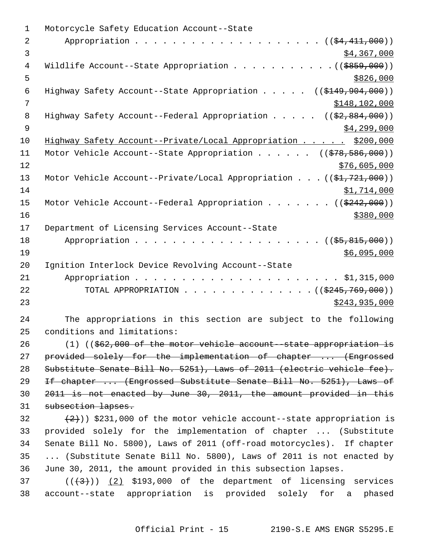| $\mathbf 1$    | Motorcycle Safety Education Account--State                                          |
|----------------|-------------------------------------------------------------------------------------|
| 2              | Appropriation<br>$((\frac{24}{74}, \frac{411}{10}, 000))$                           |
| 3              | \$4,367,000                                                                         |
| 4              | Wildlife Account--State Appropriation ( $(\frac{2859}{100})$ )                      |
| 5              | \$826,000                                                                           |
| 6              | Highway Safety Account--State Appropriation $($ $($ \$149,904,000) $)$              |
| $\overline{7}$ | \$148, 102, 000                                                                     |
| 8              | Highway Safety Account--Federal Appropriation $($ $($ \$2,884,000))                 |
| $\overline{9}$ | \$4,299,000                                                                         |
| 10             | Highway Safety Account--Private/Local Appropriation \$200,000                       |
| 11             | Motor Vehicle Account--State Appropriation ( $(\frac{278}{578}, \frac{586}{500})$ ) |
| 12             | \$76,605,000                                                                        |
| 13             | Motor Vehicle Account--Private/Local Appropriation $((\frac{21}{721}, 721, 000))$   |
| 14             | \$1,714,000                                                                         |
| 15             | Motor Vehicle Account--Federal Appropriation ( $(\frac{2242}{000})$ )               |
| 16             | \$380,000                                                                           |
| 17             | Department of Licensing Services Account--State                                     |
| 18             | Appropriation<br>$((\$5,815,000))$                                                  |
| 19             | \$6,095,000                                                                         |
| 20             | Ignition Interlock Device Revolving Account--State                                  |
| 21             |                                                                                     |
| 22             | TOTAL APPROPRIATION $\ldots$ , ( $(\frac{2245}{769}, 769)$ )                        |
| 23             | \$243,935,000                                                                       |
| 24             | The appropriations in this section are subject to the following                     |
| 25             | conditions and limitations:                                                         |
| 26             | $(1)$ ((\$62,000 of the motor vehicle account -state appropriation is               |
| 27             | provided solely for the implementation of chapter  (Engrossed                       |
| 28             | Substitute Senate Bill No. 5251), Laws of 2011 (electric vehicle fee).              |
| 29             | If chapter  (Engrossed Substitute Senate Bill No. 5251), Laws of                    |
| 30             | 2011 is not enacted by June 30, 2011, the amount provided in this                   |
| 31             | subsection lapses.                                                                  |
| 32             | $(2+)$ ) \$231,000 of the motor vehicle account--state appropriation is             |
| 33             | provided solely for the implementation of chapter  (Substitute                      |
| 34             | Senate Bill No. 5800), Laws of 2011 (off-road motorcycles). If chapter              |
| 35             | (Substitute Senate Bill No. 5800), Laws of 2011 is not enacted by                   |
| 36             | June 30, 2011, the amount provided in this subsection lapses.                       |
| 37             | $((+3+))$ (2) \$193,000 of the department of licensing services                     |
| 38             | account--state appropriation is provided solely for a phased                        |
|                |                                                                                     |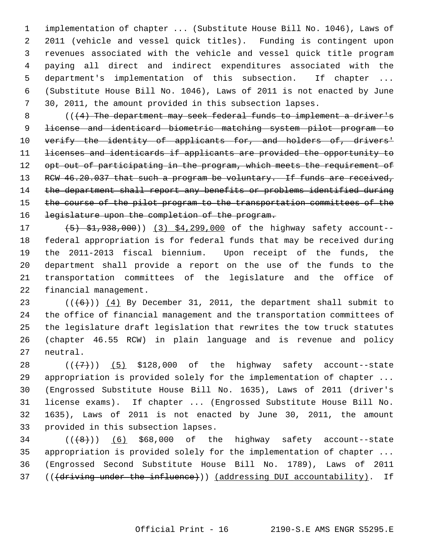1 implementation of chapter ... (Substitute House Bill No. 1046), Laws of 2 2011 (vehicle and vessel quick titles). Funding is contingent upon 3 revenues associated with the vehicle and vessel quick title program 4 paying all direct and indirect expenditures associated with the 5 department's implementation of this subsection. If chapter ... 6 (Substitute House Bill No. 1046), Laws of 2011 is not enacted by June 7 30, 2011, the amount provided in this subsection lapses.

8 ( $($   $($   $\{$   $\}$  The department may seek federal funds to implement a driver's 9 license and identicard biometric matching system pilot program to 10 verify the identity of applicants for, and holders of, drivers' 11 licenses and identicards if applicants are provided the opportunity to 12 opt out of participating in the program, which meets the requirement of 13 RCW 46.20.037 that such a program be voluntary. If funds are received, 14 the department shall report any benefits or problems identified during 15 the course of the pilot program to the transportation committees of the 16 legislature upon the completion of the program.

17 (5) \$1,938,000)) (3) \$4,299,000 of the highway safety account--18 federal appropriation is for federal funds that may be received during 19 the 2011-2013 fiscal biennium. Upon receipt of the funds, the 20 department shall provide a report on the use of the funds to the 21 transportation committees of the legislature and the office of 22 financial management.

23  $((\leftarrow)}$  ( $(\leftarrow)}$ )) (4) By December 31, 2011, the department shall submit to 24 the office of financial management and the transportation committees of 25 the legislature draft legislation that rewrites the tow truck statutes 26 (chapter 46.55 RCW) in plain language and is revenue and policy 27 neutral.

28  $((+7)^{n})$  (5) \$128,000 of the highway safety account--state 29 appropriation is provided solely for the implementation of chapter ... 30 (Engrossed Substitute House Bill No. 1635), Laws of 2011 (driver's 31 license exams). If chapter ... (Engrossed Substitute House Bill No. 32 1635), Laws of 2011 is not enacted by June 30, 2011, the amount 33 provided in this subsection lapses.

 $34$  ( $(\overline{8})$ ) (6) \$68,000 of the highway safety account--state 35 appropriation is provided solely for the implementation of chapter ... 36 (Engrossed Second Substitute House Bill No. 1789), Laws of 2011 37 (((driving under the influence))) (addressing DUI accountability). If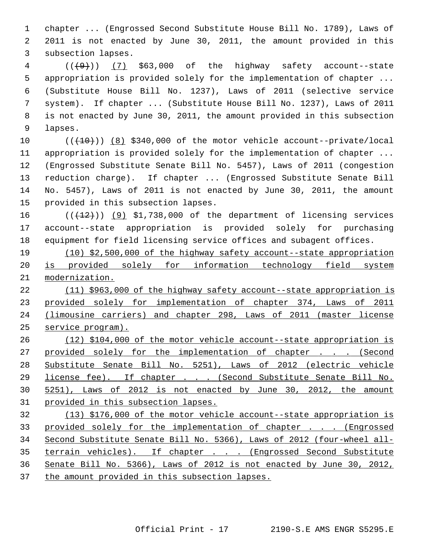1 chapter ... (Engrossed Second Substitute House Bill No. 1789), Laws of 2 2011 is not enacted by June 30, 2011, the amount provided in this 3 subsection lapses.

 $4$   $((+9))$   $(7)$  \$63,000 of the highway safety account--state 5 appropriation is provided solely for the implementation of chapter ... 6 (Substitute House Bill No. 1237), Laws of 2011 (selective service 7 system). If chapter ... (Substitute House Bill No. 1237), Laws of 2011 8 is not enacted by June 30, 2011, the amount provided in this subsection 9 lapses.

10  $((+10))$   $(8)$  \$340,000 of the motor vehicle account--private/local 11 appropriation is provided solely for the implementation of chapter ... 12 (Engrossed Substitute Senate Bill No. 5457), Laws of 2011 (congestion 13 reduction charge). If chapter ... (Engrossed Substitute Senate Bill 14 No. 5457), Laws of 2011 is not enacted by June 30, 2011, the amount 15 provided in this subsection lapses.

16  $((+12))$  (9) \$1,738,000 of the department of licensing services 17 account--state appropriation is provided solely for purchasing 18 equipment for field licensing service offices and subagent offices.

19 (10) \$2,500,000 of the highway safety account--state appropriation 20 is provided solely for information technology field system 21 modernization.

 (11) \$963,000 of the highway safety account--state appropriation is provided solely for implementation of chapter 374, Laws of 2011 (limousine carriers) and chapter 298, Laws of 2011 (master license service program).

 (12) \$104,000 of the motor vehicle account--state appropriation is provided solely for the implementation of chapter . . . (Second Substitute Senate Bill No. 5251), Laws of 2012 (electric vehicle license fee). If chapter . . . (Second Substitute Senate Bill No. 5251), Laws of 2012 is not enacted by June 30, 2012, the amount provided in this subsection lapses.

 (13) \$176,000 of the motor vehicle account--state appropriation is provided solely for the implementation of chapter . . . (Engrossed Second Substitute Senate Bill No. 5366), Laws of 2012 (four-wheel all- terrain vehicles). If chapter . . . (Engrossed Second Substitute Senate Bill No. 5366), Laws of 2012 is not enacted by June 30, 2012, the amount provided in this subsection lapses.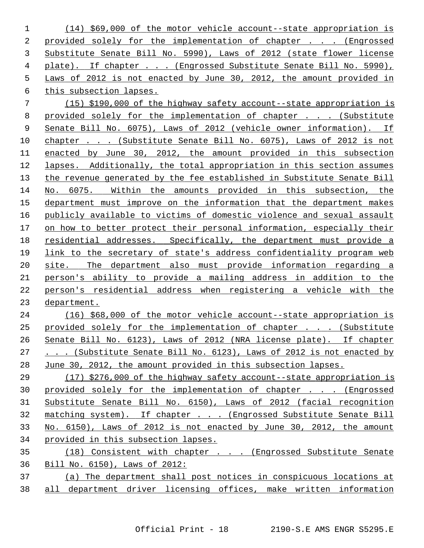(14) \$69,000 of the motor vehicle account--state appropriation is provided solely for the implementation of chapter . . . (Engrossed Substitute Senate Bill No. 5990), Laws of 2012 (state flower license plate). If chapter . . . (Engrossed Substitute Senate Bill No. 5990), Laws of 2012 is not enacted by June 30, 2012, the amount provided in this subsection lapses.

 (15) \$190,000 of the highway safety account--state appropriation is 8 provided solely for the implementation of chapter . . . (Substitute Senate Bill No. 6075), Laws of 2012 (vehicle owner information). If chapter . . . (Substitute Senate Bill No. 6075), Laws of 2012 is not enacted by June 30, 2012, the amount provided in this subsection lapses. Additionally, the total appropriation in this section assumes the revenue generated by the fee established in Substitute Senate Bill No. 6075. Within the amounts provided in this subsection, the department must improve on the information that the department makes publicly available to victims of domestic violence and sexual assault on how to better protect their personal information, especially their residential addresses. Specifically, the department must provide a link to the secretary of state's address confidentiality program web site. The department also must provide information regarding a person's ability to provide a mailing address in addition to the person's residential address when registering a vehicle with the department.

 (16) \$68,000 of the motor vehicle account--state appropriation is 25 provided solely for the implementation of chapter . . . (Substitute Senate Bill No. 6123), Laws of 2012 (NRA license plate). If chapter 27 . . . (Substitute Senate Bill No. 6123), Laws of 2012 is not enacted by June 30, 2012, the amount provided in this subsection lapses.

 (17) \$276,000 of the highway safety account--state appropriation is provided solely for the implementation of chapter . . . (Engrossed Substitute Senate Bill No. 6150), Laws of 2012 (facial recognition matching system). If chapter . . . (Engrossed Substitute Senate Bill No. 6150), Laws of 2012 is not enacted by June 30, 2012, the amount provided in this subsection lapses.

 (18) Consistent with chapter . . . (Engrossed Substitute Senate Bill No. 6150), Laws of 2012:

 (a) The department shall post notices in conspicuous locations at all department driver licensing offices, make written information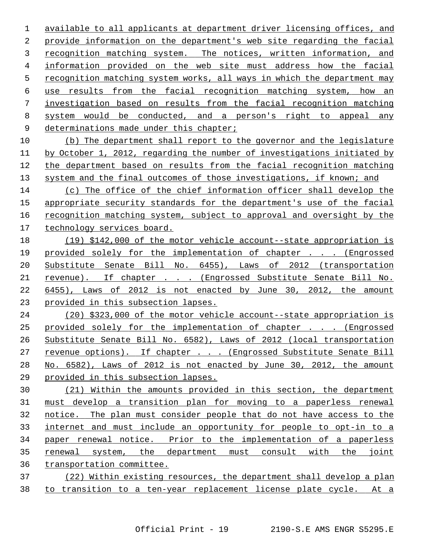available to all applicants at department driver licensing offices, and provide information on the department's web site regarding the facial 3 recognition matching system. The notices, written information, and information provided on the web site must address how the facial recognition matching system works, all ways in which the department may use results from the facial recognition matching system, how an investigation based on results from the facial recognition matching system would be conducted, and a person's right to appeal any 9 determinations made under this chapter;

 (b) The department shall report to the governor and the legislature by October 1, 2012, regarding the number of investigations initiated by the department based on results from the facial recognition matching system and the final outcomes of those investigations, if known; and

 (c) The office of the chief information officer shall develop the appropriate security standards for the department's use of the facial recognition matching system, subject to approval and oversight by the technology services board.

 (19) \$142,000 of the motor vehicle account--state appropriation is provided solely for the implementation of chapter . . . (Engrossed Substitute Senate Bill No. 6455), Laws of 2012 (transportation revenue). If chapter . . . (Engrossed Substitute Senate Bill No. 6455), Laws of 2012 is not enacted by June 30, 2012, the amount provided in this subsection lapses.

 (20) \$323,000 of the motor vehicle account--state appropriation is provided solely for the implementation of chapter . . . (Engrossed Substitute Senate Bill No. 6582), Laws of 2012 (local transportation revenue options). If chapter . . . (Engrossed Substitute Senate Bill No. 6582), Laws of 2012 is not enacted by June 30, 2012, the amount provided in this subsection lapses.

 (21) Within the amounts provided in this section, the department must develop a transition plan for moving to a paperless renewal notice. The plan must consider people that do not have access to the internet and must include an opportunity for people to opt-in to a paper renewal notice. Prior to the implementation of a paperless renewal system, the department must consult with the joint transportation committee.

 (22) Within existing resources, the department shall develop a plan to transition to a ten-year replacement license plate cycle. At a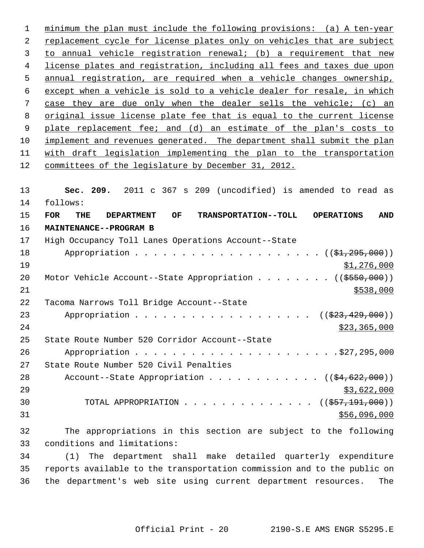minimum the plan must include the following provisions: (a) A ten-year replacement cycle for license plates only on vehicles that are subject to annual vehicle registration renewal; (b) a requirement that new license plates and registration, including all fees and taxes due upon annual registration, are required when a vehicle changes ownership, except when a vehicle is sold to a vehicle dealer for resale, in which case they are due only when the dealer sells the vehicle; (c) an original issue license plate fee that is equal to the current license plate replacement fee; and (d) an estimate of the plan's costs to implement and revenues generated. The department shall submit the plan with draft legislation implementing the plan to the transportation committees of the legislature by December 31, 2012.

13 **Sec. 209.** 2011 c 367 s 209 (uncodified) is amended to read as 14 follows: 15 **FOR THE DEPARTMENT OF TRANSPORTATION--TOLL OPERATIONS AND** 16 **MAINTENANCE--PROGRAM B** 17 High Occupancy Toll Lanes Operations Account--State 18 Appropriation . . . . . . . . . . . . . . . . . . ((\$1,295,000))  $\frac{19}{1,276,000}$ 20 Motor Vehicle Account--State Appropriation . . . . . . . ((\$550,000))  $21$   $\frac{$538,000}{ }$ 22 Tacoma Narrows Toll Bridge Account--State 23 Appropriation . . . . . . . . . . . . . . . . . ((\$23,429,000)) 24 \$23,365,000 25 State Route Number 520 Corridor Account--State 26 Appropriation . . . . . . . . . . . . . . . . . . . . . .\$27,295,000 27 State Route Number 520 Civil Penalties 28 Account--State Appropriation . . . . . . . . . .  $(34,622,000)$  $29$   $\frac{$3,622,000}{ }$ 30 TOTAL APPROPRIATION . . . . . . . . . . . . . ((\$57,191,000))  $31$  \$56,096,000 32 The appropriations in this section are subject to the following 33 conditions and limitations:

34 (1) The department shall make detailed quarterly expenditure 35 reports available to the transportation commission and to the public on 36 the department's web site using current department resources. The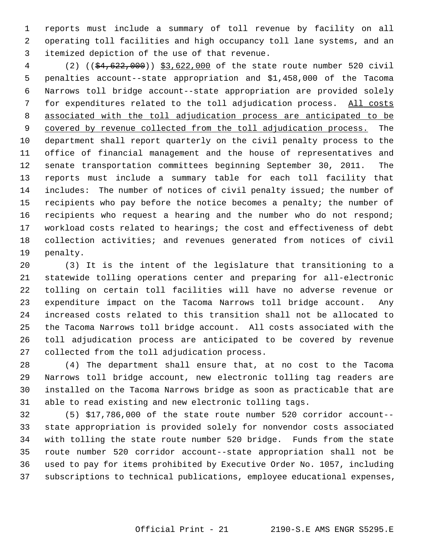1 reports must include a summary of toll revenue by facility on all 2 operating toll facilities and high occupancy toll lane systems, and an 3 itemized depiction of the use of that revenue.

 4 (2) ((\$4,622,000)) \$3,622,000 of the state route number 520 civil 5 penalties account--state appropriation and \$1,458,000 of the Tacoma 6 Narrows toll bridge account--state appropriation are provided solely 7 for expenditures related to the toll adjudication process. All costs 8 associated with the toll adjudication process are anticipated to be 9 covered by revenue collected from the toll adjudication process. The 10 department shall report quarterly on the civil penalty process to the 11 office of financial management and the house of representatives and 12 senate transportation committees beginning September 30, 2011. The 13 reports must include a summary table for each toll facility that 14 includes: The number of notices of civil penalty issued; the number of 15 recipients who pay before the notice becomes a penalty; the number of 16 recipients who request a hearing and the number who do not respond; 17 workload costs related to hearings; the cost and effectiveness of debt 18 collection activities; and revenues generated from notices of civil 19 penalty.

20 (3) It is the intent of the legislature that transitioning to a 21 statewide tolling operations center and preparing for all-electronic 22 tolling on certain toll facilities will have no adverse revenue or 23 expenditure impact on the Tacoma Narrows toll bridge account. Any 24 increased costs related to this transition shall not be allocated to 25 the Tacoma Narrows toll bridge account. All costs associated with the 26 toll adjudication process are anticipated to be covered by revenue 27 collected from the toll adjudication process.

28 (4) The department shall ensure that, at no cost to the Tacoma 29 Narrows toll bridge account, new electronic tolling tag readers are 30 installed on the Tacoma Narrows bridge as soon as practicable that are 31 able to read existing and new electronic tolling tags.

32 (5) \$17,786,000 of the state route number 520 corridor account-- 33 state appropriation is provided solely for nonvendor costs associated 34 with tolling the state route number 520 bridge. Funds from the state 35 route number 520 corridor account--state appropriation shall not be 36 used to pay for items prohibited by Executive Order No. 1057, including 37 subscriptions to technical publications, employee educational expenses,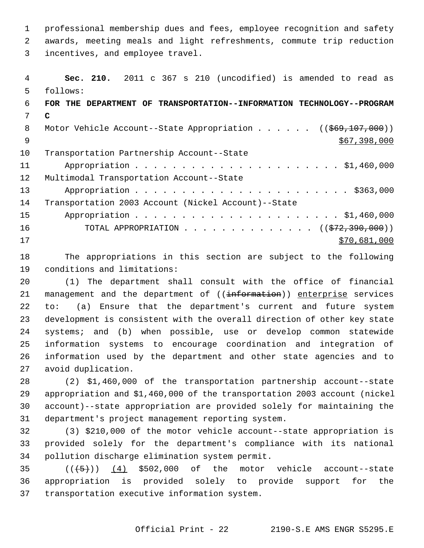1 professional membership dues and fees, employee recognition and safety 2 awards, meeting meals and light refreshments, commute trip reduction 3 incentives, and employee travel.

 4 **Sec. 210.** 2011 c 367 s 210 (uncodified) is amended to read as 5 follows: 6 **FOR THE DEPARTMENT OF TRANSPORTATION--INFORMATION TECHNOLOGY--PROGRAM** 7 **C** 8 Motor Vehicle Account--State Appropriation . . . . . ((\$69,107,000))  $\frac{$67,398,000}{$567,398,000}$ 10 Transportation Partnership Account--State 11 Appropriation . . . . . . . . . . . . . . . . . . . . . . \$1,460,000 12 Multimodal Transportation Account--State 13 Appropriation . . . . . . . . . . . . . . . . . . . . . . . \$363,000 14 Transportation 2003 Account (Nickel Account)--State 15 Appropriation . . . . . . . . . . . . . . . . . . . . . . \$1,460,000 16 TOTAL APPROPRIATION . . . . . . . . . . . . . . ((\$72,390,000))  $17$  \$70,681,000

18 The appropriations in this section are subject to the following 19 conditions and limitations:

20 (1) The department shall consult with the office of financial 21 management and the department of ((information)) enterprise services 22 to: (a) Ensure that the department's current and future system 23 development is consistent with the overall direction of other key state 24 systems; and (b) when possible, use or develop common statewide 25 information systems to encourage coordination and integration of 26 information used by the department and other state agencies and to 27 avoid duplication.

28 (2) \$1,460,000 of the transportation partnership account--state 29 appropriation and \$1,460,000 of the transportation 2003 account (nickel 30 account)--state appropriation are provided solely for maintaining the 31 department's project management reporting system.

32 (3) \$210,000 of the motor vehicle account--state appropriation is 33 provided solely for the department's compliance with its national 34 pollution discharge elimination system permit.

35  $((\left\langle 5\right\rangle))^2$  (4) \$502,000 of the motor vehicle account--state 36 appropriation is provided solely to provide support for the 37 transportation executive information system.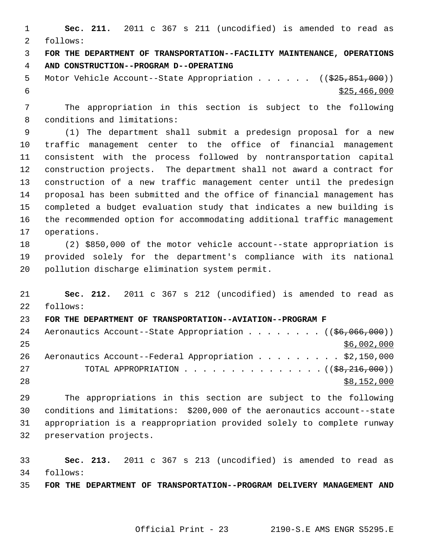1 **Sec. 211.** 2011 c 367 s 211 (uncodified) is amended to read as 2 follows:

 3 **FOR THE DEPARTMENT OF TRANSPORTATION--FACILITY MAINTENANCE, OPERATIONS** 4 **AND CONSTRUCTION--PROGRAM D--OPERATING**

5 Motor Vehicle Account--State Appropriation . . . . . ((\$25,851,000))  $\frac{$25,466,000}{5}$ 

 7 The appropriation in this section is subject to the following 8 conditions and limitations:

 9 (1) The department shall submit a predesign proposal for a new 10 traffic management center to the office of financial management 11 consistent with the process followed by nontransportation capital 12 construction projects. The department shall not award a contract for 13 construction of a new traffic management center until the predesign 14 proposal has been submitted and the office of financial management has 15 completed a budget evaluation study that indicates a new building is 16 the recommended option for accommodating additional traffic management 17 operations.

18 (2) \$850,000 of the motor vehicle account--state appropriation is 19 provided solely for the department's compliance with its national 20 pollution discharge elimination system permit.

21 **Sec. 212.** 2011 c 367 s 212 (uncodified) is amended to read as 22 follows:

23 **FOR THE DEPARTMENT OF TRANSPORTATION--AVIATION--PROGRAM F**

| 24  | Aeronautics Account--State Appropriation ( (\$6,066,000))              |
|-----|------------------------------------------------------------------------|
| 25  | \$6,002,000                                                            |
| 26  | Aeronautics Account--Federal Appropriation \$2,150,000                 |
| 2.7 | TOTAL APPROPRIATION $\ldots$ , ( $(\frac{28}{216}, \frac{216}{100})$ ) |
| 28  | \$8,152,000                                                            |

29 The appropriations in this section are subject to the following 30 conditions and limitations: \$200,000 of the aeronautics account--state 31 appropriation is a reappropriation provided solely to complete runway 32 preservation projects.

33 **Sec. 213.** 2011 c 367 s 213 (uncodified) is amended to read as 34 follows:

35 **FOR THE DEPARTMENT OF TRANSPORTATION--PROGRAM DELIVERY MANAGEMENT AND**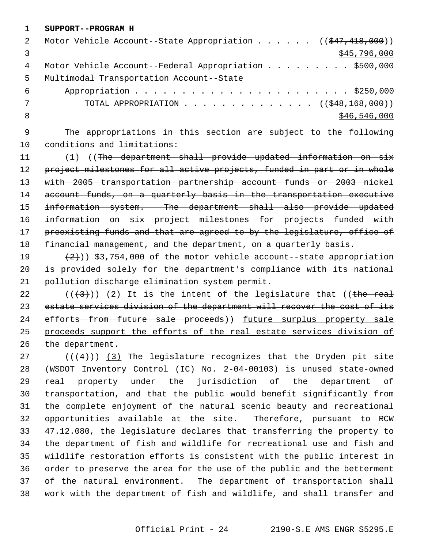1 **SUPPORT--PROGRAM H**

| 2  | Motor Vehicle Account--State Appropriation $($ $($ $\frac{247}{18},000)$ $)$ |
|----|------------------------------------------------------------------------------|
|    | \$45,796,000                                                                 |
| 4  | Motor Vehicle Account--Federal Appropriation \$500,000                       |
| 5. | Multimodal Transportation Account--State                                     |
| 6  |                                                                              |
|    | TOTAL APPROPRIATION $\ldots$ , ( $(\frac{248}{168}, \frac{168}{160})$ )      |
| -8 | \$46,546,000                                                                 |
|    |                                                                              |

 9 The appropriations in this section are subject to the following 10 conditions and limitations:

11 (1) ((The department shall provide updated information on six 12 project milestones for all active projects, funded in part or in whole 13 with 2005 transportation partnership account funds or 2003 nickel 14 account funds, on a quarterly basis in the transportation executive 15 information system. The department shall also provide updated 16 information on six project milestones for projects funded with 17 preexisting funds and that are agreed to by the legislature, office of 18 financial management, and the department, on a quarterly basis.

19  $(2)$   $(2)$   $(3)$ , 754,000 of the motor vehicle account--state appropriation 20 is provided solely for the department's compliance with its national 21 pollution discharge elimination system permit.

22  $((+3))$  (2) It is the intent of the legislature that ((the real 23 estate services division of the department will recover the cost of its 24 efforts from future sale proceeds)) future surplus property sale 25 proceeds support the efforts of the real estate services division of 26 the department.

27  $((+4))$  (3) The legislature recognizes that the Dryden pit site 28 (WSDOT Inventory Control (IC) No. 2-04-00103) is unused state-owned 29 real property under the jurisdiction of the department of 30 transportation, and that the public would benefit significantly from 31 the complete enjoyment of the natural scenic beauty and recreational 32 opportunities available at the site. Therefore, pursuant to RCW 33 47.12.080, the legislature declares that transferring the property to 34 the department of fish and wildlife for recreational use and fish and 35 wildlife restoration efforts is consistent with the public interest in 36 order to preserve the area for the use of the public and the betterment 37 of the natural environment. The department of transportation shall 38 work with the department of fish and wildlife, and shall transfer and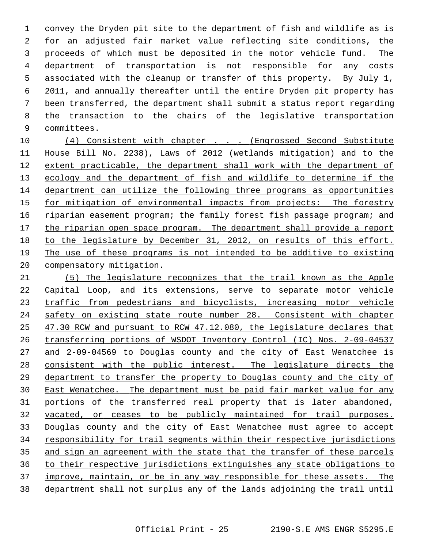1 convey the Dryden pit site to the department of fish and wildlife as is 2 for an adjusted fair market value reflecting site conditions, the 3 proceeds of which must be deposited in the motor vehicle fund. The 4 department of transportation is not responsible for any costs 5 associated with the cleanup or transfer of this property. By July 1, 6 2011, and annually thereafter until the entire Dryden pit property has 7 been transferred, the department shall submit a status report regarding 8 the transaction to the chairs of the legislative transportation 9 committees.

 (4) Consistent with chapter . . . (Engrossed Second Substitute House Bill No. 2238), Laws of 2012 (wetlands mitigation) and to the extent practicable, the department shall work with the department of ecology and the department of fish and wildlife to determine if the department can utilize the following three programs as opportunities for mitigation of environmental impacts from projects: The forestry riparian easement program; the family forest fish passage program; and the riparian open space program. The department shall provide a report to the legislature by December 31, 2012, on results of this effort. The use of these programs is not intended to be additive to existing compensatory mitigation.

 (5) The legislature recognizes that the trail known as the Apple Capital Loop, and its extensions, serve to separate motor vehicle 23 traffic from pedestrians and bicyclists, increasing motor vehicle safety on existing state route number 28. Consistent with chapter 47.30 RCW and pursuant to RCW 47.12.080, the legislature declares that transferring portions of WSDOT Inventory Control (IC) Nos. 2-09-04537 and 2-09-04569 to Douglas county and the city of East Wenatchee is consistent with the public interest. The legislature directs the department to transfer the property to Douglas county and the city of East Wenatchee. The department must be paid fair market value for any portions of the transferred real property that is later abandoned, vacated, or ceases to be publicly maintained for trail purposes. Douglas county and the city of East Wenatchee must agree to accept responsibility for trail segments within their respective jurisdictions and sign an agreement with the state that the transfer of these parcels to their respective jurisdictions extinguishes any state obligations to improve, maintain, or be in any way responsible for these assets. The department shall not surplus any of the lands adjoining the trail until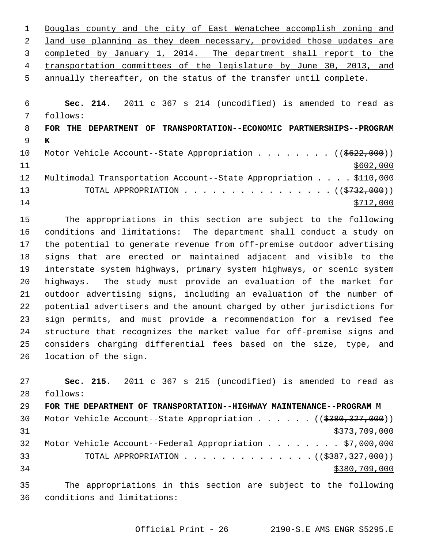| 1               | Douglas county and the city of East Wenatchee accomplish zoning and        |
|-----------------|----------------------------------------------------------------------------|
| 2               | land use planning as they deem necessary, provided those updates are       |
| 3               | completed by January 1, 2014. The department shall report to the           |
| 4               | transportation committees of the legislature by June 30, 2013, and         |
| 5               | annually thereafter, on the status of the transfer until complete.         |
|                 |                                                                            |
| 6               | Sec. 214. 2011 c 367 s 214 (uncodified) is amended to read as              |
| 7               | follows:                                                                   |
| 8               | TRANSPORTATION--ECONOMIC PARTNERSHIPS--PROGRAM<br>FOR THE<br>DEPARTMENT OF |
| 9               | K                                                                          |
| 10 <sub>1</sub> | Motor Vehicle Account--State Appropriation ( $(\frac{2622}{000})$ )        |
| 11              | \$602,000                                                                  |
| 12              | Multimodal Transportation Account--State Appropriation \$110,000           |
| 13              | TOTAL APPROPRIATION $\ldots$ , ( $(\frac{2732}{100})$ )                    |
| 14              | \$712,000                                                                  |
|                 |                                                                            |

15 The appropriations in this section are subject to the following 16 conditions and limitations: The department shall conduct a study on 17 the potential to generate revenue from off-premise outdoor advertising 18 signs that are erected or maintained adjacent and visible to the 19 interstate system highways, primary system highways, or scenic system 20 highways. The study must provide an evaluation of the market for 21 outdoor advertising signs, including an evaluation of the number of 22 potential advertisers and the amount charged by other jurisdictions for 23 sign permits, and must provide a recommendation for a revised fee 24 structure that recognizes the market value for off-premise signs and 25 considers charging differential fees based on the size, type, and 26 location of the sign.

27 **Sec. 215.** 2011 c 367 s 215 (uncodified) is amended to read as 28 follows: 29 **FOR THE DEPARTMENT OF TRANSPORTATION--HIGHWAY MAINTENANCE--PROGRAM M** 30 Motor Vehicle Account--State Appropriation . . . . . . ((\$380,327,000))  $31$  \$373,709,000 32 Motor Vehicle Account--Federal Appropriation . . . . . . . . \$7,000,000 33 TOTAL APPROPRIATION . . . . . . . . . . . . . ((<del>\$387,327,000</del>)) 34 \$380,709,000 35 The appropriations in this section are subject to the following

36 conditions and limitations: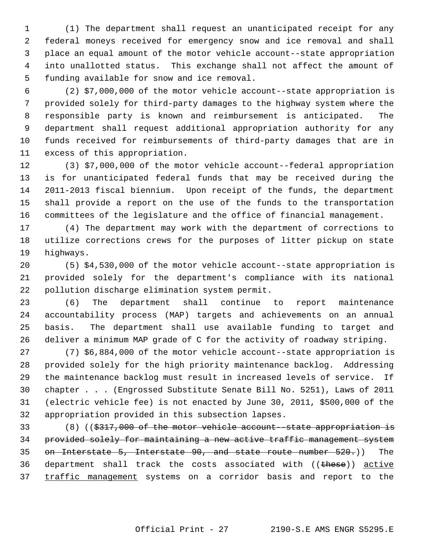1 (1) The department shall request an unanticipated receipt for any 2 federal moneys received for emergency snow and ice removal and shall 3 place an equal amount of the motor vehicle account--state appropriation 4 into unallotted status. This exchange shall not affect the amount of 5 funding available for snow and ice removal.

 6 (2) \$7,000,000 of the motor vehicle account--state appropriation is 7 provided solely for third-party damages to the highway system where the 8 responsible party is known and reimbursement is anticipated. The 9 department shall request additional appropriation authority for any 10 funds received for reimbursements of third-party damages that are in 11 excess of this appropriation.

12 (3) \$7,000,000 of the motor vehicle account--federal appropriation 13 is for unanticipated federal funds that may be received during the 14 2011-2013 fiscal biennium. Upon receipt of the funds, the department 15 shall provide a report on the use of the funds to the transportation 16 committees of the legislature and the office of financial management.

17 (4) The department may work with the department of corrections to 18 utilize corrections crews for the purposes of litter pickup on state 19 highways.

20 (5) \$4,530,000 of the motor vehicle account--state appropriation is 21 provided solely for the department's compliance with its national 22 pollution discharge elimination system permit.

23 (6) The department shall continue to report maintenance 24 accountability process (MAP) targets and achievements on an annual 25 basis. The department shall use available funding to target and 26 deliver a minimum MAP grade of C for the activity of roadway striping.

27 (7) \$6,884,000 of the motor vehicle account--state appropriation is 28 provided solely for the high priority maintenance backlog. Addressing 29 the maintenance backlog must result in increased levels of service. If 30 chapter . . . (Engrossed Substitute Senate Bill No. 5251), Laws of 2011 31 (electric vehicle fee) is not enacted by June 30, 2011, \$500,000 of the 32 appropriation provided in this subsection lapses.

33 (8) ((\$317,000 of the motor vehicle account--state appropriation is 34 provided solely for maintaining a new active traffic management system 35 on Interstate 5, Interstate 90, and state route number 520.)) The 36 department shall track the costs associated with ((these)) active 37 traffic management systems on a corridor basis and report to the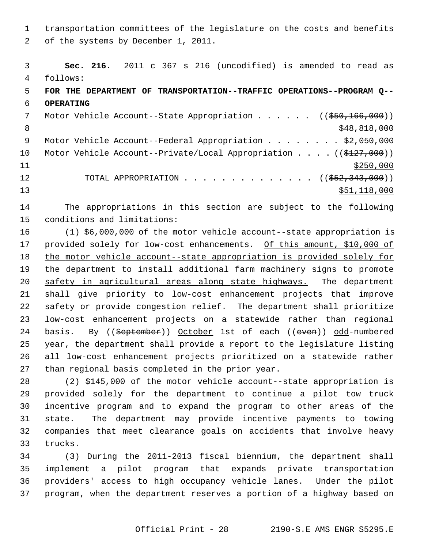1 transportation committees of the legislature on the costs and benefits 2 of the systems by December 1, 2011.

 3 **Sec. 216.** 2011 c 367 s 216 (uncodified) is amended to read as 4 follows: 5 **FOR THE DEPARTMENT OF TRANSPORTATION--TRAFFIC OPERATIONS--PROGRAM Q--** 6 **OPERATING** 7 Motor Vehicle Account--State Appropriation . . . . . ((\$50,166,000))  $8 \div 48,818,000$ 9 Motor Vehicle Account--Federal Appropriation . . . . . . . \$2,050,000 10 Motor Vehicle Account--Private/Local Appropriation . . . . ((\$127,000))  $11$  \$250,000 12 TOTAL APPROPRIATION . . . . . . . . . . . . . . ((\$52,343,000))  $\frac{13}{13}$   $\frac{118}{000}$ 

14 The appropriations in this section are subject to the following 15 conditions and limitations:

16 (1) \$6,000,000 of the motor vehicle account--state appropriation is 17 provided solely for low-cost enhancements. Of this amount, \$10,000 of 18 the motor vehicle account--state appropriation is provided solely for 19 the department to install additional farm machinery signs to promote 20 safety in agricultural areas along state highways. The department 21 shall give priority to low-cost enhancement projects that improve 22 safety or provide congestion relief. The department shall prioritize 23 low-cost enhancement projects on a statewide rather than regional 24 basis. By ((September)) October 1st of each ((even)) odd-numbered 25 year, the department shall provide a report to the legislature listing 26 all low-cost enhancement projects prioritized on a statewide rather 27 than regional basis completed in the prior year.

28 (2) \$145,000 of the motor vehicle account--state appropriation is 29 provided solely for the department to continue a pilot tow truck 30 incentive program and to expand the program to other areas of the 31 state. The department may provide incentive payments to towing 32 companies that meet clearance goals on accidents that involve heavy 33 trucks.

34 (3) During the 2011-2013 fiscal biennium, the department shall 35 implement a pilot program that expands private transportation 36 providers' access to high occupancy vehicle lanes. Under the pilot 37 program, when the department reserves a portion of a highway based on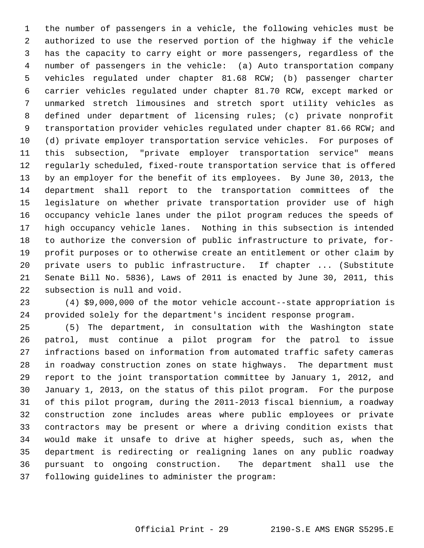1 the number of passengers in a vehicle, the following vehicles must be 2 authorized to use the reserved portion of the highway if the vehicle 3 has the capacity to carry eight or more passengers, regardless of the 4 number of passengers in the vehicle: (a) Auto transportation company 5 vehicles regulated under chapter 81.68 RCW; (b) passenger charter 6 carrier vehicles regulated under chapter 81.70 RCW, except marked or 7 unmarked stretch limousines and stretch sport utility vehicles as 8 defined under department of licensing rules; (c) private nonprofit 9 transportation provider vehicles regulated under chapter 81.66 RCW; and 10 (d) private employer transportation service vehicles. For purposes of 11 this subsection, "private employer transportation service" means 12 regularly scheduled, fixed-route transportation service that is offered 13 by an employer for the benefit of its employees. By June 30, 2013, the 14 department shall report to the transportation committees of the 15 legislature on whether private transportation provider use of high 16 occupancy vehicle lanes under the pilot program reduces the speeds of 17 high occupancy vehicle lanes. Nothing in this subsection is intended 18 to authorize the conversion of public infrastructure to private, for-19 profit purposes or to otherwise create an entitlement or other claim by 20 private users to public infrastructure. If chapter ... (Substitute 21 Senate Bill No. 5836), Laws of 2011 is enacted by June 30, 2011, this 22 subsection is null and void.

23 (4) \$9,000,000 of the motor vehicle account--state appropriation is 24 provided solely for the department's incident response program.

25 (5) The department, in consultation with the Washington state 26 patrol, must continue a pilot program for the patrol to issue 27 infractions based on information from automated traffic safety cameras 28 in roadway construction zones on state highways. The department must 29 report to the joint transportation committee by January 1, 2012, and 30 January 1, 2013, on the status of this pilot program. For the purpose 31 of this pilot program, during the 2011-2013 fiscal biennium, a roadway 32 construction zone includes areas where public employees or private 33 contractors may be present or where a driving condition exists that 34 would make it unsafe to drive at higher speeds, such as, when the 35 department is redirecting or realigning lanes on any public roadway 36 pursuant to ongoing construction. The department shall use the 37 following guidelines to administer the program: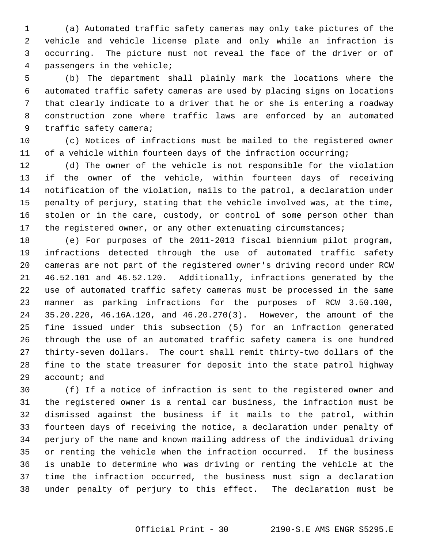1 (a) Automated traffic safety cameras may only take pictures of the 2 vehicle and vehicle license plate and only while an infraction is 3 occurring. The picture must not reveal the face of the driver or of 4 passengers in the vehicle;

 5 (b) The department shall plainly mark the locations where the 6 automated traffic safety cameras are used by placing signs on locations 7 that clearly indicate to a driver that he or she is entering a roadway 8 construction zone where traffic laws are enforced by an automated 9 traffic safety camera;

10 (c) Notices of infractions must be mailed to the registered owner 11 of a vehicle within fourteen days of the infraction occurring;

12 (d) The owner of the vehicle is not responsible for the violation 13 if the owner of the vehicle, within fourteen days of receiving 14 notification of the violation, mails to the patrol, a declaration under 15 penalty of perjury, stating that the vehicle involved was, at the time, 16 stolen or in the care, custody, or control of some person other than 17 the registered owner, or any other extenuating circumstances;

18 (e) For purposes of the 2011-2013 fiscal biennium pilot program, 19 infractions detected through the use of automated traffic safety 20 cameras are not part of the registered owner's driving record under RCW 21 46.52.101 and 46.52.120. Additionally, infractions generated by the 22 use of automated traffic safety cameras must be processed in the same 23 manner as parking infractions for the purposes of RCW 3.50.100, 24 35.20.220, 46.16A.120, and 46.20.270(3). However, the amount of the 25 fine issued under this subsection (5) for an infraction generated 26 through the use of an automated traffic safety camera is one hundred 27 thirty-seven dollars. The court shall remit thirty-two dollars of the 28 fine to the state treasurer for deposit into the state patrol highway 29 account; and

30 (f) If a notice of infraction is sent to the registered owner and 31 the registered owner is a rental car business, the infraction must be 32 dismissed against the business if it mails to the patrol, within 33 fourteen days of receiving the notice, a declaration under penalty of 34 perjury of the name and known mailing address of the individual driving 35 or renting the vehicle when the infraction occurred. If the business 36 is unable to determine who was driving or renting the vehicle at the 37 time the infraction occurred, the business must sign a declaration 38 under penalty of perjury to this effect. The declaration must be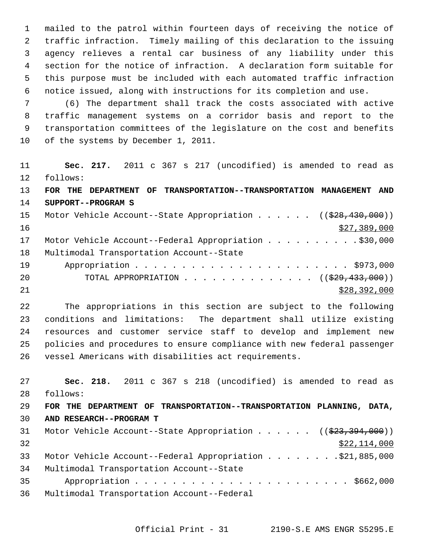1 mailed to the patrol within fourteen days of receiving the notice of 2 traffic infraction. Timely mailing of this declaration to the issuing 3 agency relieves a rental car business of any liability under this 4 section for the notice of infraction. A declaration form suitable for 5 this purpose must be included with each automated traffic infraction 6 notice issued, along with instructions for its completion and use.

 7 (6) The department shall track the costs associated with active 8 traffic management systems on a corridor basis and report to the 9 transportation committees of the legislature on the cost and benefits 10 of the systems by December 1, 2011.

11 **Sec. 217.** 2011 c 367 s 217 (uncodified) is amended to read as 12 follows: 13 **FOR THE DEPARTMENT OF TRANSPORTATION--TRANSPORTATION MANAGEMENT AND** 14 **SUPPORT--PROGRAM S** 15 Motor Vehicle Account--State Appropriation . . . . . ((\$28,430,000))  $\frac{$27,389,000}{200}$ 17 Motor Vehicle Account--Federal Appropriation . . . . . . . . . . \$30,000 18 Multimodal Transportation Account--State 19 Appropriation . . . . . . . . . . . . . . . . . . . . . . . \$973,000 20 TOTAL APPROPRIATION  $\ldots$ , . . . . . . . . . . ( $(\frac{229}{7433}, 000)$ )  $21$  \$28,392,000

22 The appropriations in this section are subject to the following 23 conditions and limitations: The department shall utilize existing 24 resources and customer service staff to develop and implement new 25 policies and procedures to ensure compliance with new federal passenger 26 vessel Americans with disabilities act requirements.

27 **Sec. 218.** 2011 c 367 s 218 (uncodified) is amended to read as 28 follows: 29 **FOR THE DEPARTMENT OF TRANSPORTATION--TRANSPORTATION PLANNING, DATA,** 30 **AND RESEARCH--PROGRAM T** 31 Motor Vehicle Account--State Appropriation . . . . . ((\$23,394,000))  $32$   $$22,114,000$ 33 Motor Vehicle Account--Federal Appropriation . . . . . . . \$21,885,000 34 Multimodal Transportation Account--State 35 Appropriation . . . . . . . . . . . . . . . . . . . . . . . \$662,000 36 Multimodal Transportation Account--Federal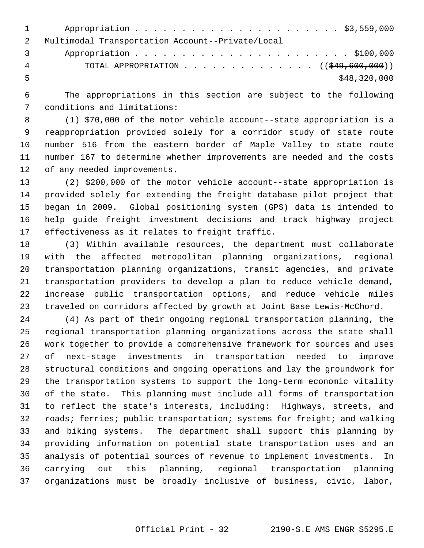| $1 \qquad \qquad$ |                                                        |
|-------------------|--------------------------------------------------------|
|                   | Multimodal Transportation Account--Private/Local       |
| 3                 |                                                        |
| 4                 | TOTAL APPROPRIATION $($ $($ $\frac{249}{600},000)$ $)$ |
|                   | \$48,320,000                                           |

 6 The appropriations in this section are subject to the following 7 conditions and limitations:

 8 (1) \$70,000 of the motor vehicle account--state appropriation is a 9 reappropriation provided solely for a corridor study of state route 10 number 516 from the eastern border of Maple Valley to state route 11 number 167 to determine whether improvements are needed and the costs 12 of any needed improvements.

13 (2) \$200,000 of the motor vehicle account--state appropriation is 14 provided solely for extending the freight database pilot project that 15 began in 2009. Global positioning system (GPS) data is intended to 16 help guide freight investment decisions and track highway project 17 effectiveness as it relates to freight traffic.

18 (3) Within available resources, the department must collaborate 19 with the affected metropolitan planning organizations, regional 20 transportation planning organizations, transit agencies, and private 21 transportation providers to develop a plan to reduce vehicle demand, 22 increase public transportation options, and reduce vehicle miles 23 traveled on corridors affected by growth at Joint Base Lewis-McChord.

24 (4) As part of their ongoing regional transportation planning, the 25 regional transportation planning organizations across the state shall 26 work together to provide a comprehensive framework for sources and uses 27 of next-stage investments in transportation needed to improve 28 structural conditions and ongoing operations and lay the groundwork for 29 the transportation systems to support the long-term economic vitality 30 of the state. This planning must include all forms of transportation 31 to reflect the state's interests, including: Highways, streets, and 32 roads; ferries; public transportation; systems for freight; and walking 33 and biking systems. The department shall support this planning by 34 providing information on potential state transportation uses and an 35 analysis of potential sources of revenue to implement investments. In 36 carrying out this planning, regional transportation planning 37 organizations must be broadly inclusive of business, civic, labor,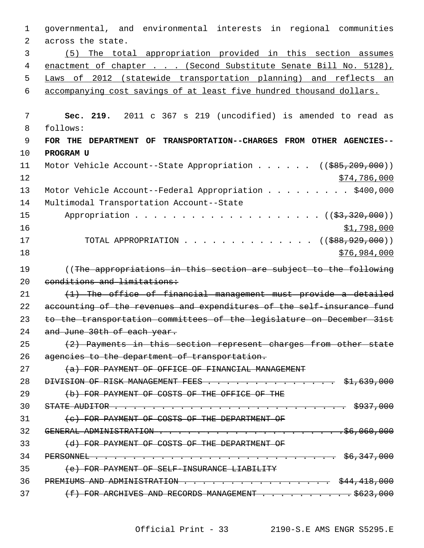| $\mathbf 1$ | governmental, and environmental interests in regional communities                                                                                                                                                                                                                                                                     |
|-------------|---------------------------------------------------------------------------------------------------------------------------------------------------------------------------------------------------------------------------------------------------------------------------------------------------------------------------------------|
| 2           | across the state.                                                                                                                                                                                                                                                                                                                     |
| 3           | (5) The total appropriation provided in this section assumes                                                                                                                                                                                                                                                                          |
| 4           | enactment of chapter (Second Substitute Senate Bill No. 5128),                                                                                                                                                                                                                                                                        |
| 5           | Laws of 2012 (statewide transportation planning) and reflects an                                                                                                                                                                                                                                                                      |
| 6           | accompanying cost savings of at least five hundred thousand dollars.                                                                                                                                                                                                                                                                  |
| 7           | Sec. 219. 2011 c 367 s 219 (uncodified) is amended to read as                                                                                                                                                                                                                                                                         |
| 8           | follows:                                                                                                                                                                                                                                                                                                                              |
| 9           | FOR THE DEPARTMENT OF TRANSPORTATION--CHARGES FROM OTHER AGENCIES--                                                                                                                                                                                                                                                                   |
| 10          | PROGRAM U                                                                                                                                                                                                                                                                                                                             |
| 11          |                                                                                                                                                                                                                                                                                                                                       |
| 12          | Motor Vehicle Account--State Appropriation ( $(\frac{285}{209}, 209, 000)$ )                                                                                                                                                                                                                                                          |
|             | \$74,786,000                                                                                                                                                                                                                                                                                                                          |
| 13<br>14    | Motor Vehicle Account--Federal Appropriation \$400,000<br>Multimodal Transportation Account--State                                                                                                                                                                                                                                    |
| 15          |                                                                                                                                                                                                                                                                                                                                       |
| 16          |                                                                                                                                                                                                                                                                                                                                       |
| 17          | \$1,798,000<br>TOTAL APPROPRIATION                                                                                                                                                                                                                                                                                                    |
| 18          | ((\$888,929,000))<br>\$76,984,000                                                                                                                                                                                                                                                                                                     |
|             |                                                                                                                                                                                                                                                                                                                                       |
| 19          | ((The appropriations in this section are subject to the following                                                                                                                                                                                                                                                                     |
| 20          | conditions and limitations:                                                                                                                                                                                                                                                                                                           |
| 21          | (1) The office of financial management must provide a detailed                                                                                                                                                                                                                                                                        |
| 22          | accounting of the revenues and expenditures of the self-insurance fund                                                                                                                                                                                                                                                                |
| 23          | to the transportation committees of the legislature on December 31st                                                                                                                                                                                                                                                                  |
| 24          | and June 30th of each year.                                                                                                                                                                                                                                                                                                           |
| 25          | (2) Payments in this section represent charges from other state                                                                                                                                                                                                                                                                       |
| 26          | agencies to the department of transportation.                                                                                                                                                                                                                                                                                         |
| 27          | (a) FOR PAYMENT OF OFFICE OF FINANCIAL MANAGEMENT                                                                                                                                                                                                                                                                                     |
| 28          | DIVISION OF RISK MANAGEMENT FEES \$1,639,000                                                                                                                                                                                                                                                                                          |
| 29          | (b) FOR PAYMENT OF COSTS OF THE OFFICE OF THE                                                                                                                                                                                                                                                                                         |
|             |                                                                                                                                                                                                                                                                                                                                       |
| 30          | STATE AUDITOR $\cdots$ $\cdots$ $\cdots$ $\cdots$ $\cdots$ $\cdots$ $\cdots$ $\cdots$ $\cdots$ $\cdots$ $\cdots$ $\cdots$ $\cdots$ $\cdots$ $\cdots$ $\cdots$ $\cdots$ $\cdots$ $\cdots$ $\cdots$ $\cdots$ $\cdots$ $\cdots$ $\cdots$ $\cdots$ $\cdots$ $\cdots$ $\cdots$ $\cdots$ $\cdots$ $\cdots$ $\cdots$ $\cdots$ $\cdots$ $\cd$ |
| 31          | (c) FOR PAYMENT OF COSTS OF THE DEPARTMENT OF                                                                                                                                                                                                                                                                                         |
| 32          | GENERAL ADMINISTRATION $\cdots$ $\cdots$ $\cdots$ $\cdots$ $\cdots$ $\cdots$ $\cdots$ $\cdots$ $\cdots$ $\cdots$ $\cdots$ $\cdots$ $\cdots$ $\cdots$ $\cdots$ $\cdots$ $\cdots$ $\cdots$ $\cdots$ $\cdots$ $\cdots$ $\cdots$ $\cdots$ $\cdots$ $\cdots$ $\cdots$ $\cdots$ $\cdots$ $\cdots$ $\cdots$ $\cdots$ $\cdots$ $\cdots$       |
| 33          | (d) FOR PAYMENT OF COSTS OF THE DEPARTMENT OF                                                                                                                                                                                                                                                                                         |
| 34          |                                                                                                                                                                                                                                                                                                                                       |
| 35          | (e) FOR PAYMENT OF SELF-INSURANCE LIABILITY                                                                                                                                                                                                                                                                                           |
| 36          | PREMIUMS AND ADMINISTRATION \$44,418,000                                                                                                                                                                                                                                                                                              |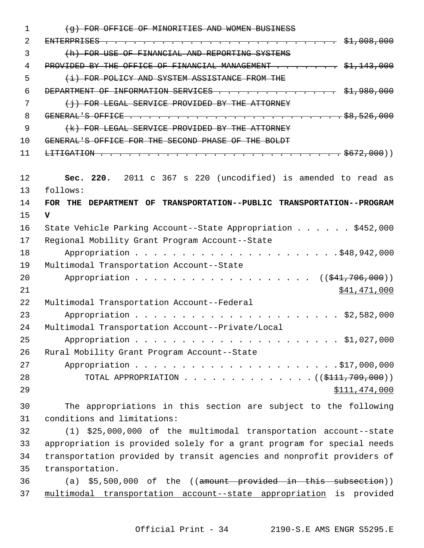| $\mathbf{1}$ | (g) FOR OFFICE OF MINORITIES AND WOMEN BUSINESS                        |
|--------------|------------------------------------------------------------------------|
| 2            |                                                                        |
| 3            | (h) FOR USE OF FINANCIAL AND REPORTING SYSTEMS                         |
| 4            | PROVIDED BY THE OFFICE OF FINANCIAL MANAGEMENT \$1,143,000             |
| 5            | (i) FOR POLICY AND SYSTEM ASSISTANCE FROM THE                          |
| 6            | DEPARTMENT OF INFORMATION SERVICES \$1,980,000                         |
| 7            | (i) FOR LEGAL SERVICE PROVIDED BY THE ATTORNEY                         |
| 8            |                                                                        |
| 9            | (k) FOR LEGAL SERVICE PROVIDED BY THE ATTORNEY                         |
| 10           | GENERAL'S OFFICE FOR THE SECOND PHASE OF THE BOLDT                     |
| 11           |                                                                        |
|              |                                                                        |
| 12           | Sec. 220. 2011 c 367 s 220 (uncodified) is amended to read as          |
| 13           | follows:                                                               |
| 14           | FOR THE DEPARTMENT OF TRANSPORTATION--PUBLIC TRANSPORTATION--PROGRAM   |
| 15           | $\mathbf{v}$                                                           |
| 16           | State Vehicle Parking Account--State Appropriation \$452,000           |
| 17           | Regional Mobility Grant Program Account--State                         |
| 18           |                                                                        |
| 19           | Multimodal Transportation Account--State                               |
| 20           | $((\$41,706,000))$                                                     |
| 21           | \$41,471,000                                                           |
| 22           | Multimodal Transportation Account--Federal                             |
| 23           |                                                                        |
| 24           | Multimodal Transportation Account--Private/Local                       |
| 25           |                                                                        |
| 26           | Rural Mobility Grant Program Account--State                            |
| 27           |                                                                        |
| 28           | TOTAL APPROPRIATION ( $(\frac{111}{709},000)$ )                        |
| 29           | \$111,474,000                                                          |
| 30           | The appropriations in this section are subject to the following        |
| 31           | conditions and limitations:                                            |
| 32           | (1) \$25,000,000 of the multimodal transportation account--state       |
| 33           | appropriation is provided solely for a grant program for special needs |
| 34           | transportation provided by transit agencies and nonprofit providers of |
| 35           | transportation.                                                        |
| 36           | (a) $$5,500,000$ of the ((amount provided in this subsection))         |
| 37           | multimodal transportation account--state appropriation is provided     |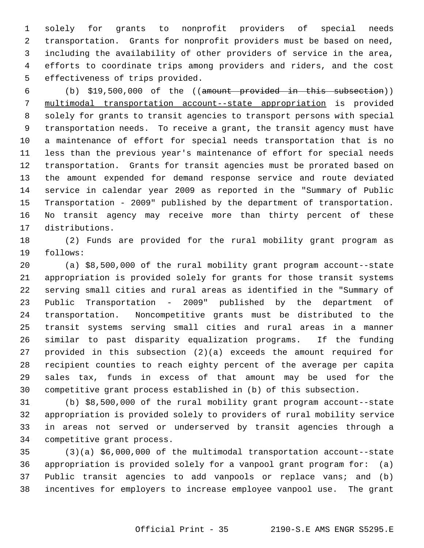1 solely for grants to nonprofit providers of special needs 2 transportation. Grants for nonprofit providers must be based on need, 3 including the availability of other providers of service in the area, 4 efforts to coordinate trips among providers and riders, and the cost 5 effectiveness of trips provided.

 6 (b) \$19,500,000 of the ((amount provided in this subsection)) 7 multimodal transportation account--state appropriation is provided 8 solely for grants to transit agencies to transport persons with special 9 transportation needs. To receive a grant, the transit agency must have 10 a maintenance of effort for special needs transportation that is no 11 less than the previous year's maintenance of effort for special needs 12 transportation. Grants for transit agencies must be prorated based on 13 the amount expended for demand response service and route deviated 14 service in calendar year 2009 as reported in the "Summary of Public 15 Transportation - 2009" published by the department of transportation. 16 No transit agency may receive more than thirty percent of these 17 distributions.

18 (2) Funds are provided for the rural mobility grant program as 19 follows:

20 (a) \$8,500,000 of the rural mobility grant program account--state 21 appropriation is provided solely for grants for those transit systems 22 serving small cities and rural areas as identified in the "Summary of 23 Public Transportation - 2009" published by the department of 24 transportation. Noncompetitive grants must be distributed to the 25 transit systems serving small cities and rural areas in a manner 26 similar to past disparity equalization programs. If the funding 27 provided in this subsection (2)(a) exceeds the amount required for 28 recipient counties to reach eighty percent of the average per capita 29 sales tax, funds in excess of that amount may be used for the 30 competitive grant process established in (b) of this subsection.

31 (b) \$8,500,000 of the rural mobility grant program account--state 32 appropriation is provided solely to providers of rural mobility service 33 in areas not served or underserved by transit agencies through a 34 competitive grant process.

35 (3)(a) \$6,000,000 of the multimodal transportation account--state 36 appropriation is provided solely for a vanpool grant program for: (a) 37 Public transit agencies to add vanpools or replace vans; and (b) 38 incentives for employers to increase employee vanpool use. The grant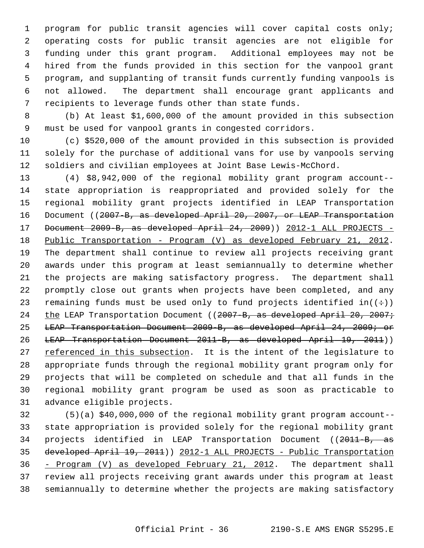1 program for public transit agencies will cover capital costs only; 2 operating costs for public transit agencies are not eligible for 3 funding under this grant program. Additional employees may not be 4 hired from the funds provided in this section for the vanpool grant 5 program, and supplanting of transit funds currently funding vanpools is 6 not allowed. The department shall encourage grant applicants and 7 recipients to leverage funds other than state funds.

 8 (b) At least \$1,600,000 of the amount provided in this subsection 9 must be used for vanpool grants in congested corridors.

10 (c) \$520,000 of the amount provided in this subsection is provided 11 solely for the purchase of additional vans for use by vanpools serving 12 soldiers and civilian employees at Joint Base Lewis-McChord.

13 (4) \$8,942,000 of the regional mobility grant program account-- 14 state appropriation is reappropriated and provided solely for the 15 regional mobility grant projects identified in LEAP Transportation 16 Document ((2007-B, as developed April 20, 2007, or LEAP Transportation 17 Document 2009-B, as developed April 24, 2009) 2012-1 ALL PROJECTS -18 Public Transportation - Program (V) as developed February 21, 2012. 19 The department shall continue to review all projects receiving grant 20 awards under this program at least semiannually to determine whether 21 the projects are making satisfactory progress. The department shall 22 promptly close out grants when projects have been completed, and any 23 remaining funds must be used only to fund projects identified in( $(\div)$ ) 24 the LEAP Transportation Document ((2007-B, as developed April 20, 2007; 25 LEAP Transportation Document 2009-B, as developed April 24, 2009; or 26 LEAP Transportation Document 2011-B, as developed April 19, 2011)) 27 referenced in this subsection. It is the intent of the legislature to 28 appropriate funds through the regional mobility grant program only for 29 projects that will be completed on schedule and that all funds in the 30 regional mobility grant program be used as soon as practicable to 31 advance eligible projects.

32 (5)(a) \$40,000,000 of the regional mobility grant program account-- 33 state appropriation is provided solely for the regional mobility grant 34 projects identified in LEAP Transportation Document ((2011-B, as 35 developed April 19, 2011)) 2012-1 ALL PROJECTS - Public Transportation 36 - Program (V) as developed February 21, 2012. The department shall 37 review all projects receiving grant awards under this program at least 38 semiannually to determine whether the projects are making satisfactory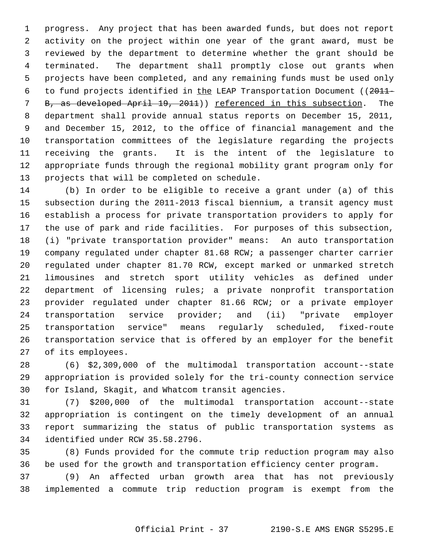1 progress. Any project that has been awarded funds, but does not report 2 activity on the project within one year of the grant award, must be 3 reviewed by the department to determine whether the grant should be 4 terminated. The department shall promptly close out grants when 5 projects have been completed, and any remaining funds must be used only 6 to fund projects identified in the LEAP Transportation Document ((2011- 7 B, as developed April 19, 2011)) referenced in this subsection. The 8 department shall provide annual status reports on December 15, 2011, 9 and December 15, 2012, to the office of financial management and the 10 transportation committees of the legislature regarding the projects 11 receiving the grants. It is the intent of the legislature to 12 appropriate funds through the regional mobility grant program only for 13 projects that will be completed on schedule.

14 (b) In order to be eligible to receive a grant under (a) of this 15 subsection during the 2011-2013 fiscal biennium, a transit agency must 16 establish a process for private transportation providers to apply for 17 the use of park and ride facilities. For purposes of this subsection, 18 (i) "private transportation provider" means: An auto transportation 19 company regulated under chapter 81.68 RCW; a passenger charter carrier 20 regulated under chapter 81.70 RCW, except marked or unmarked stretch 21 limousines and stretch sport utility vehicles as defined under 22 department of licensing rules; a private nonprofit transportation 23 provider regulated under chapter 81.66 RCW; or a private employer 24 transportation service provider; and (ii) "private employer 25 transportation service" means regularly scheduled, fixed-route 26 transportation service that is offered by an employer for the benefit 27 of its employees.

28 (6) \$2,309,000 of the multimodal transportation account--state 29 appropriation is provided solely for the tri-county connection service 30 for Island, Skagit, and Whatcom transit agencies.

31 (7) \$200,000 of the multimodal transportation account--state 32 appropriation is contingent on the timely development of an annual 33 report summarizing the status of public transportation systems as 34 identified under RCW 35.58.2796.

35 (8) Funds provided for the commute trip reduction program may also 36 be used for the growth and transportation efficiency center program.

37 (9) An affected urban growth area that has not previously 38 implemented a commute trip reduction program is exempt from the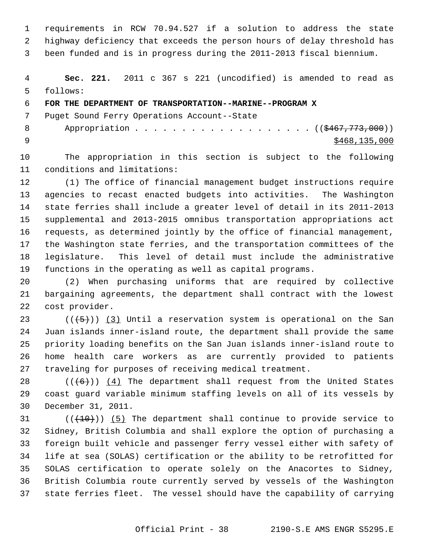1 requirements in RCW 70.94.527 if a solution to address the state 2 highway deficiency that exceeds the person hours of delay threshold has 3 been funded and is in progress during the 2011-2013 fiscal biennium.

 4 **Sec. 221.** 2011 c 367 s 221 (uncodified) is amended to read as 5 follows:

## 6 **FOR THE DEPARTMENT OF TRANSPORTATION--MARINE--PROGRAM X**

7 Puget Sound Ferry Operations Account--State

8 Appropriation . . . . . . . . . . . . . . . . . (  $(\frac{2467,773,000}{1})$  $\frac{$468,135,000}{5468,135,000}$ 

10 The appropriation in this section is subject to the following 11 conditions and limitations:

12 (1) The office of financial management budget instructions require 13 agencies to recast enacted budgets into activities. The Washington 14 state ferries shall include a greater level of detail in its 2011-2013 15 supplemental and 2013-2015 omnibus transportation appropriations act 16 requests, as determined jointly by the office of financial management, 17 the Washington state ferries, and the transportation committees of the 18 legislature. This level of detail must include the administrative 19 functions in the operating as well as capital programs.

20 (2) When purchasing uniforms that are required by collective 21 bargaining agreements, the department shall contract with the lowest 22 cost provider.

23 ( $(\overline{5})$ ) (3) Until a reservation system is operational on the San 24 Juan islands inner-island route, the department shall provide the same 25 priority loading benefits on the San Juan islands inner-island route to 26 home health care workers as are currently provided to patients 27 traveling for purposes of receiving medical treatment.

28  $((+6))$  (4) The department shall request from the United States 29 coast guard variable minimum staffing levels on all of its vessels by 30 December 31, 2011.

 $(1)(10)$  (( $10$ )) (5) The department shall continue to provide service to 32 Sidney, British Columbia and shall explore the option of purchasing a 33 foreign built vehicle and passenger ferry vessel either with safety of 34 life at sea (SOLAS) certification or the ability to be retrofitted for 35 SOLAS certification to operate solely on the Anacortes to Sidney, 36 British Columbia route currently served by vessels of the Washington 37 state ferries fleet. The vessel should have the capability of carrying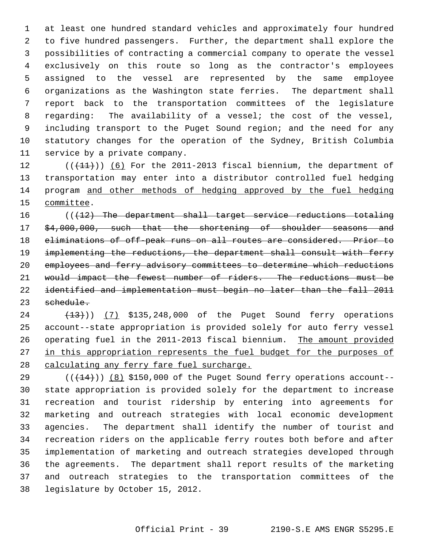1 at least one hundred standard vehicles and approximately four hundred 2 to five hundred passengers. Further, the department shall explore the 3 possibilities of contracting a commercial company to operate the vessel 4 exclusively on this route so long as the contractor's employees 5 assigned to the vessel are represented by the same employee 6 organizations as the Washington state ferries. The department shall 7 report back to the transportation committees of the legislature 8 regarding: The availability of a vessel; the cost of the vessel, 9 including transport to the Puget Sound region; and the need for any 10 statutory changes for the operation of the Sydney, British Columbia 11 service by a private company.

12  $((+11))$   $(6)$  For the 2011-2013 fiscal biennium, the department of 13 transportation may enter into a distributor controlled fuel hedging 14 program and other methods of hedging approved by the fuel hedging 15 committee.

 $((12)$  The department shall target service reductions totaling 17 \$4,000,000, such that the shortening of shoulder seasons and eliminations of off-peak runs on all routes are considered. Prior to implementing the reductions, the department shall consult with ferry employees and ferry advisory committees to determine which reductions 21 would impact the fewest number of riders. The reductions must be identified and implementation must begin no later than the fall 2011 schedule.

24 (13)) (7) \$135,248,000 of the Puget Sound ferry operations 25 account--state appropriation is provided solely for auto ferry vessel 26 operating fuel in the 2011-2013 fiscal biennium. The amount provided 27 in this appropriation represents the fuel budget for the purposes of 28 calculating any ferry fare fuel surcharge.

29  $((+14))$  (8) \$150,000 of the Puget Sound ferry operations account--30 state appropriation is provided solely for the department to increase 31 recreation and tourist ridership by entering into agreements for 32 marketing and outreach strategies with local economic development 33 agencies. The department shall identify the number of tourist and 34 recreation riders on the applicable ferry routes both before and after 35 implementation of marketing and outreach strategies developed through 36 the agreements. The department shall report results of the marketing 37 and outreach strategies to the transportation committees of the 38 legislature by October 15, 2012.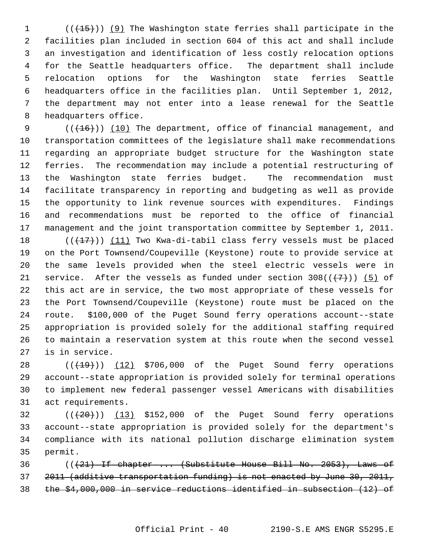1 (( $(15)$ )) (9) The Washington state ferries shall participate in the 2 facilities plan included in section 604 of this act and shall include 3 an investigation and identification of less costly relocation options 4 for the Seattle headquarters office. The department shall include 5 relocation options for the Washington state ferries Seattle 6 headquarters office in the facilities plan. Until September 1, 2012, 7 the department may not enter into a lease renewal for the Seattle 8 headquarters office.

9  $((+16))$  (10) The department, office of financial management, and 10 transportation committees of the legislature shall make recommendations 11 regarding an appropriate budget structure for the Washington state 12 ferries. The recommendation may include a potential restructuring of 13 the Washington state ferries budget. The recommendation must 14 facilitate transparency in reporting and budgeting as well as provide 15 the opportunity to link revenue sources with expenditures. Findings 16 and recommendations must be reported to the office of financial 17 management and the joint transportation committee by September 1, 2011.

18 ( $(\frac{17}{17})$ ) (11) Two Kwa-di-tabil class ferry vessels must be placed 19 on the Port Townsend/Coupeville (Keystone) route to provide service at 20 the same levels provided when the steel electric vessels were in 21 service. After the vessels as funded under section  $308((+7))$  (5) of 22 this act are in service, the two most appropriate of these vessels for 23 the Port Townsend/Coupeville (Keystone) route must be placed on the 24 route. \$100,000 of the Puget Sound ferry operations account--state 25 appropriation is provided solely for the additional staffing required 26 to maintain a reservation system at this route when the second vessel 27 is in service.

28  $((+19))$   $(12)$  \$706,000 of the Puget Sound ferry operations 29 account--state appropriation is provided solely for terminal operations 30 to implement new federal passenger vessel Americans with disabilities 31 act requirements.

 $(1, 20)$  ( $(1, 20)$ ) (13) \$152,000 of the Puget Sound ferry operations 33 account--state appropriation is provided solely for the department's 34 compliance with its national pollution discharge elimination system 35 permit.

36 (((21) If chapter ... (Substitute House Bill No. 2053), Laws of 37 2011 (additive transportation funding) is not enacted by June 30, 2011, 38 the \$4,000,000 in service reductions identified in subsection (12) of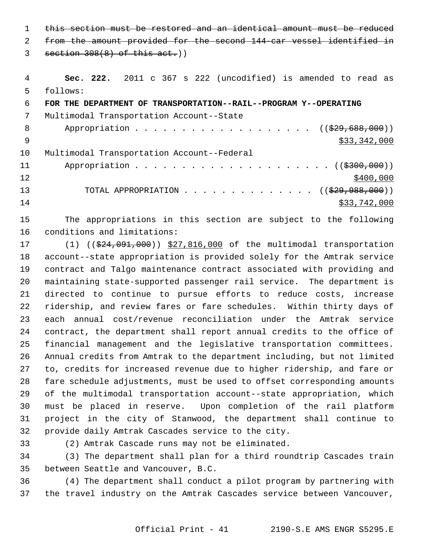1 this section must be restored and an identical amount must be reduced 2 from the amount provided for the second 144-car vessel identified in

 $3$  section  $308(8)$  of this act.)

 4 **Sec. 222.** 2011 c 367 s 222 (uncodified) is amended to read as 5 follows:

 6 **FOR THE DEPARTMENT OF TRANSPORTATION--RAIL--PROGRAM Y--OPERATING** 7 Multimodal Transportation Account--State 8 Appropriation . . . . . . . . . . . . . . . . . (  $(\frac{29}{29}, 688, 000)$  )  $\frac{1}{2}$  \$33,342,000 10 Multimodal Transportation Account--Federal 11 Appropriation . . . . . . . . . . . . . . . . . . ((<del>\$300,000</del>))  $12$  \$400,000 13 TOTAL APPROPRIATION . . . . . . . . . . . . . ((<del>\$29,988,000</del>))  $14$  \$33,742,000

15 The appropriations in this section are subject to the following 16 conditions and limitations:

17 (1) ((\$24,091,000)) \$27,816,000 of the multimodal transportation 18 account--state appropriation is provided solely for the Amtrak service 19 contract and Talgo maintenance contract associated with providing and 20 maintaining state-supported passenger rail service. The department is 21 directed to continue to pursue efforts to reduce costs, increase 22 ridership, and review fares or fare schedules. Within thirty days of 23 each annual cost/revenue reconciliation under the Amtrak service 24 contract, the department shall report annual credits to the office of 25 financial management and the legislative transportation committees. 26 Annual credits from Amtrak to the department including, but not limited 27 to, credits for increased revenue due to higher ridership, and fare or 28 fare schedule adjustments, must be used to offset corresponding amounts 29 of the multimodal transportation account--state appropriation, which 30 must be placed in reserve. Upon completion of the rail platform 31 project in the city of Stanwood, the department shall continue to 32 provide daily Amtrak Cascades service to the city.

33 (2) Amtrak Cascade runs may not be eliminated.

34 (3) The department shall plan for a third roundtrip Cascades train 35 between Seattle and Vancouver, B.C.

36 (4) The department shall conduct a pilot program by partnering with 37 the travel industry on the Amtrak Cascades service between Vancouver,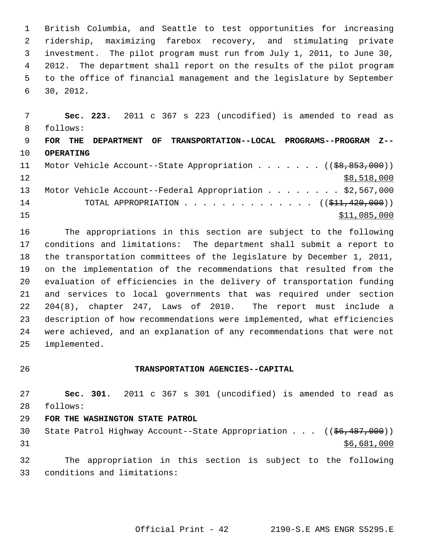1 British Columbia, and Seattle to test opportunities for increasing 2 ridership, maximizing farebox recovery, and stimulating private 3 investment. The pilot program must run from July 1, 2011, to June 30, 4 2012. The department shall report on the results of the pilot program 5 to the office of financial management and the legislature by September 6 30, 2012.

 7 **Sec. 223.** 2011 c 367 s 223 (uncodified) is amended to read as 8 follows: 9 **FOR THE DEPARTMENT OF TRANSPORTATION--LOCAL PROGRAMS--PROGRAM Z--** 10 **OPERATING** 11 Motor Vehicle Account--State Appropriation . . . . . . ((\$8,853,000))  $12$  \$8,518,000 13 Motor Vehicle Account--Federal Appropriation . . . . . . . \$2,567,000 14 TOTAL APPROPRIATION . . . . . . . . . . . . . . ((\$11,420,000))  $15$  \$11,085,000

16 The appropriations in this section are subject to the following 17 conditions and limitations: The department shall submit a report to 18 the transportation committees of the legislature by December 1, 2011, 19 on the implementation of the recommendations that resulted from the 20 evaluation of efficiencies in the delivery of transportation funding 21 and services to local governments that was required under section 22 204(8), chapter 247, Laws of 2010. The report must include a 23 description of how recommendations were implemented, what efficiencies 24 were achieved, and an explanation of any recommendations that were not 25 implemented.

#### 26 **TRANSPORTATION AGENCIES--CAPITAL**

27 **Sec. 301.** 2011 c 367 s 301 (uncodified) is amended to read as 28 follows:

### 29 **FOR THE WASHINGTON STATE PATROL**

30 State Patrol Highway Account--State Appropriation . . . ((\$6,487,000))  $31$  \$6,681,000

32 The appropriation in this section is subject to the following 33 conditions and limitations: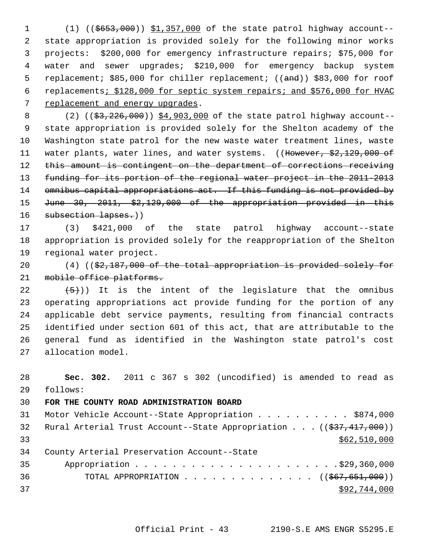1 (1) ((\$653,000)) \$1,357,000 of the state patrol highway account-- 2 state appropriation is provided solely for the following minor works 3 projects: \$200,000 for emergency infrastructure repairs; \$75,000 for 4 water and sewer upgrades; \$210,000 for emergency backup system 5 replacement; \$85,000 for chiller replacement; ((and)) \$83,000 for roof 6 replacements; \$128,000 for septic system repairs; and \$576,000 for HVAC 7 replacement and energy upgrades.

8 (2) ((\$3,226,000)) \$4,903,000 of the state patrol highway account-- 9 state appropriation is provided solely for the Shelton academy of the 10 Washington state patrol for the new waste water treatment lines, waste 11 water plants, water lines, and water systems. ((However, \$2,129,000 of 12 this amount is contingent on the department of corrections receiving 13 funding for its portion of the regional water project in the 2011-2013 14 omnibus capital appropriations act. If this funding is not provided by 15 June 30, 2011, \$2,129,000 of the appropriation provided in this 16 subsection lapses.))

17 (3) \$421,000 of the state patrol highway account--state 18 appropriation is provided solely for the reappropriation of the Shelton 19 regional water project.

20 (4) ((\$2,187,000 of the total appropriation is provided solely for 21 mobile office platforms.

22  $(5)$ ) It is the intent of the legislature that the omnibus 23 operating appropriations act provide funding for the portion of any 24 applicable debt service payments, resulting from financial contracts 25 identified under section 601 of this act, that are attributable to the 26 general fund as identified in the Washington state patrol's cost 27 allocation model.

28 **Sec. 302.** 2011 c 367 s 302 (uncodified) is amended to read as 29 follows:

# 30 **FOR THE COUNTY ROAD ADMINISTRATION BOARD**

| 31              | Motor Vehicle Account--State Appropriation \$874,000                    |
|-----------------|-------------------------------------------------------------------------|
| 32 <sup>°</sup> | Rural Arterial Trust Account--State Appropriation ((\$37,417,000))      |
| 33              | \$62,510,000                                                            |
| 34              | County Arterial Preservation Account--State                             |
| 35              |                                                                         |
| 36              | TOTAL APPROPRIATION $\ldots$ , ( $(\frac{667}{651}, \frac{651}{690})$ ) |
| 37              | \$92,744,000                                                            |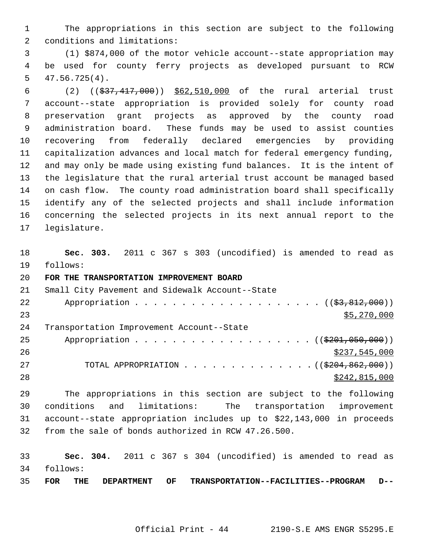1 The appropriations in this section are subject to the following 2 conditions and limitations:

 3 (1) \$874,000 of the motor vehicle account--state appropriation may 4 be used for county ferry projects as developed pursuant to RCW 5 47.56.725(4).

 6 (2) ((\$37,417,000)) \$62,510,000 of the rural arterial trust 7 account--state appropriation is provided solely for county road 8 preservation grant projects as approved by the county road 9 administration board. These funds may be used to assist counties 10 recovering from federally declared emergencies by providing 11 capitalization advances and local match for federal emergency funding, 12 and may only be made using existing fund balances. It is the intent of 13 the legislature that the rural arterial trust account be managed based 14 on cash flow. The county road administration board shall specifically 15 identify any of the selected projects and shall include information 16 concerning the selected projects in its next annual report to the 17 legislature.

18 **Sec. 303.** 2011 c 367 s 303 (uncodified) is amended to read as 19 follows:

#### 20 **FOR THE TRANSPORTATION IMPROVEMENT BOARD**

| 21 | Small City Pavement and Sidewalk Account--State               |
|----|---------------------------------------------------------------|
| 22 |                                                               |
| 23 | \$5,270,000                                                   |
| 24 | Transportation Improvement Account--State                     |
| 25 | Appropriation ( $(\frac{201}{1000}, 0.000)$ )                 |
| 26 | \$237,545,000                                                 |
| 27 | TOTAL APPROPRIATION ( $(\frac{204}{6204}, \frac{862}{600})$ ) |
| 28 | \$242,815,000                                                 |

29 The appropriations in this section are subject to the following 30 conditions and limitations: The transportation improvement 31 account--state appropriation includes up to \$22,143,000 in proceeds 32 from the sale of bonds authorized in RCW 47.26.500.

33 **Sec. 304.** 2011 c 367 s 304 (uncodified) is amended to read as 34 follows:

35 **FOR THE DEPARTMENT OF TRANSPORTATION--FACILITIES--PROGRAM D--**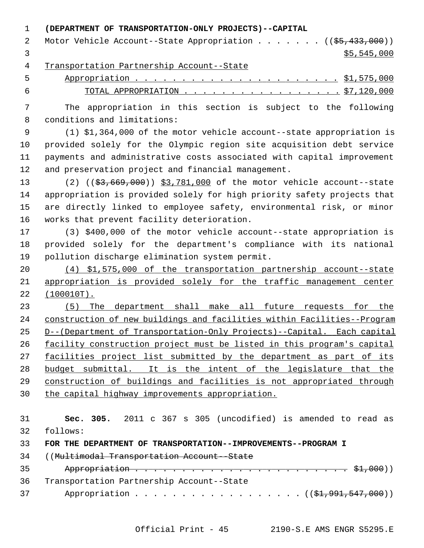#### 1 **(DEPARTMENT OF TRANSPORTATION-ONLY PROJECTS)--CAPITAL**

| 2 Motor Vehicle Account--State Appropriation ((\$5,433,000)) |
|--------------------------------------------------------------|
| \$5,545,000                                                  |

4 Transportation Partnership Account--State

 5 Appropriation . . . . . . . . . . . . . . . . . . . . . . \$1,575,000 6 TOTAL APPROPRIATION . . . . . . . . . . . . . . . . . . \$7,120,000

 7 The appropriation in this section is subject to the following 8 conditions and limitations:

 9 (1) \$1,364,000 of the motor vehicle account--state appropriation is 10 provided solely for the Olympic region site acquisition debt service 11 payments and administrative costs associated with capital improvement 12 and preservation project and financial management.

13 (2) ((\$3,669,000)) \$3,781,000 of the motor vehicle account--state 14 appropriation is provided solely for high priority safety projects that 15 are directly linked to employee safety, environmental risk, or minor 16 works that prevent facility deterioration.

17 (3) \$400,000 of the motor vehicle account--state appropriation is 18 provided solely for the department's compliance with its national 19 pollution discharge elimination system permit.

20 (4) \$1,575,000 of the transportation partnership account--state 21 appropriation is provided solely for the traffic management center 22 (100010T).

 (5) The department shall make all future requests for the construction of new buildings and facilities within Facilities--Program D--(Department of Transportation-Only Projects)--Capital. Each capital facility construction project must be listed in this program's capital facilities project list submitted by the department as part of its budget submittal. It is the intent of the legislature that the construction of buildings and facilities is not appropriated through the capital highway improvements appropriation.

31 **Sec. 305.** 2011 c 367 s 305 (uncodified) is amended to read as 32 follows:

33 **FOR THE DEPARTMENT OF TRANSPORTATION--IMPROVEMENTS--PROGRAM I**

- 34 ((Multimodal Transportation Account--State
- 35 Appropriation . . . . . . . . . . . . . . . . . . . . . . . \$1,000)) 36 Transportation Partnership Account--State 37 Appropriation . . . . . . . . . . . . . . . . ((\$1,991,547,000))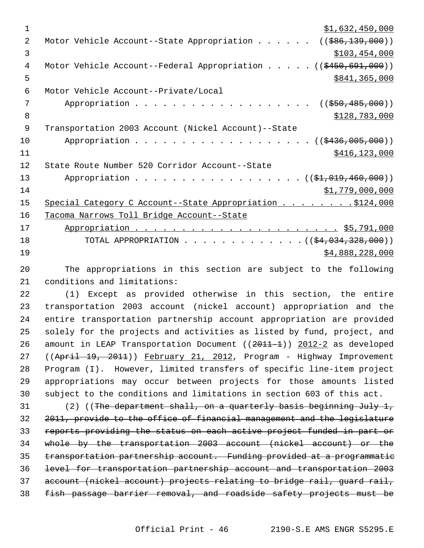| 1              | \$1,632,450,000                                                                |
|----------------|--------------------------------------------------------------------------------|
| 2              | $(($ \$86,139,000))<br>Motor Vehicle Account--State Appropriation              |
| 3              | \$103,454,000                                                                  |
| 4              | Motor Vehicle Account--Federal Appropriation $($ $($ $\frac{450}{691}$ , 000)) |
| 5              | \$841,365,000                                                                  |
| 6              | Motor Vehicle Account--Private/Local                                           |
| 7              | $((\frac{1550}{1485},000))$                                                    |
| 8              | \$128,783,000                                                                  |
| $\overline{9}$ | Transportation 2003 Account (Nickel Account)--State                            |
| 10             | Appropriation $($ $($ $\frac{2436}{005},000)$                                  |
| 11             | \$416, 123, 000                                                                |
| 12             | State Route Number 520 Corridor Account--State                                 |
| 13             | Appropriation ((\$1,019,460,000))                                              |
| 14             | \$1,779,000,000                                                                |
| 15             | Special Category C Account--State Appropriation 5124,000                       |
| 16             | Tacoma Narrows Toll Bridge Account--State                                      |
| 17             |                                                                                |
| 18             | TOTAL APPROPRIATION ( $(\frac{64,034,328,000}{$ )                              |
| 19             | \$4,888,228,000                                                                |
| 20             | The appropriations in this section are subject to the following                |

21 conditions and limitations:

22 (1) Except as provided otherwise in this section, the entire 23 transportation 2003 account (nickel account) appropriation and the 24 entire transportation partnership account appropriation are provided 25 solely for the projects and activities as listed by fund, project, and 26 amount in LEAP Transportation Document ((2011-1)) 2012-2 as developed 27 ((April 19, 2011)) February 21, 2012, Program - Highway Improvement 28 Program (I). However, limited transfers of specific line-item project 29 appropriations may occur between projects for those amounts listed 30 subject to the conditions and limitations in section 603 of this act.

31 (2) ((The department shall, on a quarterly basis beginning July 1, 2011, provide to the office of financial management and the legislature reports providing the status on each active project funded in part or whole by the transportation 2003 account (nickel account) or the transportation partnership account. Funding provided at a programmatic level for transportation partnership account and transportation 2003 account (nickel account) projects relating to bridge rail, guard rail, fish passage barrier removal, and roadside safety projects must be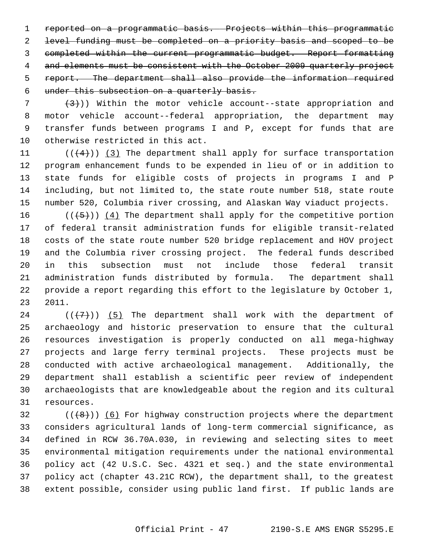reported on a programmatic basis. Projects within this programmatic level funding must be completed on a priority basis and scoped to be completed within the current programmatic budget. Report formatting 4 and elements must be consistent with the October 2009 quarterly project report. The department shall also provide the information required under this subsection on a quarterly basis.

 $7$   $(3)$ )) Within the motor vehicle account--state appropriation and 8 motor vehicle account--federal appropriation, the department may 9 transfer funds between programs I and P, except for funds that are 10 otherwise restricted in this act.

11  $((+4))$  (3) The department shall apply for surface transportation 12 program enhancement funds to be expended in lieu of or in addition to 13 state funds for eligible costs of projects in programs I and P 14 including, but not limited to, the state route number 518, state route 15 number 520, Columbia river crossing, and Alaskan Way viaduct projects.

16  $((+5))$  (4) The department shall apply for the competitive portion 17 of federal transit administration funds for eligible transit-related 18 costs of the state route number 520 bridge replacement and HOV project 19 and the Columbia river crossing project. The federal funds described 20 in this subsection must not include those federal transit 21 administration funds distributed by formula. The department shall 22 provide a report regarding this effort to the legislature by October 1, 23 2011.

24 ( $(\langle 7 \rangle)$ ) (5) The department shall work with the department of 25 archaeology and historic preservation to ensure that the cultural 26 resources investigation is properly conducted on all mega-highway 27 projects and large ferry terminal projects. These projects must be 28 conducted with active archaeological management. Additionally, the 29 department shall establish a scientific peer review of independent 30 archaeologists that are knowledgeable about the region and its cultural 31 resources.

 $32$  (( $\left(\frac{1}{6}\right)$ ) (6) For highway construction projects where the department 33 considers agricultural lands of long-term commercial significance, as 34 defined in RCW 36.70A.030, in reviewing and selecting sites to meet 35 environmental mitigation requirements under the national environmental 36 policy act (42 U.S.C. Sec. 4321 et seq.) and the state environmental 37 policy act (chapter 43.21C RCW), the department shall, to the greatest 38 extent possible, consider using public land first. If public lands are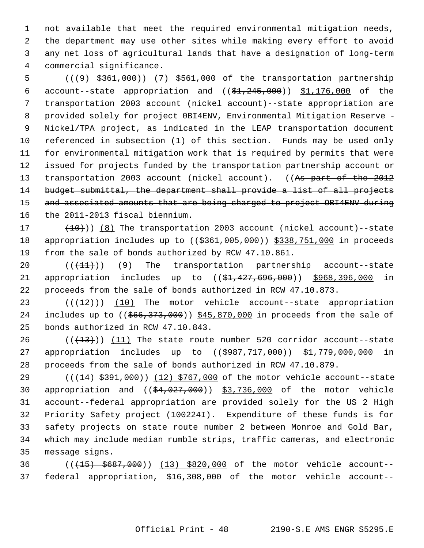1 not available that meet the required environmental mitigation needs, 2 the department may use other sites while making every effort to avoid 3 any net loss of agricultural lands that have a designation of long-term 4 commercial significance.

 5 (((9) \$361,000)) (7) \$561,000 of the transportation partnership 6 account--state appropriation and  $((\frac{1}{24}, \frac{245}{100})$   $\frac{1}{176}$ , 000 of the 7 transportation 2003 account (nickel account)--state appropriation are 8 provided solely for project 0BI4ENV, Environmental Mitigation Reserve - 9 Nickel/TPA project, as indicated in the LEAP transportation document 10 referenced in subsection (1) of this section. Funds may be used only 11 for environmental mitigation work that is required by permits that were 12 issued for projects funded by the transportation partnership account or 13 transportation 2003 account (nickel account). ((As part of the 2012 14 budget submittal, the department shall provide a list of all projects 15 and associated amounts that are being charged to project OBI4ENV during 16 the 2011-2013 fiscal biennium.

17  $(10+10)$  (8) The transportation 2003 account (nickel account)--state 18 appropriation includes up to ((\$361,005,000)) \$338,751,000 in proceeds 19 from the sale of bonds authorized by RCW 47.10.861.

20  $((+11))$  (9) The transportation partnership account--state 21 appropriation includes up to ((\$1,427,696,000)) \$968,396,000 in 22 proceeds from the sale of bonds authorized in RCW 47.10.873.

23  $((+12))$   $(10)$  The motor vehicle account--state appropriation 24 includes up to  $((\frac{666}{373},000))$  \$45,870,000 in proceeds from the sale of 25 bonds authorized in RCW 47.10.843.

 $26$  (( $(13)$ )) (11) The state route number 520 corridor account--state 27 appropriation includes up to ((\$987,717,000)) \$1,779,000,000 in 28 proceeds from the sale of bonds authorized in RCW 47.10.879.

29 (( $(14)$  \$391,000)) (12) \$767,000 of the motor vehicle account--state 30 appropriation and  $((\frac{64}{027},000))$  \$3,736,000 of the motor vehicle 31 account--federal appropriation are provided solely for the US 2 High 32 Priority Safety project (100224I). Expenditure of these funds is for 33 safety projects on state route number 2 between Monroe and Gold Bar, 34 which may include median rumble strips, traffic cameras, and electronic 35 message signs.

36 (((15) \$687,000)) (13) \$820,000 of the motor vehicle account-- 37 federal appropriation, \$16,308,000 of the motor vehicle account--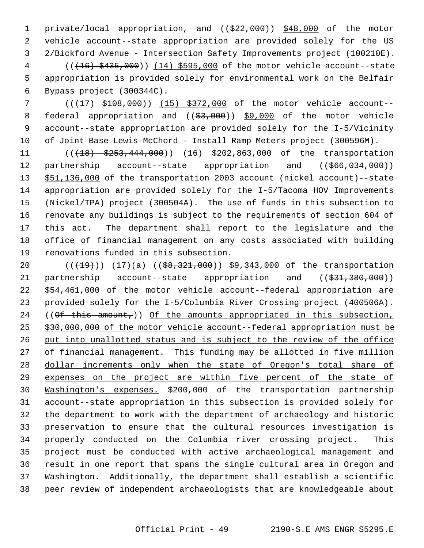1 private/local appropriation, and ((\$22,000)) \$48,000 of the motor 2 vehicle account--state appropriation are provided solely for the US 3 2/Bickford Avenue - Intersection Safety Improvements project (100210E). 4 (((16) \$435,000)) (14) \$595,000 of the motor vehicle account--state

 5 appropriation is provided solely for environmental work on the Belfair 6 Bypass project (300344C).

7 (( $\left(\frac{17}{17}\right)$  \$108,000)) (15) \$372,000 of the motor vehicle account--8 federal appropriation and ((\$3,000)) \$9,000 of the motor vehicle 9 account--state appropriation are provided solely for the I-5/Vicinity 10 of Joint Base Lewis-McChord - Install Ramp Meters project (300596M).

11 (( $\left(18\right)$   $\left(5253,444,000\right)$ ) (16) \$202,863,000 of the transportation 12 partnership account--state appropriation and ((\$66,034,000)) 13 \$51,136,000 of the transportation 2003 account (nickel account)--state 14 appropriation are provided solely for the I-5/Tacoma HOV Improvements 15 (Nickel/TPA) project (300504A). The use of funds in this subsection to 16 renovate any buildings is subject to the requirements of section 604 of 17 this act. The department shall report to the legislature and the 18 office of financial management on any costs associated with building 19 renovations funded in this subsection.

20 (( $(19)$ )) (17)(a) (( $$8,321,000$ )) \$9,343,000 of the transportation 21 partnership account--state appropriation and ((\$31,380,000)) 22 \$54,461,000 of the motor vehicle account--federal appropriation are 23 provided solely for the I-5/Columbia River Crossing project (400506A). 24 (( $\theta$ f this amount,)) Of the amounts appropriated in this subsection, 25 \$30,000,000 of the motor vehicle account--federal appropriation must be 26 put into unallotted status and is subject to the review of the office 27 of financial management. This funding may be allotted in five million 28 dollar increments only when the state of Oregon's total share of 29 expenses on the project are within five percent of the state of 30 Washington's expenses. \$200,000 of the transportation partnership 31 account--state appropriation in this subsection is provided solely for 32 the department to work with the department of archaeology and historic 33 preservation to ensure that the cultural resources investigation is 34 properly conducted on the Columbia river crossing project. This 35 project must be conducted with active archaeological management and 36 result in one report that spans the single cultural area in Oregon and 37 Washington. Additionally, the department shall establish a scientific 38 peer review of independent archaeologists that are knowledgeable about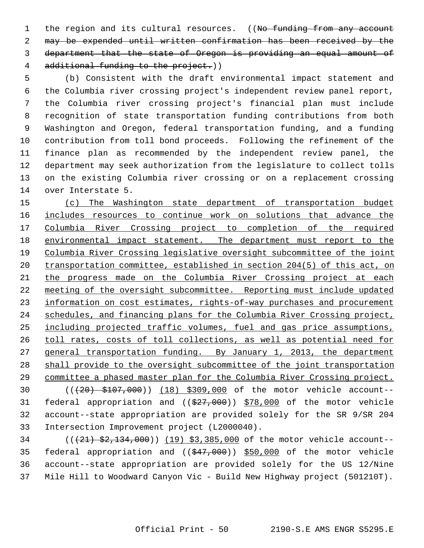1 the region and its cultural resources. ((No funding from any account 2 may be expended until written confirmation has been received by the 3 department that the state of Oregon is providing an equal amount of 4 additional funding to the project.))

 5 (b) Consistent with the draft environmental impact statement and 6 the Columbia river crossing project's independent review panel report, 7 the Columbia river crossing project's financial plan must include 8 recognition of state transportation funding contributions from both 9 Washington and Oregon, federal transportation funding, and a funding 10 contribution from toll bond proceeds. Following the refinement of the 11 finance plan as recommended by the independent review panel, the 12 department may seek authorization from the legislature to collect tolls 13 on the existing Columbia river crossing or on a replacement crossing 14 over Interstate 5.

 (c) The Washington state department of transportation budget includes resources to continue work on solutions that advance the Columbia River Crossing project to completion of the required environmental impact statement. The department must report to the Columbia River Crossing legislative oversight subcommittee of the joint transportation committee, established in section 204(5) of this act, on the progress made on the Columbia River Crossing project at each 22 meeting of the oversight subcommittee. Reporting must include updated information on cost estimates, rights-of-way purchases and procurement schedules, and financing plans for the Columbia River Crossing project, including projected traffic volumes, fuel and gas price assumptions, toll rates, costs of toll collections, as well as potential need for 27 general transportation funding. By January 1, 2013, the department shall provide to the oversight subcommittee of the joint transportation committee a phased master plan for the Columbia River Crossing project. 30 (((20) \$107,000)) (18) \$309,000 of the motor vehicle account-- 31 federal appropriation and  $((\$27,000))$   $\$78,000$  of the motor vehicle 32 account--state appropriation are provided solely for the SR 9/SR 204 33 Intersection Improvement project (L2000040).

34 (( $(21)$  \$2,134,000)) (19) \$3,385,000 of the motor vehicle account--35 federal appropriation and  $(( $$47,000$ ))$  \$50,000 of the motor vehicle 36 account--state appropriation are provided solely for the US 12/Nine 37 Mile Hill to Woodward Canyon Vic - Build New Highway project (501210T).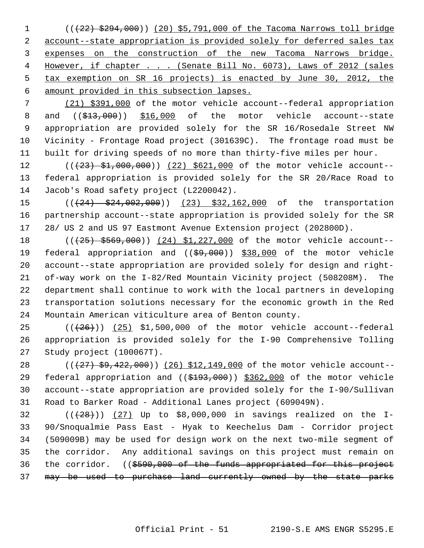1 (( $\left(422\right)$  \$294,000)) (20) \$5,791,000 of the Tacoma Narrows toll bridge account--state appropriation is provided solely for deferred sales tax expenses on the construction of the new Tacoma Narrows bridge. However, if chapter . . . (Senate Bill No. 6073), Laws of 2012 (sales tax exemption on SR 16 projects) is enacted by June 30, 2012, the amount provided in this subsection lapses.

 7 (21) \$391,000 of the motor vehicle account--federal appropriation 8 and  $((\text{$}13,000)$   $)\$  \$16,000 of the motor vehicle account--state 9 appropriation are provided solely for the SR 16/Rosedale Street NW 10 Vicinity - Frontage Road project (301639C). The frontage road must be 11 built for driving speeds of no more than thirty-five miles per hour.

12 (( $(23)$  \$1,000,000)) (22) \$621,000 of the motor vehicle account--13 federal appropriation is provided solely for the SR 20/Race Road to 14 Jacob's Road safety project (L2200042).

15 (((24) \$24,002,000)) (23) \$32,162,000 of the transportation 16 partnership account--state appropriation is provided solely for the SR 17 28/ US 2 and US 97 Eastmont Avenue Extension project (202800D).

18 (( $(25)$  \$569,000)) (24) \$1,227,000 of the motor vehicle account--19 federal appropriation and ((\$9,000)) \$38,000 of the motor vehicle 20 account--state appropriation are provided solely for design and right-21 of-way work on the I-82/Red Mountain Vicinity project (508208M). The 22 department shall continue to work with the local partners in developing 23 transportation solutions necessary for the economic growth in the Red 24 Mountain American viticulture area of Benton county.

25  $((+26))$  (25) \$1,500,000 of the motor vehicle account--federal 26 appropriation is provided solely for the I-90 Comprehensive Tolling 27 Study project (100067T).

28 (( $\left(\frac{27}{59},\frac{22}{100}\right)$ ) (26) \$12,149,000 of the motor vehicle account--29 federal appropriation and ((\$193,000)) \$362,000 of the motor vehicle 30 account--state appropriation are provided solely for the I-90/Sullivan 31 Road to Barker Road - Additional Lanes project (609049N).

32  $((+28))$   $(27)$  Up to \$8,000,000 in savings realized on the I-33 90/Snoqualmie Pass East - Hyak to Keechelus Dam - Corridor project 34 (509009B) may be used for design work on the next two-mile segment of 35 the corridor. Any additional savings on this project must remain on 36 the corridor. ((\$590,000 of the funds appropriated for this project 37 may be used to purchase land currently owned by the state parks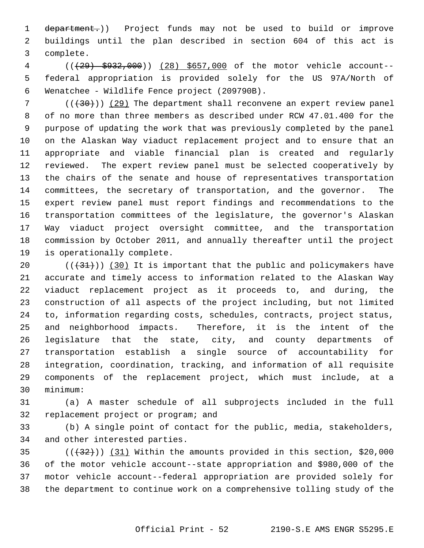1 department.)) Project funds may not be used to build or improve 2 buildings until the plan described in section 604 of this act is 3 complete.

 4 (((29) \$932,000)) (28) \$657,000 of the motor vehicle account-- 5 federal appropriation is provided solely for the US 97A/North of 6 Wenatchee - Wildlife Fence project (209790B).

 $7$  (( $(30)$ )) (29) The department shall reconvene an expert review panel 8 of no more than three members as described under RCW 47.01.400 for the 9 purpose of updating the work that was previously completed by the panel 10 on the Alaskan Way viaduct replacement project and to ensure that an 11 appropriate and viable financial plan is created and regularly 12 reviewed. The expert review panel must be selected cooperatively by 13 the chairs of the senate and house of representatives transportation 14 committees, the secretary of transportation, and the governor. The 15 expert review panel must report findings and recommendations to the 16 transportation committees of the legislature, the governor's Alaskan 17 Way viaduct project oversight committee, and the transportation 18 commission by October 2011, and annually thereafter until the project 19 is operationally complete.

20  $((+31))$  (30) It is important that the public and policymakers have 21 accurate and timely access to information related to the Alaskan Way 22 viaduct replacement project as it proceeds to, and during, the 23 construction of all aspects of the project including, but not limited 24 to, information regarding costs, schedules, contracts, project status, 25 and neighborhood impacts. Therefore, it is the intent of the 26 legislature that the state, city, and county departments of 27 transportation establish a single source of accountability for 28 integration, coordination, tracking, and information of all requisite 29 components of the replacement project, which must include, at a 30 minimum:

31 (a) A master schedule of all subprojects included in the full 32 replacement project or program; and

33 (b) A single point of contact for the public, media, stakeholders, 34 and other interested parties.

 $(35$  ( $(432)$ )) (31) Within the amounts provided in this section, \$20,000 36 of the motor vehicle account--state appropriation and \$980,000 of the 37 motor vehicle account--federal appropriation are provided solely for 38 the department to continue work on a comprehensive tolling study of the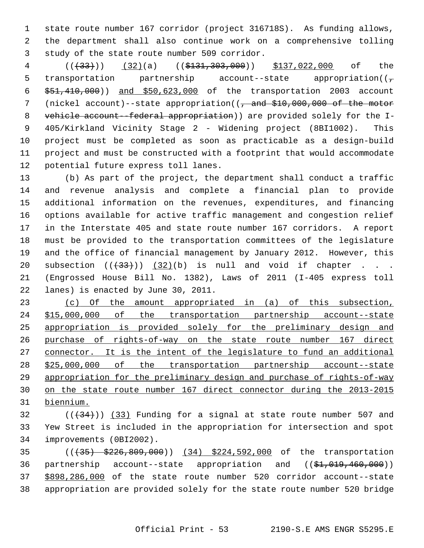1 state route number 167 corridor (project 316718S). As funding allows, 2 the department shall also continue work on a comprehensive tolling 3 study of the state route number 509 corridor.

4 ((<del>(33)</del>)) (32)(a) ((\$131,303,000)) \$137,022,000 of the 5 transportation partnership account--state appropriation( $(\frac{1}{\epsilon})$  6 \$51,410,000)) and \$50,623,000 of the transportation 2003 account 7 (nickel account)--state appropriation((<del>, and \$10,000,000 of the motor</del> 8 vehicle account--federal appropriation)) are provided solely for the I- 9 405/Kirkland Vicinity Stage 2 - Widening project (8BI1002). This 10 project must be completed as soon as practicable as a design-build 11 project and must be constructed with a footprint that would accommodate 12 potential future express toll lanes.

13 (b) As part of the project, the department shall conduct a traffic 14 and revenue analysis and complete a financial plan to provide 15 additional information on the revenues, expenditures, and financing 16 options available for active traffic management and congestion relief 17 in the Interstate 405 and state route number 167 corridors. A report 18 must be provided to the transportation committees of the legislature 19 and the office of financial management by January 2012. However, this 20 subsection  $((+33))$   $(32)(b)$  is null and void if chapter . . . 21 (Engrossed House Bill No. 1382), Laws of 2011 (I-405 express toll 22 lanes) is enacted by June 30, 2011.

 (c) Of the amount appropriated in (a) of this subsection, \$15,000,000 of the transportation partnership account--state appropriation is provided solely for the preliminary design and purchase of rights-of-way on the state route number 167 direct connector. It is the intent of the legislature to fund an additional \$25,000,000 of the transportation partnership account--state appropriation for the preliminary design and purchase of rights-of-way on the state route number 167 direct connector during the 2013-2015 biennium.

 $(1,34)$  ( $(33)$  Funding for a signal at state route number 507 and 33 Yew Street is included in the appropriation for intersection and spot 34 improvements (0BI2002).

35 (((35) \$226,809,000)) (34) \$224,592,000 of the transportation 36 partnership account--state appropriation and ((\$1,019,460,000)) 37 \$898,286,000 of the state route number 520 corridor account--state 38 appropriation are provided solely for the state route number 520 bridge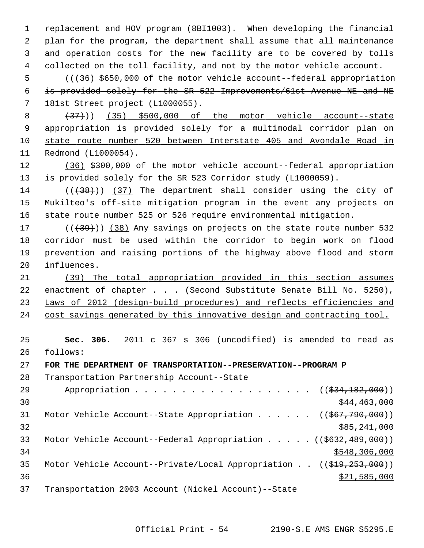1 replacement and HOV program (8BI1003). When developing the financial 2 plan for the program, the department shall assume that all maintenance 3 and operation costs for the new facility are to be covered by tolls 4 collected on the toll facility, and not by the motor vehicle account.

 5 (((36) \$650,000 of the motor vehicle account--federal appropriation 6 is provided solely for the SR 522 Improvements/61st Avenue NE and NE 7 181st Street project (L1000055).

8 (37)) (35) \$500,000 of the motor vehicle account--state appropriation is provided solely for a multimodal corridor plan on state route number 520 between Interstate 405 and Avondale Road in Redmond (L1000054).

12 (36) \$300,000 of the motor vehicle account--federal appropriation 13 is provided solely for the SR 523 Corridor study (L1000059).

14 (( $(38)$ )) (37) The department shall consider using the city of 15 Mukilteo's off-site mitigation program in the event any projects on 16 state route number 525 or 526 require environmental mitigation.

 $17$  ( $(\overline{+39})$ ) (38) Any savings on projects on the state route number 532 18 corridor must be used within the corridor to begin work on flood 19 prevention and raising portions of the highway above flood and storm 20 influences.

 (39) The total appropriation provided in this section assumes 22 enactment of chapter . . . (Second Substitute Senate Bill No. 5250), Laws of 2012 (design-build procedures) and reflects efficiencies and cost savings generated by this innovative design and contracting tool.

25 **Sec. 306.** 2011 c 367 s 306 (uncodified) is amended to read as 26 follows:

27 **FOR THE DEPARTMENT OF TRANSPORTATION--PRESERVATION--PROGRAM P**

28 Transportation Partnership Account--State

29 Appropriation . . . . . . . . . . . . . . . . . ((\$34,182,000))  $\frac{$44,463,000}{ }$ 31 Motor Vehicle Account--State Appropriation . . . . . ((\$67,790,000))  $32$  \$85,241,000 33 Motor Vehicle Account--Federal Appropriation . . . . . ((\$632,489,000))  $34$  \$548,306,000 35 Motor Vehicle Account--Private/Local Appropriation . . ((\$19,253,000))  $\frac{$21,585,000}{$21,585,000}$ 37 Transportation 2003 Account (Nickel Account)--State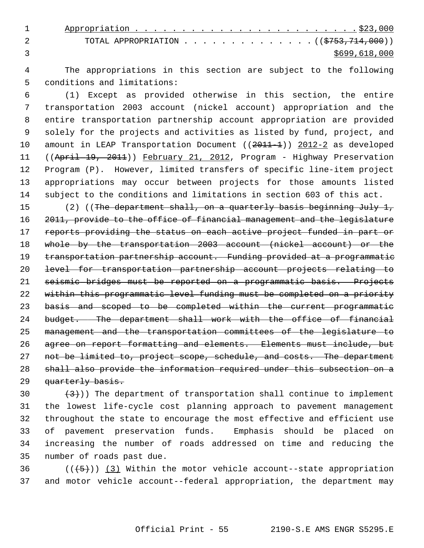| TOTAL APPROPRIATION ( $(\frac{1}{5753}, \frac{714}{1000})$ ) |
|--------------------------------------------------------------|
| \$699,618,000                                                |

 4 The appropriations in this section are subject to the following 5 conditions and limitations:

 6 (1) Except as provided otherwise in this section, the entire 7 transportation 2003 account (nickel account) appropriation and the 8 entire transportation partnership account appropriation are provided 9 solely for the projects and activities as listed by fund, project, and 10 amount in LEAP Transportation Document ((2011-1)) 2012-2 as developed 11 ((April 19, 2011)) February 21, 2012, Program - Highway Preservation 12 Program (P). However, limited transfers of specific line-item project 13 appropriations may occur between projects for those amounts listed 14 subject to the conditions and limitations in section 603 of this act.

15 (2) ((The department shall, on a quarterly basis beginning July 1, 2011, provide to the office of financial management and the legislature 17 reports providing the status on each active project funded in part or whole by the transportation 2003 account (nickel account) or the 19 transportation partnership account. Funding provided at a programmatic level for transportation partnership account projects relating to seismic bridges must be reported on a programmatic basis. Projects within this programmatic level funding must be completed on a priority basis and scoped to be completed within the current programmatic budget. The department shall work with the office of financial management and the transportation committees of the legislature to agree on report formatting and elements. Elements must include, but 27 not be limited to, project scope, schedule, and costs. The department shall also provide the information required under this subsection on a 29 quarterly basis.

30  $(3)$ )) The department of transportation shall continue to implement 31 the lowest life-cycle cost planning approach to pavement management 32 throughout the state to encourage the most effective and efficient use 33 of pavement preservation funds. Emphasis should be placed on 34 increasing the number of roads addressed on time and reducing the 35 number of roads past due.

36  $((\langle 5 \rangle)(3)$  Within the motor vehicle account--state appropriation 37 and motor vehicle account--federal appropriation, the department may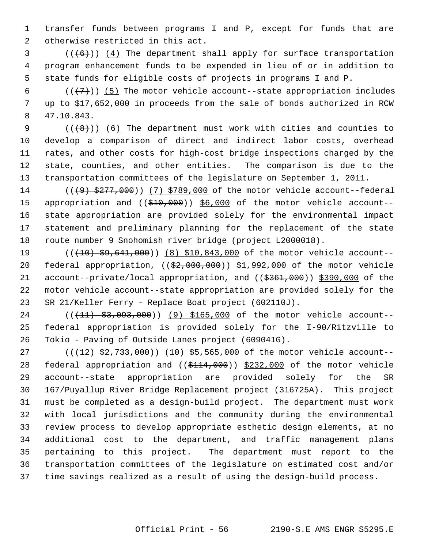1 transfer funds between programs I and P, except for funds that are 2 otherwise restricted in this act.

 $3$  ( $(\overline{6})$ ) (4) The department shall apply for surface transportation 4 program enhancement funds to be expended in lieu of or in addition to 5 state funds for eligible costs of projects in programs I and P.

6  $((+7))$  (5) The motor vehicle account--state appropriation includes 7 up to \$17,652,000 in proceeds from the sale of bonds authorized in RCW 8 47.10.843.

9  $((+8))$  (6) The department must work with cities and counties to 10 develop a comparison of direct and indirect labor costs, overhead 11 rates, and other costs for high-cost bridge inspections charged by the 12 state, counties, and other entities. The comparison is due to the 13 transportation committees of the legislature on September 1, 2011.

14 (((9) \$277,000)) (7) \$789,000 of the motor vehicle account--federal 15 appropriation and ((\$10,000)) \$6,000 of the motor vehicle account--16 state appropriation are provided solely for the environmental impact 17 statement and preliminary planning for the replacement of the state 18 route number 9 Snohomish river bridge (project L2000018).

19 (( $(10)$   $\frac{1}{2}$ ,  $\frac{641}{100}$ ) (8) \$10,843,000 of the motor vehicle account--20 federal appropriation, ((\$2,000,000)) \$1,992,000 of the motor vehicle 21 account--private/local appropriation, and ((\$361,000)) \$390,000 of the 22 motor vehicle account--state appropriation are provided solely for the 23 SR 21/Keller Ferry - Replace Boat project (602110J).

24 (( $(11)$  \$3,093,000)) (9) \$165,000 of the motor vehicle account--25 federal appropriation is provided solely for the I-90/Ritzville to 26 Tokio - Paving of Outside Lanes project (609041G).

27 (( $(12)$  \$2,733,000)) (10) \$5,565,000 of the motor vehicle account--28 federal appropriation and ((\$114,000)) \$232,000 of the motor vehicle 29 account--state appropriation are provided solely for the SR 30 167/Puyallup River Bridge Replacement project (316725A). This project 31 must be completed as a design-build project. The department must work 32 with local jurisdictions and the community during the environmental 33 review process to develop appropriate esthetic design elements, at no 34 additional cost to the department, and traffic management plans 35 pertaining to this project. The department must report to the 36 transportation committees of the legislature on estimated cost and/or 37 time savings realized as a result of using the design-build process.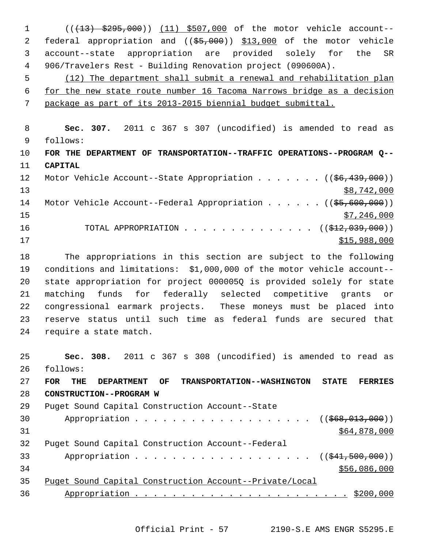1 (((13) \$295,000)) (11) \$507,000 of the motor vehicle account-- 2 federal appropriation and (( $\frac{25,000}{10,000}$ )) \$13,000 of the motor vehicle 3 account--state appropriation are provided solely for the SR 4 906/Travelers Rest - Building Renovation project (090600A). 5 (12) The department shall submit a renewal and rehabilitation plan 6 for the new state route number 16 Tacoma Narrows bridge as a decision 7 package as part of its 2013-2015 biennial budget submittal. 8 **Sec. 307.** 2011 c 367 s 307 (uncodified) is amended to read as 9 follows: 10 **FOR THE DEPARTMENT OF TRANSPORTATION--TRAFFIC OPERATIONS--PROGRAM Q--** 11 **CAPITAL** 12 Motor Vehicle Account--State Appropriation . . . . . . ((\$6,439,000))  $\frac{13}{88,742,000}$ 14 Motor Vehicle Account--Federal Appropriation . . . . . ((\$5,600,000))  $\frac{15}{7}$ , 246,000 16 TOTAL APPROPRIATION . . . . . . . . . . . . . . ((\$12,039,000))  $17$   $315,988,000$ 18 The appropriations in this section are subject to the following 19 conditions and limitations: \$1,000,000 of the motor vehicle account-- 20 state appropriation for project 000005Q is provided solely for state 21 matching funds for federally selected competitive grants or 22 congressional earmark projects. These moneys must be placed into 23 reserve status until such time as federal funds are secured that 24 require a state match. 25 **Sec. 308.** 2011 c 367 s 308 (uncodified) is amended to read as 26 follows: 27 **FOR THE DEPARTMENT OF TRANSPORTATION--WASHINGTON STATE FERRIES** 28 **CONSTRUCTION--PROGRAM W** 29 Puget Sound Capital Construction Account--State 30 Appropriation . . . . . . . . . . . . . . . . . ((\$68,013,000))  $31$  \$64,878,000 32 Puget Sound Capital Construction Account--Federal 33 Appropriation . . . . . . . . . . . . . . . . . ((\$41,500,000))  $34$  \$56,086,000 35 Puget Sound Capital Construction Account--Private/Local 36 Appropriation . . . . . . . . . . . . . . . . . . . . . . . \$200,000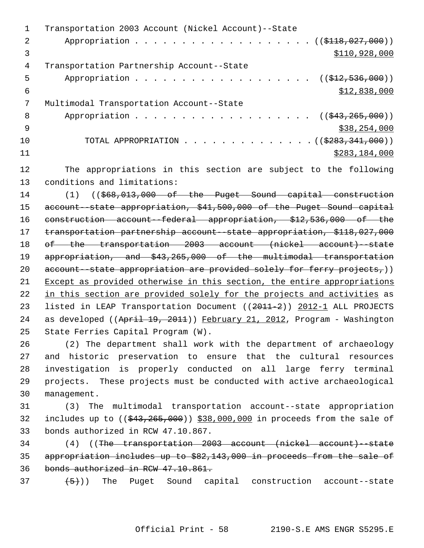|     | Transportation 2003 Account (Nickel Account)--State           |
|-----|---------------------------------------------------------------|
| 2   | Appropriation ( $(\frac{118}{1000}$                           |
| 3   | \$110,928,000                                                 |
| 4   | Transportation Partnership Account--State                     |
| 5   | Appropriation ( $(\frac{212}{512}, 536, 000)$ )               |
| 6   | \$12,838,000                                                  |
|     | Multimodal Transportation Account--State                      |
| 8   | Appropriation ((\$43,265,000))                                |
| - 9 | \$38,254,000                                                  |
| 10  | TOTAL APPROPRIATION $\ldots$ , ( $(\frac{2283}{7341}, 000)$ ) |
| 11  | \$283,184,000                                                 |
|     |                                                               |

12 The appropriations in this section are subject to the following 13 conditions and limitations:

14 (1) ((\$68,013,000 of the Puget Sound capital construction 15 account--state appropriation, \$41,500,000 of the Puget Sound capital 16 construction account--federal appropriation, \$12,536,000 of the 17 transportation partnership account--state appropriation, \$118,027,000 18 of the transportation 2003 account (nickel account)--state 19 appropriation, and \$43,265,000 of the multimodal transportation 20 account--state appropriation are provided solely for ferry projects,)) 21 Except as provided otherwise in this section, the entire appropriations 22 in this section are provided solely for the projects and activities as 23 listed in LEAP Transportation Document ((2011-2)) 2012-1 ALL PROJECTS 24 as developed ((April 19, 2011)) February 21, 2012, Program - Washington 25 State Ferries Capital Program (W).

26 (2) The department shall work with the department of archaeology 27 and historic preservation to ensure that the cultural resources 28 investigation is properly conducted on all large ferry terminal 29 projects. These projects must be conducted with active archaeological 30 management.

31 (3) The multimodal transportation account--state appropriation 32 includes up to  $(( $\frac{643}{665},000)$ )$  \$38,000,000 in proceeds from the sale of 33 bonds authorized in RCW 47.10.867.

34 (4) ((The transportation 2003 account (nickel account)--state 35 appropriation includes up to \$82,143,000 in proceeds from the sale of 36 bonds authorized in RCW 47.10.861.

 $(37 + 5)$ ) The Puget Sound capital construction account--state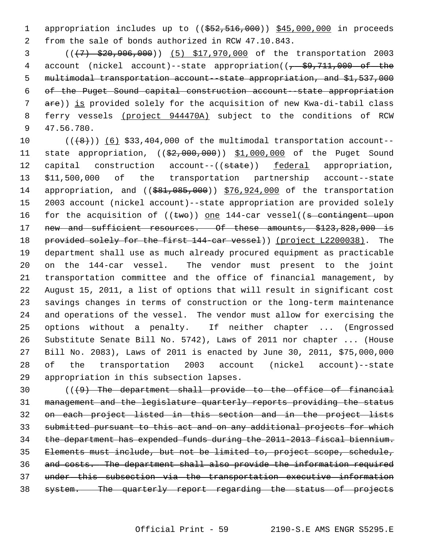1 appropriation includes up to ((\$52,516,000)) \$45,000,000 in proceeds 2 from the sale of bonds authorized in RCW 47.10.843.

 3 (((7) \$20,906,000)) (5) \$17,970,000 of the transportation 2003 4 account (nickel account)--state appropriation((, \$9,711,000 of the 5 multimodal transportation account--state appropriation, and \$1,537,000 6 of the Puget Sound capital construction account--state appropriation 7 are)) is provided solely for the acquisition of new Kwa-di-tabil class 8 ferry vessels (project 944470A) subject to the conditions of RCW 9 47.56.780.

10  $((+8))$   $(6)$  \$33,404,000 of the multimodal transportation account--11 state appropriation, ((\$2,000,000)) \$1,000,000 of the Puget Sound 12 capital construction account--((state)) federal appropriation, 13 \$11,500,000 of the transportation partnership account--state 14 appropriation, and ((\$81,085,000)) \$76,924,000 of the transportation 15 2003 account (nickel account)--state appropriation are provided solely 16 for the acquisition of ((two)) one 144-car vessel((s contingent upon 17 new and sufficient resources. Of these amounts, \$123,828,000 is 18 provided solely for the first 144-car vessel)) (project L2200038). The 19 department shall use as much already procured equipment as practicable 20 on the 144-car vessel. The vendor must present to the joint 21 transportation committee and the office of financial management, by 22 August 15, 2011, a list of options that will result in significant cost 23 savings changes in terms of construction or the long-term maintenance 24 and operations of the vessel. The vendor must allow for exercising the 25 options without a penalty. If neither chapter ... (Engrossed 26 Substitute Senate Bill No. 5742), Laws of 2011 nor chapter ... (House 27 Bill No. 2083), Laws of 2011 is enacted by June 30, 2011, \$75,000,000 28 of the transportation 2003 account (nickel account)--state 29 appropriation in this subsection lapses.

30 (((9) The department shall provide to the office of financial management and the legislature quarterly reports providing the status on each project listed in this section and in the project lists submitted pursuant to this act and on any additional projects for which the department has expended funds during the 2011-2013 fiscal biennium. Elements must include, but not be limited to, project scope, schedule, and costs. The department shall also provide the information required under this subsection via the transportation executive information system. The quarterly report regarding the status of projects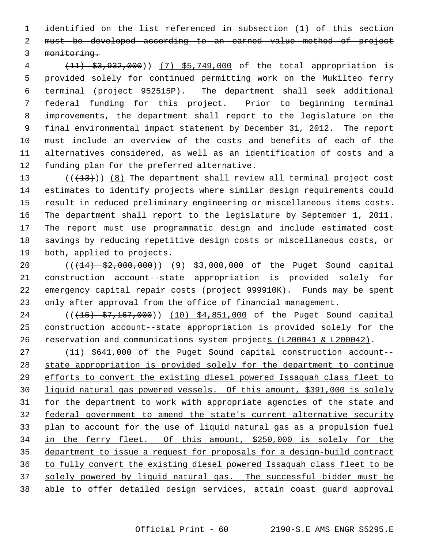1 identified on the list referenced in subsection (1) of this section 2 must be developed according to an earned value method of project 3 monitoring.

 4 (11) \$3,932,000)) (7) \$5,749,000 of the total appropriation is 5 provided solely for continued permitting work on the Mukilteo ferry 6 terminal (project 952515P). The department shall seek additional 7 federal funding for this project. Prior to beginning terminal 8 improvements, the department shall report to the legislature on the 9 final environmental impact statement by December 31, 2012. The report 10 must include an overview of the costs and benefits of each of the 11 alternatives considered, as well as an identification of costs and a 12 funding plan for the preferred alternative.

13  $((+13))$   $(8)$  The department shall review all terminal project cost 14 estimates to identify projects where similar design requirements could 15 result in reduced preliminary engineering or miscellaneous items costs. 16 The department shall report to the legislature by September 1, 2011. 17 The report must use programmatic design and include estimated cost 18 savings by reducing repetitive design costs or miscellaneous costs, or 19 both, applied to projects.

20 (( $\left(\frac{14}{13}, \frac{2}{52},000,000\right)$ ) (9) \$3,000,000 of the Puget Sound capital 21 construction account--state appropriation is provided solely for 22 emergency capital repair costs (project 999910K). Funds may be spent 23 only after approval from the office of financial management.

24 (( $(15)$  \$7,167,000)) (10) \$4,851,000 of the Puget Sound capital 25 construction account--state appropriation is provided solely for the 26 reservation and communications system projects (L200041 & L200042).

 (11) \$641,000 of the Puget Sound capital construction account-- state appropriation is provided solely for the department to continue efforts to convert the existing diesel powered Issaquah class fleet to liquid natural gas powered vessels. Of this amount, \$391,000 is solely for the department to work with appropriate agencies of the state and federal government to amend the state's current alternative security plan to account for the use of liquid natural gas as a propulsion fuel in the ferry fleet. Of this amount, \$250,000 is solely for the department to issue a request for proposals for a design-build contract to fully convert the existing diesel powered Issaquah class fleet to be solely powered by liquid natural gas. The successful bidder must be able to offer detailed design services, attain coast guard approval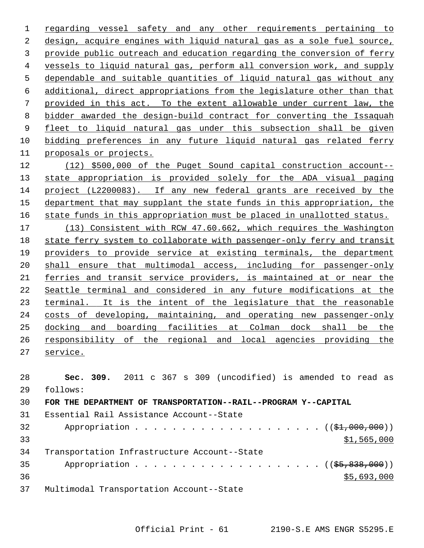regarding vessel safety and any other requirements pertaining to design, acquire engines with liquid natural gas as a sole fuel source, provide public outreach and education regarding the conversion of ferry vessels to liquid natural gas, perform all conversion work, and supply dependable and suitable quantities of liquid natural gas without any additional, direct appropriations from the legislature other than that provided in this act. To the extent allowable under current law, the 8 bidder awarded the design-build contract for converting the Issaquah fleet to liquid natural gas under this subsection shall be given bidding preferences in any future liquid natural gas related ferry proposals or projects. (12) \$500,000 of the Puget Sound capital construction account--

 state appropriation is provided solely for the ADA visual paging project (L2200083). If any new federal grants are received by the department that may supplant the state funds in this appropriation, the state funds in this appropriation must be placed in unallotted status. (13) Consistent with RCW 47.60.662, which requires the Washington state ferry system to collaborate with passenger-only ferry and transit providers to provide service at existing terminals, the department shall ensure that multimodal access, including for passenger-only ferries and transit service providers, is maintained at or near the Seattle terminal and considered in any future modifications at the 23 terminal. It is the intent of the legislature that the reasonable costs of developing, maintaining, and operating new passenger-only docking and boarding facilities at Colman dock shall be the responsibility of the regional and local agencies providing the service.

 **Sec. 309.** 2011 c 367 s 309 (uncodified) is amended to read as 29 follows: **FOR THE DEPARTMENT OF TRANSPORTATION--RAIL--PROGRAM Y--CAPITAL** 31 Essential Rail Assistance Account--State 32 Appropriation . . . . . . . . . . . . . . . . . . ((\$1,000,000))  $$1,565,000$ 34 Transportation Infrastructure Account--State 35 Appropriation . . . . . . . . . . . . . . . . . .  $($   $($  $$5, 838, 000)$  $)$   $$5,693,000$ 37 Multimodal Transportation Account--State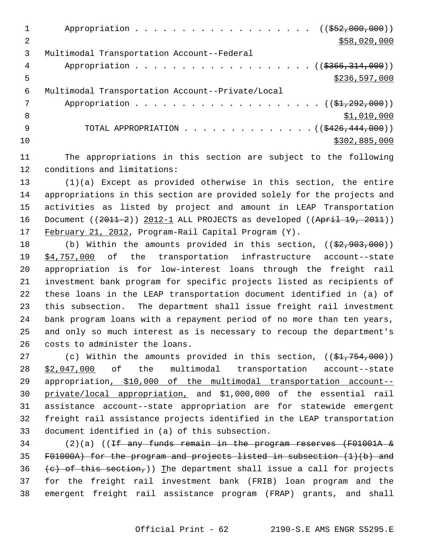|    | Appropriation ((\$52,000,000))                              |
|----|-------------------------------------------------------------|
| 2  | \$58,020,000                                                |
| 3  | Multimodal Transportation Account--Federal                  |
| 4  | Appropriation ((\$366,314,000))                             |
| 5  | \$236,597,000                                               |
| 6  | Multimodal Transportation Account--Private/Local            |
|    |                                                             |
| 8  | \$1,010,000                                                 |
| -9 | TOTAL APPROPRIATION $\ldots$ , ( $(\frac{2426}{444},000)$ ) |
| 10 | \$302,885,000                                               |
|    |                                                             |

11 The appropriations in this section are subject to the following 12 conditions and limitations:

13 (1)(a) Except as provided otherwise in this section, the entire 14 appropriations in this section are provided solely for the projects and 15 activities as listed by project and amount in LEAP Transportation 16 Document  $((2011-2))$  2012-1 ALL PROJECTS as developed  $((Apri1 19, 2011))$ 17 February 21, 2012, Program-Rail Capital Program (Y).

18 (b) Within the amounts provided in this section, ((\$2,903,000)) 19 \$4,757,000 of the transportation infrastructure account--state 20 appropriation is for low-interest loans through the freight rail 21 investment bank program for specific projects listed as recipients of 22 these loans in the LEAP transportation document identified in (a) of 23 this subsection. The department shall issue freight rail investment 24 bank program loans with a repayment period of no more than ten years, 25 and only so much interest as is necessary to recoup the department's 26 costs to administer the loans.

27 (c) Within the amounts provided in this section,  $((\frac{21}{754}, \frac{754}{700}))$ 28 \$2,047,000 of the multimodal transportation account--state 29 appropriation, \$10,000 of the multimodal transportation account-- 30 private/local appropriation, and \$1,000,000 of the essential rail 31 assistance account--state appropriation are for statewide emergent 32 freight rail assistance projects identified in the LEAP transportation 33 document identified in (a) of this subsection.

 $34$  (2)(a) ((If any funds remain in the program reserves (F01001A  $\&$ 35 F01000A) for the program and projects listed in subsection (1)(b) and 36 (c) of this section,)) The department shall issue a call for projects 37 for the freight rail investment bank (FRIB) loan program and the 38 emergent freight rail assistance program (FRAP) grants, and shall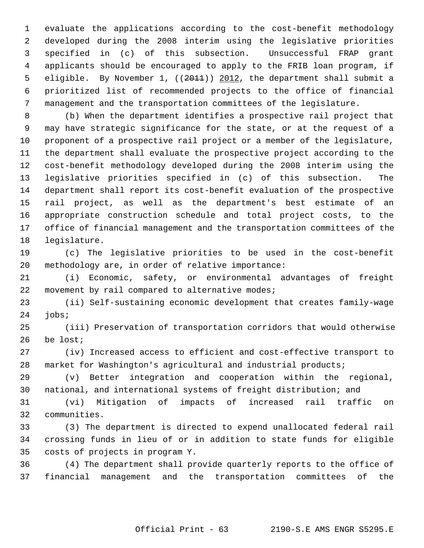1 evaluate the applications according to the cost-benefit methodology 2 developed during the 2008 interim using the legislative priorities 3 specified in (c) of this subsection. Unsuccessful FRAP grant 4 applicants should be encouraged to apply to the FRIB loan program, if 5 eligible. By November 1, ((2011)) 2012, the department shall submit a 6 prioritized list of recommended projects to the office of financial 7 management and the transportation committees of the legislature.

 8 (b) When the department identifies a prospective rail project that 9 may have strategic significance for the state, or at the request of a 10 proponent of a prospective rail project or a member of the legislature, 11 the department shall evaluate the prospective project according to the 12 cost-benefit methodology developed during the 2008 interim using the 13 legislative priorities specified in (c) of this subsection. The 14 department shall report its cost-benefit evaluation of the prospective 15 rail project, as well as the department's best estimate of an 16 appropriate construction schedule and total project costs, to the 17 office of financial management and the transportation committees of the 18 legislature.

19 (c) The legislative priorities to be used in the cost-benefit 20 methodology are, in order of relative importance:

21 (i) Economic, safety, or environmental advantages of freight 22 movement by rail compared to alternative modes;

23 (ii) Self-sustaining economic development that creates family-wage 24 jobs;

25 (iii) Preservation of transportation corridors that would otherwise 26 be lost;

27 (iv) Increased access to efficient and cost-effective transport to 28 market for Washington's agricultural and industrial products;

29 (v) Better integration and cooperation within the regional, 30 national, and international systems of freight distribution; and

31 (vi) Mitigation of impacts of increased rail traffic on 32 communities.

33 (3) The department is directed to expend unallocated federal rail 34 crossing funds in lieu of or in addition to state funds for eligible 35 costs of projects in program Y.

36 (4) The department shall provide quarterly reports to the office of 37 financial management and the transportation committees of the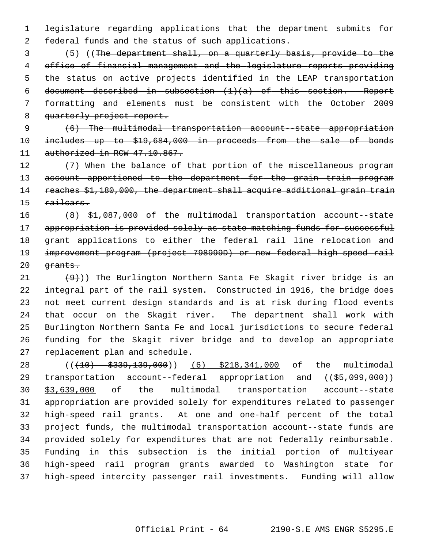1 legislature regarding applications that the department submits for 2 federal funds and the status of such applications.

 3 (5) ((The department shall, on a quarterly basis, provide to the 4 office of financial management and the legislature reports providing 5 the status on active projects identified in the LEAP transportation 6 document described in subsection  $(1)(a)$  of this section. Report 7 formatting and elements must be consistent with the October 2009 8 quarterly project report.

9 (6) The multimodal transportation account--state appropriation 10 includes up to \$19,684,000 in proceeds from the sale of bonds 11 authorized in RCW 47.10.867.

12 (7) When the balance of that portion of the miscellaneous program 13 account apportioned to the department for the grain train program 14 reaches \$1,180,000, the department shall acquire additional grain train 15 railcars.

16 (8) \$1,087,000 of the multimodal transportation account--state 17 appropriation is provided solely as state matching funds for successful 18 grant applications to either the federal rail line relocation and 19 improvement program (project 798999D) or new federal high-speed rail 20 <del>grants.</del>

21  $(9)$ )) The Burlington Northern Santa Fe Skagit river bridge is an 22 integral part of the rail system. Constructed in 1916, the bridge does 23 not meet current design standards and is at risk during flood events 24 that occur on the Skagit river. The department shall work with 25 Burlington Northern Santa Fe and local jurisdictions to secure federal 26 funding for the Skagit river bridge and to develop an appropriate 27 replacement plan and schedule.

28 ((<del>(10) \$339,139,000</del>)) (6) \$218,341,000 of the multimodal 29 transportation account--federal appropriation and ((\$5,099,000)) 30 \$3,639,000 of the multimodal transportation account--state 31 appropriation are provided solely for expenditures related to passenger 32 high-speed rail grants. At one and one-half percent of the total 33 project funds, the multimodal transportation account--state funds are 34 provided solely for expenditures that are not federally reimbursable. 35 Funding in this subsection is the initial portion of multiyear 36 high-speed rail program grants awarded to Washington state for 37 high-speed intercity passenger rail investments. Funding will allow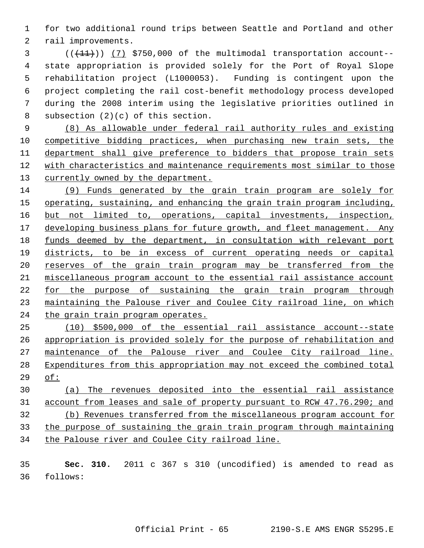1 for two additional round trips between Seattle and Portland and other 2 rail improvements.

 $(1+1)$  (17) \$750,000 of the multimodal transportation account-- 4 state appropriation is provided solely for the Port of Royal Slope 5 rehabilitation project (L1000053). Funding is contingent upon the 6 project completing the rail cost-benefit methodology process developed 7 during the 2008 interim using the legislative priorities outlined in 8 subsection (2)(c) of this section.

 (8) As allowable under federal rail authority rules and existing competitive bidding practices, when purchasing new train sets, the department shall give preference to bidders that propose train sets with characteristics and maintenance requirements most similar to those currently owned by the department.

 (9) Funds generated by the grain train program are solely for operating, sustaining, and enhancing the grain train program including, 16 but not limited to, operations, capital investments, inspection, developing business plans for future growth, and fleet management. Any funds deemed by the department, in consultation with relevant port districts, to be in excess of current operating needs or capital reserves of the grain train program may be transferred from the miscellaneous program account to the essential rail assistance account for the purpose of sustaining the grain train program through maintaining the Palouse river and Coulee City railroad line, on which the grain train program operates.

 (10) \$500,000 of the essential rail assistance account--state appropriation is provided solely for the purpose of rehabilitation and maintenance of the Palouse river and Coulee City railroad line. Expenditures from this appropriation may not exceed the combined total of:

 (a) The revenues deposited into the essential rail assistance account from leases and sale of property pursuant to RCW 47.76.290; and (b) Revenues transferred from the miscellaneous program account for the purpose of sustaining the grain train program through maintaining the Palouse river and Coulee City railroad line.

 **Sec. 310.** 2011 c 367 s 310 (uncodified) is amended to read as 36 follows: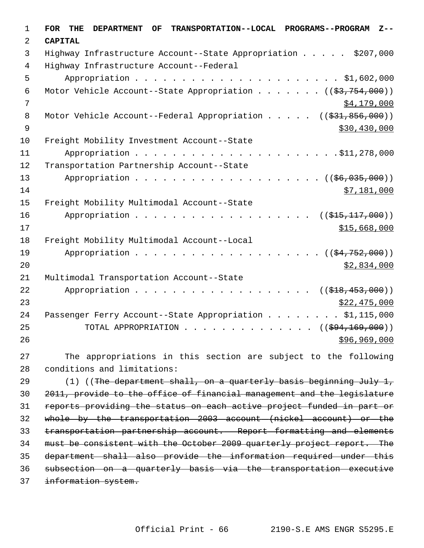| 1           | TRANSPORTATION--LOCAL PROGRAMS--PROGRAM<br><b>FOR</b><br><b>DEPARTMENT</b><br>THE<br>OF.<br>$Z - -$ |
|-------------|-----------------------------------------------------------------------------------------------------|
| 2           | <b>CAPITAL</b>                                                                                      |
| 3           | Highway Infrastructure Account--State Appropriation \$207,000                                       |
| 4           | Highway Infrastructure Account--Federal                                                             |
| 5           |                                                                                                     |
| 6           | Motor Vehicle Account--State Appropriation ( $(\frac{2}{3}, 754, 000)$ )                            |
| 7           | \$4,179,000                                                                                         |
| 8           | Motor Vehicle Account--Federal Appropriation $($ $($ $\frac{21}{631}, 856, 000) )$                  |
| $\mathsf 9$ | \$30,430,000                                                                                        |
| 10          | Freight Mobility Investment Account--State                                                          |
| 11          |                                                                                                     |
| 12          | Transportation Partnership Account--State                                                           |
| 13          | $((\$6,035,000))$                                                                                   |
| 14          | \$7,181,000                                                                                         |
| 15          | Freight Mobility Multimodal Account--State                                                          |
| 16          | Appropriation<br>$((\$15,117,000))$                                                                 |
| 17          | \$15,668,000                                                                                        |
| 18          | Freight Mobility Multimodal Account--Local                                                          |
| 19          | Appropriation<br>(( <del>\$4,752,000</del> ))                                                       |
| 20          | \$2,834,000                                                                                         |
| 21          | Multimodal Transportation Account--State                                                            |
| 22          | Appropriation<br>$((\$18,453,000))$                                                                 |
| 23          | \$22,475,000                                                                                        |
| 24          | Passenger Ferry Account--State Appropriation \$1,115,000                                            |
| 25          | TOTAL APPROPRIATION $\ldots$ , ( $(\frac{694,169,000}{2})$ )                                        |
| 26          | \$96,969,000                                                                                        |
| 27          | The appropriations in this section are subject to the following                                     |
| 28          | conditions and limitations:                                                                         |
| 29          | $(1)$ ((The department shall, on a quarterly basis beginning July 1,                                |
| 30          | 2011, provide to the office of financial management and the legislature                             |
| 31          | reports providing the status on each active project funded in part or                               |
| 32          | whole by the transportation 2003 account (nickel account) or the                                    |
| 33          | transportation partnership account. Report formatting and elements                                  |
| 34          | must be consistent with the October 2009 quarterly project report. The                              |
| 35          | department shall also provide the information required under this                                   |
| 36          | subsection on a quarterly basis via the transportation executive                                    |
| 37          | information system.                                                                                 |
|             |                                                                                                     |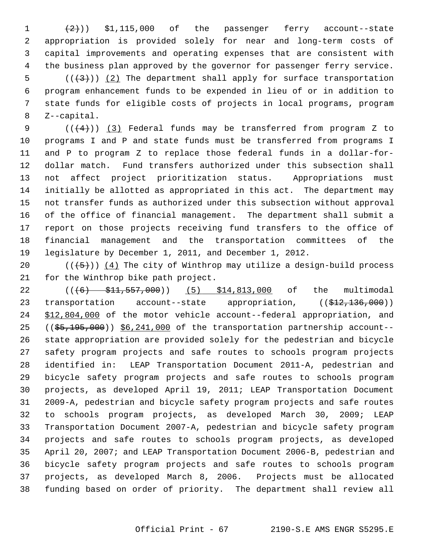1  $(2)$ ) \$1,115,000 of the passenger ferry account--state 2 appropriation is provided solely for near and long-term costs of 3 capital improvements and operating expenses that are consistent with 4 the business plan approved by the governor for passenger ferry service.  $5$  (( $(3)$ )) (2) The department shall apply for surface transportation 6 program enhancement funds to be expended in lieu of or in addition to 7 state funds for eligible costs of projects in local programs, program 8 Z--capital.

9  $((+4))$   $(3)$  Federal funds may be transferred from program Z to 10 programs I and P and state funds must be transferred from programs I 11 and P to program Z to replace those federal funds in a dollar-for-12 dollar match. Fund transfers authorized under this subsection shall 13 not affect project prioritization status. Appropriations must 14 initially be allotted as appropriated in this act. The department may 15 not transfer funds as authorized under this subsection without approval 16 of the office of financial management. The department shall submit a 17 report on those projects receiving fund transfers to the office of 18 financial management and the transportation committees of the 19 legislature by December 1, 2011, and December 1, 2012.

20  $((+5))$   $(4)$  The city of Winthrop may utilize a design-build process 21 for the Winthrop bike path project.

22 ((<del>(6) \$11,557,000</del>)) (5) \$14,813,000 of the multimodal 23 transportation account--state appropriation,  $((\frac{212}{12}, \frac{136}{100}))$ 24 \$12,804,000 of the motor vehicle account--federal appropriation, and  $25$  ( $(\frac{25}{195},\frac{195}{000})$ )  $\S6,241,000$  of the transportation partnership account--26 state appropriation are provided solely for the pedestrian and bicycle 27 safety program projects and safe routes to schools program projects 28 identified in: LEAP Transportation Document 2011-A, pedestrian and 29 bicycle safety program projects and safe routes to schools program 30 projects, as developed April 19, 2011; LEAP Transportation Document 31 2009-A, pedestrian and bicycle safety program projects and safe routes 32 to schools program projects, as developed March 30, 2009; LEAP 33 Transportation Document 2007-A, pedestrian and bicycle safety program 34 projects and safe routes to schools program projects, as developed 35 April 20, 2007; and LEAP Transportation Document 2006-B, pedestrian and 36 bicycle safety program projects and safe routes to schools program 37 projects, as developed March 8, 2006. Projects must be allocated 38 funding based on order of priority. The department shall review all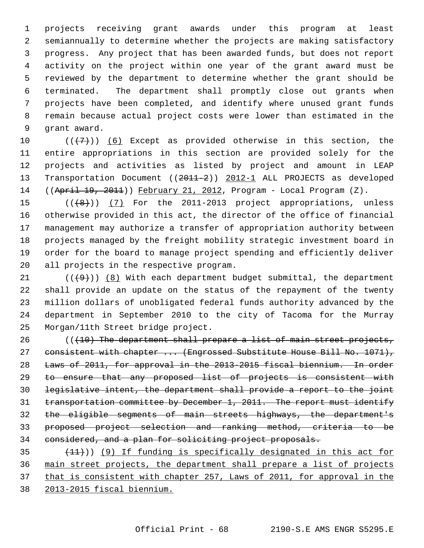1 projects receiving grant awards under this program at least 2 semiannually to determine whether the projects are making satisfactory 3 progress. Any project that has been awarded funds, but does not report 4 activity on the project within one year of the grant award must be 5 reviewed by the department to determine whether the grant should be 6 terminated. The department shall promptly close out grants when 7 projects have been completed, and identify where unused grant funds 8 remain because actual project costs were lower than estimated in the 9 grant award.

10  $((+7)^{n})$  (6) Except as provided otherwise in this section, the 11 entire appropriations in this section are provided solely for the 12 projects and activities as listed by project and amount in LEAP 13 Transportation Document ((2011-2)) 2012-1 ALL PROJECTS as developed 14 ((April 19, 2011)) February 21, 2012, Program - Local Program (Z).

15 (((8)) (7) For the 2011-2013 project appropriations, unless 16 otherwise provided in this act, the director of the office of financial 17 management may authorize a transfer of appropriation authority between 18 projects managed by the freight mobility strategic investment board in 19 order for the board to manage project spending and efficiently deliver 20 all projects in the respective program.

21  $((+9)^i)$  (8) With each department budget submittal, the department 22 shall provide an update on the status of the repayment of the twenty 23 million dollars of unobligated federal funds authority advanced by the 24 department in September 2010 to the city of Tacoma for the Murray 25 Morgan/11th Street bridge project.

 $(110)$  The department shall prepare a list of main street projects, 27 consistent with chapter ... (Engrossed Substitute House Bill No. 1071), Laws of 2011, for approval in the 2013-2015 fiscal biennium. In order to ensure that any proposed list of projects is consistent with legislative intent, the department shall provide a report to the joint transportation committee by December 1, 2011. The report must identify the eligible segments of main streets highways, the department's proposed project selection and ranking method, criteria to be considered, and a plan for soliciting project proposals.

 $(11)$ ) (9) If funding is specifically designated in this act for main street projects, the department shall prepare a list of projects that is consistent with chapter 257, Laws of 2011, for approval in the 2013-2015 fiscal biennium.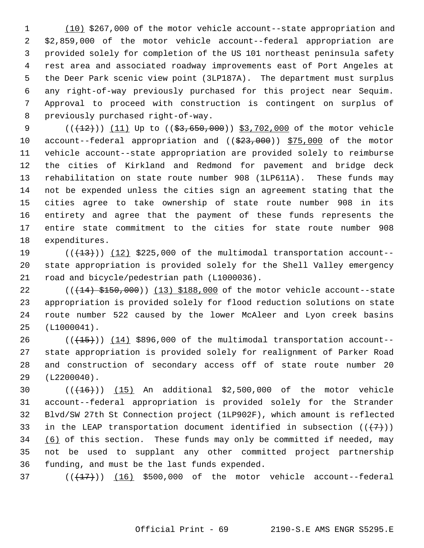1 (10) \$267,000 of the motor vehicle account--state appropriation and 2 \$2,859,000 of the motor vehicle account--federal appropriation are 3 provided solely for completion of the US 101 northeast peninsula safety 4 rest area and associated roadway improvements east of Port Angeles at 5 the Deer Park scenic view point (3LP187A). The department must surplus 6 any right-of-way previously purchased for this project near Sequim. 7 Approval to proceed with construction is contingent on surplus of 8 previously purchased right-of-way.

9  $((+12))$  (11) Up to  $((53,650,000))$  \$3,702,000 of the motor vehicle 10 account--federal appropriation and ((\$23,000)) \$75,000 of the motor 11 vehicle account--state appropriation are provided solely to reimburse 12 the cities of Kirkland and Redmond for pavement and bridge deck 13 rehabilitation on state route number 908 (1LP611A). These funds may 14 not be expended unless the cities sign an agreement stating that the 15 cities agree to take ownership of state route number 908 in its 16 entirety and agree that the payment of these funds represents the 17 entire state commitment to the cities for state route number 908 18 expenditures.

19  $((+13))$   $(12)$  \$225,000 of the multimodal transportation account--20 state appropriation is provided solely for the Shell Valley emergency 21 road and bicycle/pedestrian path (L1000036).

22  $((14)$   $$150,000)$   $(13)$  \$188,000 of the motor vehicle account--state 23 appropriation is provided solely for flood reduction solutions on state 24 route number 522 caused by the lower McAleer and Lyon creek basins 25 (L1000041).

 $26$  ( $(\overline{+15})$ ) (14) \$896,000 of the multimodal transportation account--27 state appropriation is provided solely for realignment of Parker Road 28 and construction of secondary access off of state route number 20 29 (L2200040).

30  $((+16))$   $(15)$  An additional \$2,500,000 of the motor vehicle 31 account--federal appropriation is provided solely for the Strander 32 Blvd/SW 27th St Connection project (1LP902F), which amount is reflected 33 in the LEAP transportation document identified in subsection  $((+7))$ 34 (6) of this section. These funds may only be committed if needed, may 35 not be used to supplant any other committed project partnership 36 funding, and must be the last funds expended.

37  $((\text{+17+}))$  (16) \$500,000 of the motor vehicle account--federal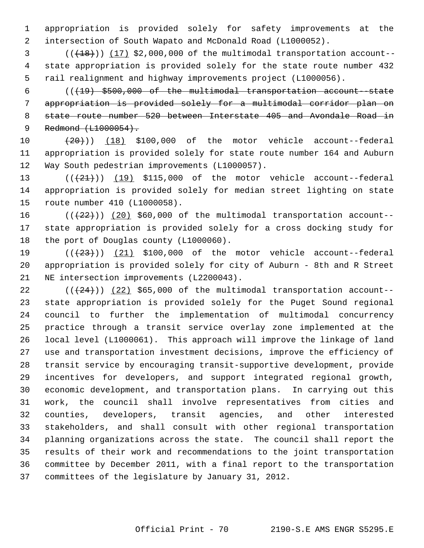1 appropriation is provided solely for safety improvements at the 2 intersection of South Wapato and McDonald Road (L1000052).

 $(3$  ( $(18)$ )) (17) \$2,000,000 of the multimodal transportation account-- 4 state appropriation is provided solely for the state route number 432 5 rail realignment and highway improvements project (L1000056).

 6 (((19) \$500,000 of the multimodal transportation account--state 7 appropriation is provided solely for a multimodal corridor plan on 8 state route number 520 between Interstate 405 and Avondale Road in 9 Redmond (L1000054).

10  $(20)$ ) (18) \$100,000 of the motor vehicle account--federal 11 appropriation is provided solely for state route number 164 and Auburn 12 Way South pedestrian improvements (L1000057).

13  $((+21))$   $(19)$  \$115,000 of the motor vehicle account--federal 14 appropriation is provided solely for median street lighting on state 15 route number 410 (L1000058).

16  $((+22))$   $(20)$  \$60,000 of the multimodal transportation account--17 state appropriation is provided solely for a cross docking study for 18 the port of Douglas county (L1000060).

19  $((+23+))$  (21) \$100,000 of the motor vehicle account--federal 20 appropriation is provided solely for city of Auburn - 8th and R Street 21 NE intersection improvements (L2200043).

22  $((+24))$  (22) \$65,000 of the multimodal transportation account-23 state appropriation is provided solely for the Puget Sound regional 24 council to further the implementation of multimodal concurrency 25 practice through a transit service overlay zone implemented at the 26 local level (L1000061). This approach will improve the linkage of land 27 use and transportation investment decisions, improve the efficiency of 28 transit service by encouraging transit-supportive development, provide 29 incentives for developers, and support integrated regional growth, 30 economic development, and transportation plans. In carrying out this 31 work, the council shall involve representatives from cities and 32 counties, developers, transit agencies, and other interested 33 stakeholders, and shall consult with other regional transportation 34 planning organizations across the state. The council shall report the 35 results of their work and recommendations to the joint transportation 36 committee by December 2011, with a final report to the transportation 37 committees of the legislature by January 31, 2012.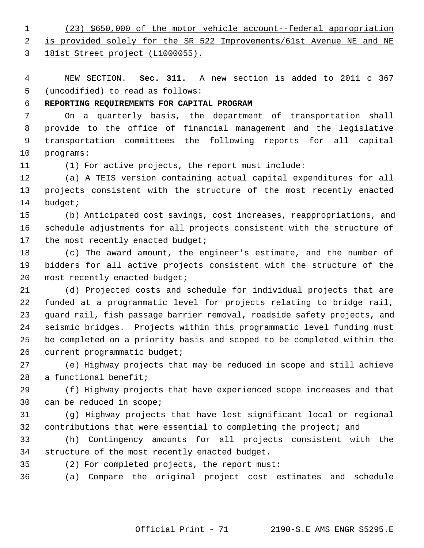1 (23) \$650,000 of the motor vehicle account--federal appropriation

 2 is provided solely for the SR 522 Improvements/61st Avenue NE and NE 3 181st Street project (L1000055).

 4 NEW SECTION. **Sec. 311.** A new section is added to 2011 c 367 5 (uncodified) to read as follows:

## 6 **REPORTING REQUIREMENTS FOR CAPITAL PROGRAM**

 7 On a quarterly basis, the department of transportation shall 8 provide to the office of financial management and the legislative 9 transportation committees the following reports for all capital 10 programs:

11 (1) For active projects, the report must include:

12 (a) A TEIS version containing actual capital expenditures for all 13 projects consistent with the structure of the most recently enacted 14 budget;

15 (b) Anticipated cost savings, cost increases, reappropriations, and 16 schedule adjustments for all projects consistent with the structure of 17 the most recently enacted budget;

18 (c) The award amount, the engineer's estimate, and the number of 19 bidders for all active projects consistent with the structure of the 20 most recently enacted budget;

21 (d) Projected costs and schedule for individual projects that are 22 funded at a programmatic level for projects relating to bridge rail, 23 guard rail, fish passage barrier removal, roadside safety projects, and 24 seismic bridges. Projects within this programmatic level funding must 25 be completed on a priority basis and scoped to be completed within the 26 current programmatic budget;

27 (e) Highway projects that may be reduced in scope and still achieve 28 a functional benefit;

29 (f) Highway projects that have experienced scope increases and that 30 can be reduced in scope;

31 (g) Highway projects that have lost significant local or regional 32 contributions that were essential to completing the project; and

33 (h) Contingency amounts for all projects consistent with the 34 structure of the most recently enacted budget.

35 (2) For completed projects, the report must:

36 (a) Compare the original project cost estimates and schedule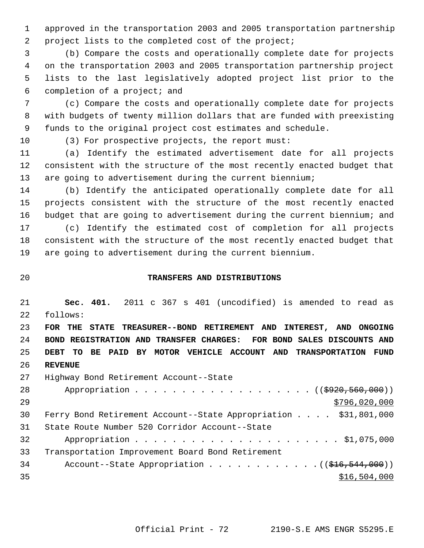1 approved in the transportation 2003 and 2005 transportation partnership 2 project lists to the completed cost of the project;

 3 (b) Compare the costs and operationally complete date for projects 4 on the transportation 2003 and 2005 transportation partnership project 5 lists to the last legislatively adopted project list prior to the 6 completion of a project; and

 7 (c) Compare the costs and operationally complete date for projects 8 with budgets of twenty million dollars that are funded with preexisting 9 funds to the original project cost estimates and schedule.

10 (3) For prospective projects, the report must:

11 (a) Identify the estimated advertisement date for all projects 12 consistent with the structure of the most recently enacted budget that 13 are going to advertisement during the current biennium;

14 (b) Identify the anticipated operationally complete date for all 15 projects consistent with the structure of the most recently enacted 16 budget that are going to advertisement during the current biennium; and 17 (c) Identify the estimated cost of completion for all projects 18 consistent with the structure of the most recently enacted budget that

19 are going to advertisement during the current biennium.

# 20 **TRANSFERS AND DISTRIBUTIONS**

21 **Sec. 401.** 2011 c 367 s 401 (uncodified) is amended to read as 22 follows:

 **FOR THE STATE TREASURER--BOND RETIREMENT AND INTEREST, AND ONGOING BOND REGISTRATION AND TRANSFER CHARGES: FOR BOND SALES DISCOUNTS AND DEBT TO BE PAID BY MOTOR VEHICLE ACCOUNT AND TRANSPORTATION FUND** 26 **REVENUE**

27 Highway Bond Retirement Account--State 28 Appropriation . . . . . . . . . . . . . . . . . ((\$920,560,000)) 29 \$796,020,000 \$796,020,000 \$796,020,000 \$796,020,000 \$796,020,000 \$796,020,000 \$796,020,000 \$796,020,000 \$79 30 Ferry Bond Retirement Account--State Appropriation . . . . \$31,801,000 31 State Route Number 520 Corridor Account--State 32 Appropriation . . . . . . . . . . . . . . . . . . . . . . \$1,075,000 33 Transportation Improvement Board Bond Retirement 34 Account--State Appropriation . . . . . . . . . . . ((\$16,544,000))  $35$   $35$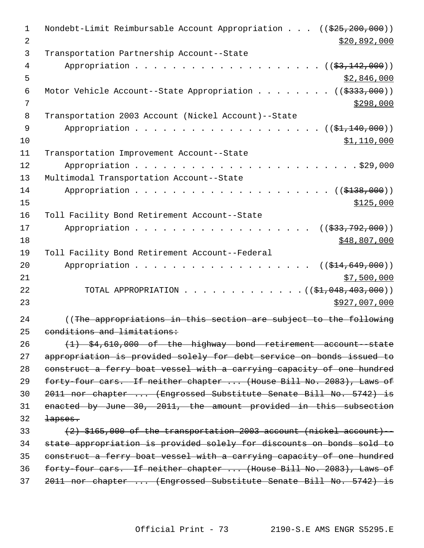| $\mathbf 1$<br>2 | Nondebt-Limit Reimbursable Account Appropriation $(($25,200,000))$<br>\$20,892,000 |
|------------------|------------------------------------------------------------------------------------|
| 3                | Transportation Partnership Account--State                                          |
| 4                | Appropriation<br>(( <del>\$3,142,000</del> ))                                      |
| 5                | \$2,846,000                                                                        |
| 6                | Motor Vehicle Account--State Appropriation<br>$((\$333,000))$                      |
| 7                | \$298,000                                                                          |
| 8                | Transportation 2003 Account (Nickel Account)--State                                |
| 9                | Appropriation<br>$((\$1,140,000))$                                                 |
| 10               | <u>\$1,110,000</u>                                                                 |
| 11               | Transportation Improvement Account--State                                          |
| 12               | Appropriation<br>$\cdot$ $\cdot$ $\cdot$ $\cdot$ $\cdot$ \$29,000                  |
| 13               | Multimodal Transportation Account--State                                           |
| 14               | Appropriation<br>$\ldots$ (( $\frac{138}{9138,000}$ ))                             |
| 15               | \$125,000                                                                          |
| 16               | Toll Facility Bond Retirement Account--State                                       |
| 17               | Appropriation<br>((\$33,792,000))                                                  |
| 18               | \$48,807,000                                                                       |
| 19               | Toll Facility Bond Retirement Account--Federal                                     |
| 20               | Appropriation<br>$((\$14,649,000))$                                                |
| 21               | \$7,500,000                                                                        |
| 22               | TOTAL APPROPRIATION<br>$\ldots$ (( $\frac{1}{2}$ , 048, 403, 000))                 |
| 23               | \$927,007,000                                                                      |
| 24               | ((The appropriations in this section are subject to the following                  |
| 25               | conditions and limitations:                                                        |
| 26               | $(1)$ \$4,610,000 of the highway bond retirement account-state                     |
| 27               | appropriation is provided solely for debt service on bonds issued to               |
| 28               | construct a ferry boat vessel with a carrying capacity of one hundred              |
| 29               | forty-four cars. If neither chapter  (House Bill No. 2083), Laws of                |
| 30               | 2011 nor chapter  (Engrossed Substitute Senate Bill No. 5742) is                   |
| 31               | enacted by June 30, 2011, the amount provided in this subsection                   |
| 32               | <del>lapses.</del>                                                                 |
| 33               | $(2)$ \$165,000 of the transportation 2003 account (nickel account) --             |
| 34               | state appropriation is provided solely for discounts on bonds sold to              |
| 35               | construct a ferry boat vessel with a carrying capacity of one hundred              |
| 36               | forty-four cars. If neither chapter  (House Bill No. 2083), Laws of                |
| 37               | 2011 nor chapter  (Engrossed Substitute Senate Bill No. 5742) is                   |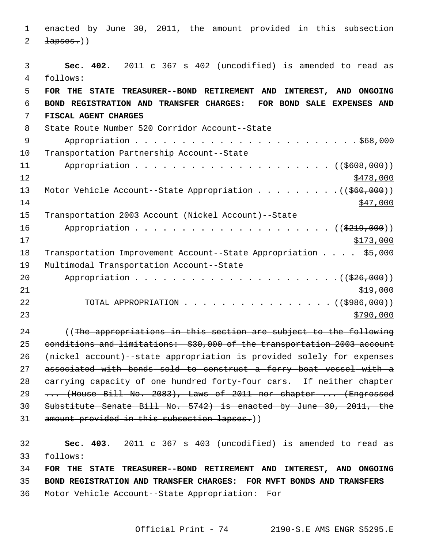1 enacted by June 30, 2011, the amount provided in this subsection  $2 \rightarrow \text{layers.}$ 

 3 **Sec. 402.** 2011 c 367 s 402 (uncodified) is amended to read as 4 follows: 5 **FOR THE STATE TREASURER--BOND RETIREMENT AND INTEREST, AND ONGOING** 6 **BOND REGISTRATION AND TRANSFER CHARGES: FOR BOND SALE EXPENSES AND** 7 **FISCAL AGENT CHARGES** 8 State Route Number 520 Corridor Account--State 9 Appropriation . . . . . . . . . . . . . . . . . . . . . . . . \$68,000 10 Transportation Partnership Account--State 11 Appropriation . . . . . . . . . . . . . . . . . . ((<del>\$608,000</del>))  $12$   $\frac{$478,000}{}$ 13 Motor Vehicle Account--State Appropriation . . . . . . . . . ((\$60,000))  $14$   $\frac{$47,000}{}$ 15 Transportation 2003 Account (Nickel Account)--State 16 Appropriation . . . . . . . . . . . . . . . . . . . . . ((\$219,000)) 17 \$173,000 18 Transportation Improvement Account--State Appropriation . . . . \$5,000 19 Multimodal Transportation Account--State 20 Appropriation . . . . . . . . . . . . . . . . . . . . . .((\$26,000))  $21$   $\frac{$19,000}{}$ 22 TOTAL APPROPRIATION . . . . . . . . . . . . . . . ((\$986,000))  $23$ 24 (The appropriations in this section are subject to the following 25 conditions and limitations: \$30,000 of the transportation 2003 account 26 (nickel account)--state appropriation is provided solely for expenses 27 associated with bonds sold to construct a ferry boat vessel with a 28 carrying capacity of one hundred forty-four cars. If neither chapter 29 ... (House Bill No. 2083), Laws of 2011 nor chapter ... (Engrossed 30 Substitute Senate Bill No. 5742) is enacted by June 30, 2011, the 31 amount provided in this subsection lapses.)) 32 **Sec. 403.** 2011 c 367 s 403 (uncodified) is amended to read as 33 follows: 34 **FOR THE STATE TREASURER--BOND RETIREMENT AND INTEREST, AND ONGOING**

35 **BOND REGISTRATION AND TRANSFER CHARGES: FOR MVFT BONDS AND TRANSFERS**

36 Motor Vehicle Account--State Appropriation: For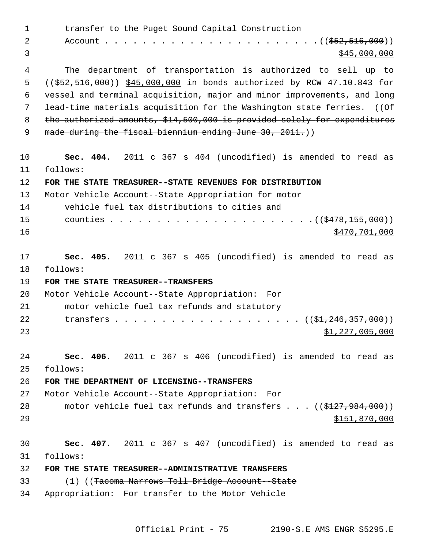1 transfer to the Puget Sound Capital Construction 2 Account . . . . . . . . . . . . . . . . . . . . . . . ((\$52,516,000))  $\frac{1}{2}$   $\frac{1}{2}$   $\frac{1}{2}$   $\frac{1}{2}$   $\frac{1}{2}$   $\frac{1}{2}$   $\frac{1}{2}$   $\frac{1}{2}$   $\frac{1}{2}$   $\frac{1}{2}$   $\frac{1}{2}$   $\frac{1}{2}$   $\frac{1}{2}$   $\frac{1}{2}$   $\frac{1}{2}$   $\frac{1}{2}$   $\frac{1}{2}$   $\frac{1}{2}$   $\frac{1}{2}$   $\frac{1}{2}$   $\frac{1}{2}$   $\frac{1}{2}$  4 The department of transportation is authorized to sell up to 5 ((\$52,516,000)) \$45,000,000 in bonds authorized by RCW 47.10.843 for 6 vessel and terminal acquisition, major and minor improvements, and long 7 lead-time materials acquisition for the Washington state ferries.  $(1.05$ 8 the authorized amounts, \$14,500,000 is provided solely for expenditures 9 made during the fiscal biennium ending June 30, 2011.) 10 **Sec. 404.** 2011 c 367 s 404 (uncodified) is amended to read as 11 follows: 12 **FOR THE STATE TREASURER--STATE REVENUES FOR DISTRIBUTION** 13 Motor Vehicle Account--State Appropriation for motor 14 vehicle fuel tax distributions to cities and 15 counties . . . . . . . . . . . . . . . . . . . . . .((\$478,155,000)) 16 \$470,701,000 17 **Sec. 405.** 2011 c 367 s 405 (uncodified) is amended to read as 18 follows: 19 **FOR THE STATE TREASURER--TRANSFERS** 20 Motor Vehicle Account--State Appropriation: For 21 motor vehicle fuel tax refunds and statutory 22 transfers . . . . . . . . . . . . . . . . . . (  $(\frac{1}{24}, \frac{246}{357}, \frac{357}{600})$  )  $23$   $51,227,005,000$ 24 **Sec. 406.** 2011 c 367 s 406 (uncodified) is amended to read as 25 follows: 26 **FOR THE DEPARTMENT OF LICENSING--TRANSFERS** 27 Motor Vehicle Account--State Appropriation: For 28 motor vehicle fuel tax refunds and transfers . . . ((\$127,984,000)) 29 \$151,870,000 30 **Sec. 407.** 2011 c 367 s 407 (uncodified) is amended to read as 31 follows: 32 **FOR THE STATE TREASURER--ADMINISTRATIVE TRANSFERS** 33 (1) ((Tacoma Narrows Toll Bridge Account--State 34 Appropriation: For transfer to the Motor Vehicle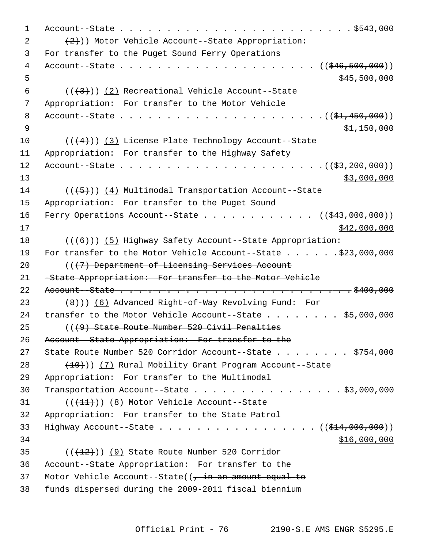```
 1 Account--State . . . . . . . . . . . . . . . . . . . . . . . . . $543,000
(2) (2))) Motor Vehicle Account--State Appropriation:
 3 For transfer to the Puget Sound Ferry Operations
 4 Account--State . . . . . . . . . . . . . . . . . . . . . (($46,500,000))
5 - 5 500,0006 ((+3)) (2) Recreational Vehicle Account--State
 7 Appropriation: For transfer to the Motor Vehicle
 8 Account--State . . . . . . . . . . . . . . . . . . . . . .(($1,450,000))
9 $1,150,000
10 ((+4)) (3) License Plate Technology Account--State
11 Appropriation: For transfer to the Highway Safety
12 Account--State . . . . . . . . . . . . . . . . . . . . . .(($3,200,000))
13 $3,000,000
14 ((+5)) (4) Multimodal Transportation Account--State
15 Appropriation: For transfer to the Puget Sound
16 Ferry Operations Account--State \ldots . . . . . . . . . ((\frac{643,000,000}{2}))
17 $42,000,000
18 ((\langle 6 \rangle)(5) Highway Safety Account--State Appropriation:
19 For transfer to the Motor Vehicle Account--State . . . . . . $23,000,000
20 ((\sqrt{7}) Department of Licensing Services Account
21 -State Appropriation: For transfer to the Motor Vehicle
22 Account--State . . . . . . . . . . . . . . . . . . . . . . . . . $400,000
23 (8))) (6) Advanced Right-of-Way Revolving Fund: For
24 transfer to the Motor Vehicle Account--State . . . . . . . $5,000,000
25 (((9) State Route Number 520 Civil Penalties
26 Account--State Appropriation: For transfer to the
27 State Route Number 520 Corridor Account--State . . . . . . . $754,000
28 (10)) (7) Rural Mobility Grant Program Account--State
29 Appropriation: For transfer to the Multimodal
30 Transportation Account--State . . . . . . . . . . . . . . . . $3,000,000
31 ((+11)) (8) Motor Vehicle Account--State
32 Appropriation: For transfer to the State Patrol
33 Highway Account--State . . . . . . . . . . . . . . . . . ( (\frac{214,000,000)}{100,000})34 516,000,00035 ((\text{+12}))(9) State Route Number 520 Corridor
36 Account--State Appropriation: For transfer to the
37 Motor Vehicle Account--State((, in an amount equal to
38 funds dispersed during the 2009-2011 fiscal biennium
```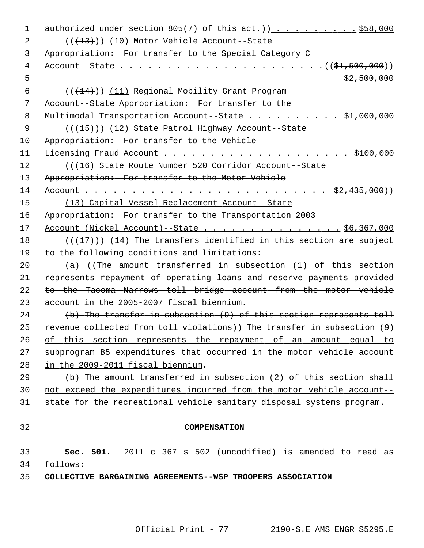1 authorized under section  $805(7)$  of this act.)).........\$58,000 2 (( $(13)$ )) (10) Motor Vehicle Account--State 3 Appropriation: For transfer to the Special Category C 4 Account--State . . . . . . . . . . . . . . . . . . . . . .((\$1,500,000))  $5 - 5$   $\frac{1}{2}$ ,500,000 6  $((+14))$  (11) Regional Mobility Grant Program 7 Account--State Appropriation: For transfer to the 8 Multimodal Transportation Account--State . . . . . . . . . . \$1,000,000 9 (( $\left(\frac{15}{15}\right)$ ) (12) State Patrol Highway Account--State 10 Appropriation: For transfer to the Vehicle 11 Licensing Fraud Account . . . . . . . . . . . . . . . . . . . . \$100,000 12 (((16) State Route Number 520 Corridor Account--State 13 Appropriation: For transfer to the Motor Vehicle 14 Account . . . . . . . . . . . . . . . . . . . . . . . . . . \$2,435,000)) 15 (13) Capital Vessel Replacement Account--State 16 Appropriation: For transfer to the Transportation 2003 17 Account (Nickel Account)--State . . . . . . . . . . . . . . . \$6,367,000 18  $((+17))$  (14) The transfers identified in this section are subject 19 to the following conditions and limitations: 20 (a) ((The amount transferred in subsection (1) of this section 21 represents repayment of operating loans and reserve payments provided 22 to the Tacoma Narrows toll bridge account from the motor vehicle 23 account in the 2005-2007 fiscal biennium. 24 (b) The transfer in subsection (9) of this section represents toll 25 revenue collected from toll violations)) The transfer in subsection (9) 26 of this section represents the repayment of an amount equal to 27 subprogram B5 expenditures that occurred in the motor vehicle account 28 in the 2009-2011 fiscal biennium. 29 (b) The amount transferred in subsection (2) of this section shall 30 not exceed the expenditures incurred from the motor vehicle account-- 31 state for the recreational vehicle sanitary disposal systems program. 32 **COMPENSATION** 33 **Sec. 501.** 2011 c 367 s 502 (uncodified) is amended to read as 34 follows: 35 **COLLECTIVE BARGAINING AGREEMENTS--WSP TROOPERS ASSOCIATION**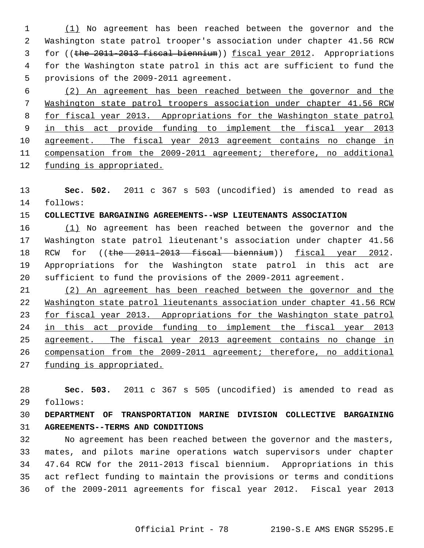1 (1) No agreement has been reached between the governor and the 2 Washington state patrol trooper's association under chapter 41.56 RCW 3 for ((the 2011-2013 fiscal biennium)) fiscal year 2012. Appropriations 4 for the Washington state patrol in this act are sufficient to fund the 5 provisions of the 2009-2011 agreement.

 (2) An agreement has been reached between the governor and the Washington state patrol troopers association under chapter 41.56 RCW for fiscal year 2013. Appropriations for the Washington state patrol in this act provide funding to implement the fiscal year 2013 agreement. The fiscal year 2013 agreement contains no change in compensation from the 2009-2011 agreement; therefore, no additional funding is appropriated.

13 **Sec. 502.** 2011 c 367 s 503 (uncodified) is amended to read as 14 follows:

# 15 **COLLECTIVE BARGAINING AGREEMENTS--WSP LIEUTENANTS ASSOCIATION**

16 (1) No agreement has been reached between the governor and the 17 Washington state patrol lieutenant's association under chapter 41.56 18 RCW for ((the 2011-2013 fiscal biennium)) fiscal year 2012. 19 Appropriations for the Washington state patrol in this act are 20 sufficient to fund the provisions of the 2009-2011 agreement.

 (2) An agreement has been reached between the governor and the Washington state patrol lieutenants association under chapter 41.56 RCW for fiscal year 2013. Appropriations for the Washington state patrol in this act provide funding to implement the fiscal year 2013 agreement. The fiscal year 2013 agreement contains no change in compensation from the 2009-2011 agreement; therefore, no additional funding is appropriated.

28 **Sec. 503.** 2011 c 367 s 505 (uncodified) is amended to read as 29 follows:

# 30 **DEPARTMENT OF TRANSPORTATION MARINE DIVISION COLLECTIVE BARGAINING** 31 **AGREEMENTS--TERMS AND CONDITIONS**

32 No agreement has been reached between the governor and the masters, 33 mates, and pilots marine operations watch supervisors under chapter 34 47.64 RCW for the 2011-2013 fiscal biennium. Appropriations in this 35 act reflect funding to maintain the provisions or terms and conditions 36 of the 2009-2011 agreements for fiscal year 2012. Fiscal year 2013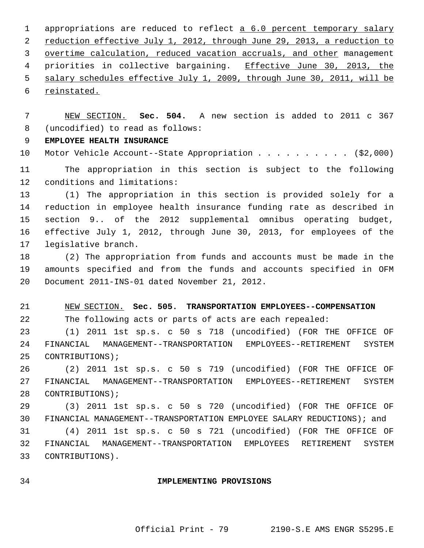1 appropriations are reduced to reflect a 6.0 percent temporary salary reduction effective July 1, 2012, through June 29, 2013, a reduction to overtime calculation, reduced vacation accruals, and other management 4 priorities in collective bargaining. Effective June 30, 2013, the salary schedules effective July 1, 2009, through June 30, 2011, will be reinstated.

 7 NEW SECTION. **Sec. 504.** A new section is added to 2011 c 367 8 (uncodified) to read as follows:

9 **EMPLOYEE HEALTH INSURANCE**

10 Motor Vehicle Account--State Appropriation . . . . . . . . . . (\$2,000)

11 The appropriation in this section is subject to the following 12 conditions and limitations:

13 (1) The appropriation in this section is provided solely for a 14 reduction in employee health insurance funding rate as described in 15 section 9.. of the 2012 supplemental omnibus operating budget, 16 effective July 1, 2012, through June 30, 2013, for employees of the 17 legislative branch.

18 (2) The appropriation from funds and accounts must be made in the 19 amounts specified and from the funds and accounts specified in OFM 20 Document 2011-INS-01 dated November 21, 2012.

21 NEW SECTION. **Sec. 505. TRANSPORTATION EMPLOYEES--COMPENSATION** 22 The following acts or parts of acts are each repealed:

23 (1) 2011 1st sp.s. c 50 s 718 (uncodified) (FOR THE OFFICE OF 24 FINANCIAL MANAGEMENT--TRANSPORTATION EMPLOYEES--RETIREMENT SYSTEM 25 CONTRIBUTIONS);

26 (2) 2011 1st sp.s. c 50 s 719 (uncodified) (FOR THE OFFICE OF 27 FINANCIAL MANAGEMENT--TRANSPORTATION EMPLOYEES--RETIREMENT SYSTEM 28 CONTRIBUTIONS);

29 (3) 2011 1st sp.s. c 50 s 720 (uncodified) (FOR THE OFFICE OF 30 FINANCIAL MANAGEMENT--TRANSPORTATION EMPLOYEE SALARY REDUCTIONS); and

31 (4) 2011 1st sp.s. c 50 s 721 (uncodified) (FOR THE OFFICE OF 32 FINANCIAL MANAGEMENT--TRANSPORTATION EMPLOYEES RETIREMENT SYSTEM 33 CONTRIBUTIONS).

### 34 **IMPLEMENTING PROVISIONS**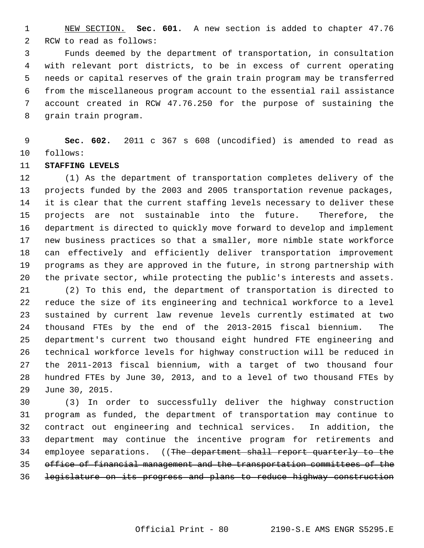1 NEW SECTION. **Sec. 601.** A new section is added to chapter 47.76 2 RCW to read as follows:

 3 Funds deemed by the department of transportation, in consultation 4 with relevant port districts, to be in excess of current operating 5 needs or capital reserves of the grain train program may be transferred 6 from the miscellaneous program account to the essential rail assistance 7 account created in RCW 47.76.250 for the purpose of sustaining the 8 grain train program.

 9 **Sec. 602.** 2011 c 367 s 608 (uncodified) is amended to read as 10 follows:

# 11 **STAFFING LEVELS**

12 (1) As the department of transportation completes delivery of the 13 projects funded by the 2003 and 2005 transportation revenue packages, 14 it is clear that the current staffing levels necessary to deliver these 15 projects are not sustainable into the future. Therefore, the 16 department is directed to quickly move forward to develop and implement 17 new business practices so that a smaller, more nimble state workforce 18 can effectively and efficiently deliver transportation improvement 19 programs as they are approved in the future, in strong partnership with 20 the private sector, while protecting the public's interests and assets.

21 (2) To this end, the department of transportation is directed to 22 reduce the size of its engineering and technical workforce to a level 23 sustained by current law revenue levels currently estimated at two 24 thousand FTEs by the end of the 2013-2015 fiscal biennium. The 25 department's current two thousand eight hundred FTE engineering and 26 technical workforce levels for highway construction will be reduced in 27 the 2011-2013 fiscal biennium, with a target of two thousand four 28 hundred FTEs by June 30, 2013, and to a level of two thousand FTEs by 29 June 30, 2015.

30 (3) In order to successfully deliver the highway construction 31 program as funded, the department of transportation may continue to 32 contract out engineering and technical services. In addition, the 33 department may continue the incentive program for retirements and 34 employee separations. ((The department shall report quarterly to the 35 office of financial management and the transportation committees of the 36 legislature on its progress and plans to reduce highway construction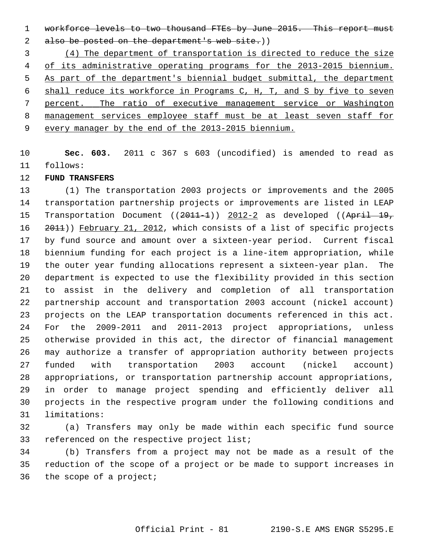1 workforce levels to two thousand FTEs by June 2015. This report must 2 also be posted on the department's web site.)

 (4) The department of transportation is directed to reduce the size of its administrative operating programs for the 2013-2015 biennium. As part of the department's biennial budget submittal, the department shall reduce its workforce in Programs C, H, T, and S by five to seven percent. The ratio of executive management service or Washington management services employee staff must be at least seven staff for every manager by the end of the 2013-2015 biennium.

10 **Sec. 603.** 2011 c 367 s 603 (uncodified) is amended to read as 11 follows:

# 12 **FUND TRANSFERS**

13 (1) The transportation 2003 projects or improvements and the 2005 14 transportation partnership projects or improvements are listed in LEAP 15 Transportation Document ((2011-1)) 2012-2 as developed ((April 19, 16 2011)) February 21, 2012, which consists of a list of specific projects 17 by fund source and amount over a sixteen-year period. Current fiscal 18 biennium funding for each project is a line-item appropriation, while 19 the outer year funding allocations represent a sixteen-year plan. The 20 department is expected to use the flexibility provided in this section 21 to assist in the delivery and completion of all transportation 22 partnership account and transportation 2003 account (nickel account) 23 projects on the LEAP transportation documents referenced in this act. 24 For the 2009-2011 and 2011-2013 project appropriations, unless 25 otherwise provided in this act, the director of financial management 26 may authorize a transfer of appropriation authority between projects 27 funded with transportation 2003 account (nickel account) 28 appropriations, or transportation partnership account appropriations, 29 in order to manage project spending and efficiently deliver all 30 projects in the respective program under the following conditions and 31 limitations:

32 (a) Transfers may only be made within each specific fund source 33 referenced on the respective project list;

34 (b) Transfers from a project may not be made as a result of the 35 reduction of the scope of a project or be made to support increases in 36 the scope of a project;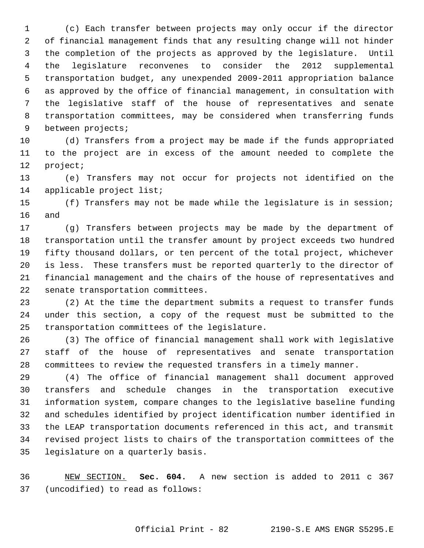1 (c) Each transfer between projects may only occur if the director 2 of financial management finds that any resulting change will not hinder 3 the completion of the projects as approved by the legislature. Until 4 the legislature reconvenes to consider the 2012 supplemental 5 transportation budget, any unexpended 2009-2011 appropriation balance 6 as approved by the office of financial management, in consultation with 7 the legislative staff of the house of representatives and senate 8 transportation committees, may be considered when transferring funds 9 between projects;

10 (d) Transfers from a project may be made if the funds appropriated 11 to the project are in excess of the amount needed to complete the 12 project;

13 (e) Transfers may not occur for projects not identified on the 14 applicable project list;

15 (f) Transfers may not be made while the legislature is in session; 16 and

17 (g) Transfers between projects may be made by the department of 18 transportation until the transfer amount by project exceeds two hundred 19 fifty thousand dollars, or ten percent of the total project, whichever 20 is less. These transfers must be reported quarterly to the director of 21 financial management and the chairs of the house of representatives and 22 senate transportation committees.

23 (2) At the time the department submits a request to transfer funds 24 under this section, a copy of the request must be submitted to the 25 transportation committees of the legislature.

26 (3) The office of financial management shall work with legislative 27 staff of the house of representatives and senate transportation 28 committees to review the requested transfers in a timely manner.

29 (4) The office of financial management shall document approved 30 transfers and schedule changes in the transportation executive 31 information system, compare changes to the legislative baseline funding 32 and schedules identified by project identification number identified in 33 the LEAP transportation documents referenced in this act, and transmit 34 revised project lists to chairs of the transportation committees of the 35 legislature on a quarterly basis.

36 NEW SECTION. **Sec. 604.** A new section is added to 2011 c 367 37 (uncodified) to read as follows: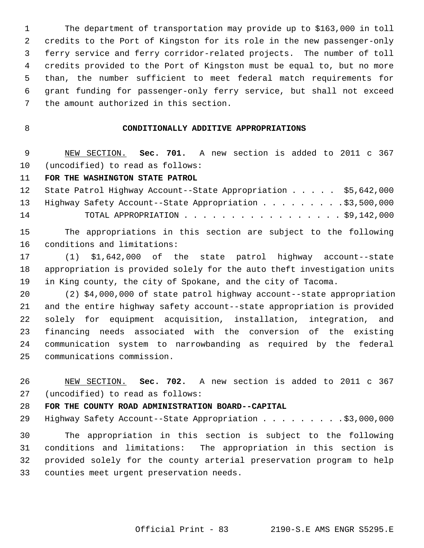1 The department of transportation may provide up to \$163,000 in toll 2 credits to the Port of Kingston for its role in the new passenger-only 3 ferry service and ferry corridor-related projects. The number of toll 4 credits provided to the Port of Kingston must be equal to, but no more 5 than, the number sufficient to meet federal match requirements for 6 grant funding for passenger-only ferry service, but shall not exceed 7 the amount authorized in this section.

# 8 **CONDITIONALLY ADDITIVE APPROPRIATIONS**

 9 NEW SECTION. **Sec. 701.** A new section is added to 2011 c 367 10 (uncodified) to read as follows:

#### 11 **FOR THE WASHINGTON STATE PATROL**

|    | 12 State Patrol Highway Account--State Appropriation \$5,642,000 |  |
|----|------------------------------------------------------------------|--|
|    | 13 Highway Safety Account--State Appropriation \$3,500,000       |  |
| 14 | TOTAL APPROPRIATION $\ldots$ , \$9,142,000                       |  |

15 The appropriations in this section are subject to the following 16 conditions and limitations:

17 (1) \$1,642,000 of the state patrol highway account--state 18 appropriation is provided solely for the auto theft investigation units 19 in King county, the city of Spokane, and the city of Tacoma.

20 (2) \$4,000,000 of state patrol highway account--state appropriation 21 and the entire highway safety account--state appropriation is provided 22 solely for equipment acquisition, installation, integration, and 23 financing needs associated with the conversion of the existing 24 communication system to narrowbanding as required by the federal 25 communications commission.

26 NEW SECTION. **Sec. 702.** A new section is added to 2011 c 367 27 (uncodified) to read as follows:

#### 28 **FOR THE COUNTY ROAD ADMINISTRATION BOARD--CAPITAL**

29 Highway Safety Account--State Appropriation . . . . . . . . . \$3,000,000

30 The appropriation in this section is subject to the following 31 conditions and limitations: The appropriation in this section is 32 provided solely for the county arterial preservation program to help 33 counties meet urgent preservation needs.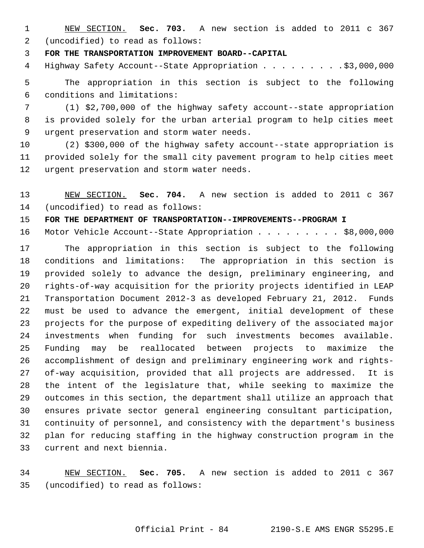1 NEW SECTION. **Sec. 703.** A new section is added to 2011 c 367 2 (uncodified) to read as follows:

3 **FOR THE TRANSPORTATION IMPROVEMENT BOARD--CAPITAL**

4 Highway Safety Account--State Appropriation . . . . . . . . \$3,000,000

 5 The appropriation in this section is subject to the following 6 conditions and limitations:

 7 (1) \$2,700,000 of the highway safety account--state appropriation 8 is provided solely for the urban arterial program to help cities meet 9 urgent preservation and storm water needs.

10 (2) \$300,000 of the highway safety account--state appropriation is 11 provided solely for the small city pavement program to help cities meet 12 urgent preservation and storm water needs.

13 NEW SECTION. **Sec. 704.** A new section is added to 2011 c 367 14 (uncodified) to read as follows:

15 **FOR THE DEPARTMENT OF TRANSPORTATION--IMPROVEMENTS--PROGRAM I**

16 Motor Vehicle Account--State Appropriation . . . . . . . . \$8,000,000

17 The appropriation in this section is subject to the following 18 conditions and limitations: The appropriation in this section is 19 provided solely to advance the design, preliminary engineering, and 20 rights-of-way acquisition for the priority projects identified in LEAP 21 Transportation Document 2012-3 as developed February 21, 2012. Funds 22 must be used to advance the emergent, initial development of these 23 projects for the purpose of expediting delivery of the associated major 24 investments when funding for such investments becomes available. 25 Funding may be reallocated between projects to maximize the 26 accomplishment of design and preliminary engineering work and rights-27 of-way acquisition, provided that all projects are addressed. It is 28 the intent of the legislature that, while seeking to maximize the 29 outcomes in this section, the department shall utilize an approach that 30 ensures private sector general engineering consultant participation, 31 continuity of personnel, and consistency with the department's business 32 plan for reducing staffing in the highway construction program in the 33 current and next biennia.

34 NEW SECTION. **Sec. 705.** A new section is added to 2011 c 367 35 (uncodified) to read as follows: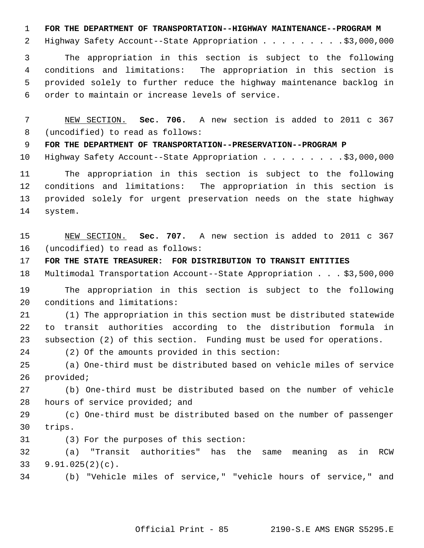1 **FOR THE DEPARTMENT OF TRANSPORTATION--HIGHWAY MAINTENANCE--PROGRAM M**

2 Highway Safety Account--State Appropriation . . . . . . . . . \$3,000,000

 3 The appropriation in this section is subject to the following 4 conditions and limitations: The appropriation in this section is 5 provided solely to further reduce the highway maintenance backlog in 6 order to maintain or increase levels of service.

 7 NEW SECTION. **Sec. 706.** A new section is added to 2011 c 367 8 (uncodified) to read as follows:

9 **FOR THE DEPARTMENT OF TRANSPORTATION--PRESERVATION--PROGRAM P**

10 Highway Safety Account--State Appropriation . . . . . . . . . \$3,000,000

11 The appropriation in this section is subject to the following 12 conditions and limitations: The appropriation in this section is 13 provided solely for urgent preservation needs on the state highway 14 system.

15 NEW SECTION. **Sec. 707.** A new section is added to 2011 c 367 16 (uncodified) to read as follows:

17 **FOR THE STATE TREASURER: FOR DISTRIBUTION TO TRANSIT ENTITIES**

18 Multimodal Transportation Account--State Appropriation . . . \$3,500,000

19 The appropriation in this section is subject to the following 20 conditions and limitations:

21 (1) The appropriation in this section must be distributed statewide 22 to transit authorities according to the distribution formula in 23 subsection (2) of this section. Funding must be used for operations.

24 (2) Of the amounts provided in this section:

25 (a) One-third must be distributed based on vehicle miles of service 26 provided;

27 (b) One-third must be distributed based on the number of vehicle 28 hours of service provided; and

29 (c) One-third must be distributed based on the number of passenger 30 trips.

31 (3) For the purposes of this section:

32 (a) "Transit authorities" has the same meaning as in RCW 33 9.91.025(2)(c).

34 (b) "Vehicle miles of service," "vehicle hours of service," and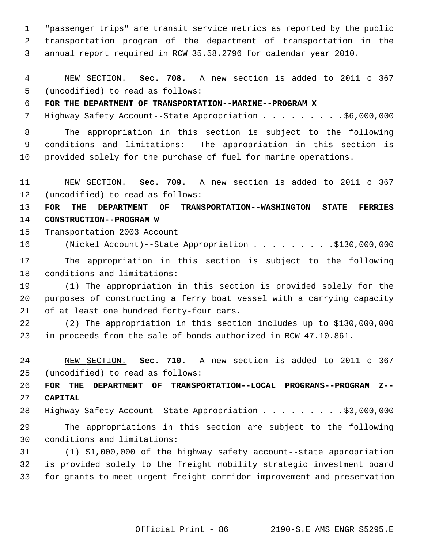1 "passenger trips" are transit service metrics as reported by the public 2 transportation program of the department of transportation in the 3 annual report required in RCW 35.58.2796 for calendar year 2010.

 4 NEW SECTION. **Sec. 708.** A new section is added to 2011 c 367 5 (uncodified) to read as follows:

## 6 **FOR THE DEPARTMENT OF TRANSPORTATION--MARINE--PROGRAM X**

7 Highway Safety Account--State Appropriation . . . . . . . . . \$6,000,000

 8 The appropriation in this section is subject to the following 9 conditions and limitations: The appropriation in this section is 10 provided solely for the purchase of fuel for marine operations.

11 NEW SECTION. **Sec. 709.** A new section is added to 2011 c 367 12 (uncodified) to read as follows:

13 **FOR THE DEPARTMENT OF TRANSPORTATION--WASHINGTON STATE FERRIES** 14 **CONSTRUCTION--PROGRAM W**

15 Transportation 2003 Account

16 (Nickel Account)--State Appropriation . . . . . . . . .\$130,000,000

17 The appropriation in this section is subject to the following 18 conditions and limitations:

19 (1) The appropriation in this section is provided solely for the 20 purposes of constructing a ferry boat vessel with a carrying capacity 21 of at least one hundred forty-four cars.

22 (2) The appropriation in this section includes up to \$130,000,000 23 in proceeds from the sale of bonds authorized in RCW 47.10.861.

24 NEW SECTION. **Sec. 710.** A new section is added to 2011 c 367 25 (uncodified) to read as follows:

26 **FOR THE DEPARTMENT OF TRANSPORTATION--LOCAL PROGRAMS--PROGRAM Z--** 27 **CAPITAL**

28 Highway Safety Account--State Appropriation . . . . . . . . \$3,000,000

29 The appropriations in this section are subject to the following 30 conditions and limitations:

31 (1) \$1,000,000 of the highway safety account--state appropriation 32 is provided solely to the freight mobility strategic investment board 33 for grants to meet urgent freight corridor improvement and preservation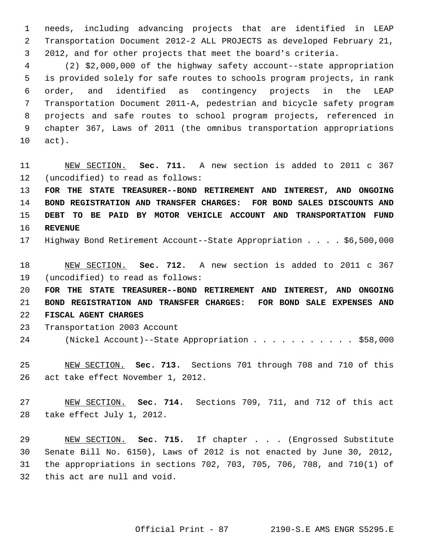1 needs, including advancing projects that are identified in LEAP 2 Transportation Document 2012-2 ALL PROJECTS as developed February 21, 3 2012, and for other projects that meet the board's criteria.

 4 (2) \$2,000,000 of the highway safety account--state appropriation 5 is provided solely for safe routes to schools program projects, in rank 6 order, and identified as contingency projects in the LEAP 7 Transportation Document 2011-A, pedestrian and bicycle safety program 8 projects and safe routes to school program projects, referenced in 9 chapter 367, Laws of 2011 (the omnibus transportation appropriations 10 act).

11 NEW SECTION. **Sec. 711.** A new section is added to 2011 c 367 12 (uncodified) to read as follows:

 **FOR THE STATE TREASURER--BOND RETIREMENT AND INTEREST, AND ONGOING BOND REGISTRATION AND TRANSFER CHARGES: FOR BOND SALES DISCOUNTS AND DEBT TO BE PAID BY MOTOR VEHICLE ACCOUNT AND TRANSPORTATION FUND** 16 **REVENUE**

17 Highway Bond Retirement Account--State Appropriation . . . . \$6,500,000

18 NEW SECTION. **Sec. 712.** A new section is added to 2011 c 367 19 (uncodified) to read as follows:

20 **FOR THE STATE TREASURER--BOND RETIREMENT AND INTEREST, AND ONGOING** 21 **BOND REGISTRATION AND TRANSFER CHARGES: FOR BOND SALE EXPENSES AND** 22 **FISCAL AGENT CHARGES**

- 23 Transportation 2003 Account
- 24 (Nickel Account)--State Appropriation . . . . . . . . . . . \$58,000

25 NEW SECTION. **Sec. 713.** Sections 701 through 708 and 710 of this 26 act take effect November 1, 2012.

27 NEW SECTION. **Sec. 714.** Sections 709, 711, and 712 of this act 28 take effect July 1, 2012.

29 NEW SECTION. **Sec. 715.** If chapter . . . (Engrossed Substitute 30 Senate Bill No. 6150), Laws of 2012 is not enacted by June 30, 2012, 31 the appropriations in sections 702, 703, 705, 706, 708, and 710(1) of 32 this act are null and void.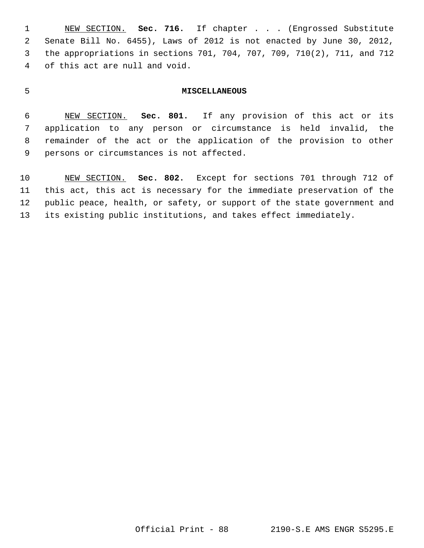1 NEW SECTION. **Sec. 716.** If chapter . . . (Engrossed Substitute 2 Senate Bill No. 6455), Laws of 2012 is not enacted by June 30, 2012, 3 the appropriations in sections 701, 704, 707, 709, 710(2), 711, and 712 4 of this act are null and void.

#### 5 **MISCELLANEOUS**

 6 NEW SECTION. **Sec. 801.** If any provision of this act or its 7 application to any person or circumstance is held invalid, the 8 remainder of the act or the application of the provision to other 9 persons or circumstances is not affected.

10 NEW SECTION. **Sec. 802.** Except for sections 701 through 712 of 11 this act, this act is necessary for the immediate preservation of the 12 public peace, health, or safety, or support of the state government and 13 its existing public institutions, and takes effect immediately.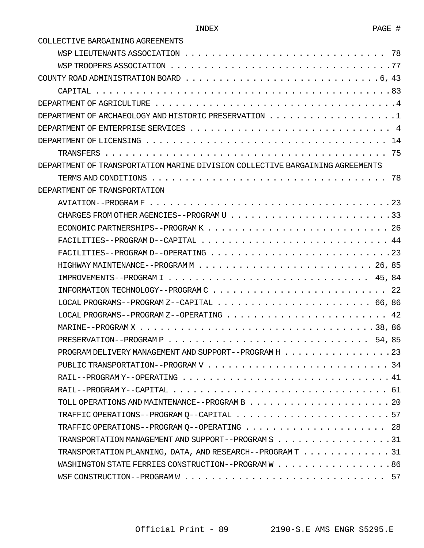COLLECTIVE BARGAINING AGREEMENTS

| COUNTY ROAD ADMINISTRATION BOARD $\ldots \ldots \ldots \ldots \ldots \ldots \ldots \ldots \ldots \ldots \ldots 6$ , 43 |
|------------------------------------------------------------------------------------------------------------------------|
|                                                                                                                        |
|                                                                                                                        |
|                                                                                                                        |
|                                                                                                                        |
| DEPARTMENT OF LICENSING $\dots\dots\dots\dots\dots\dots\dots\dots\dots\dots\dots\dots\dots\dots\dots\dots$             |
|                                                                                                                        |
| DEPARTMENT OF TRANSPORTATION MARINE DIVISION COLLECTIVE BARGAINING AGREEMENTS                                          |
|                                                                                                                        |
| DEPARTMENT OF TRANSPORTATION                                                                                           |
|                                                                                                                        |
|                                                                                                                        |
|                                                                                                                        |
|                                                                                                                        |
|                                                                                                                        |
|                                                                                                                        |
|                                                                                                                        |
|                                                                                                                        |
| LOCAL PROGRAMS--PROGRAM Z--CAPITAL $\dots \dots \dots \dots \dots \dots \dots \dots \dots \dots$ 66, 86                |
|                                                                                                                        |
|                                                                                                                        |
|                                                                                                                        |
| PROGRAM DELIVERY MANAGEMENT AND SUPPORT--PROGRAM H 23                                                                  |
|                                                                                                                        |
|                                                                                                                        |
|                                                                                                                        |
|                                                                                                                        |
|                                                                                                                        |
|                                                                                                                        |
| TRANSPORTATION MANAGEMENT AND SUPPORT--PROGRAM S 31                                                                    |
| TRANSPORTATION PLANNING, DATA, AND RESEARCH--PROGRAM $T :  :  :  : 31$                                                 |
| WASHINGTON STATE FERRIES CONSTRUCTION--PROGRAM W 86                                                                    |
|                                                                                                                        |
|                                                                                                                        |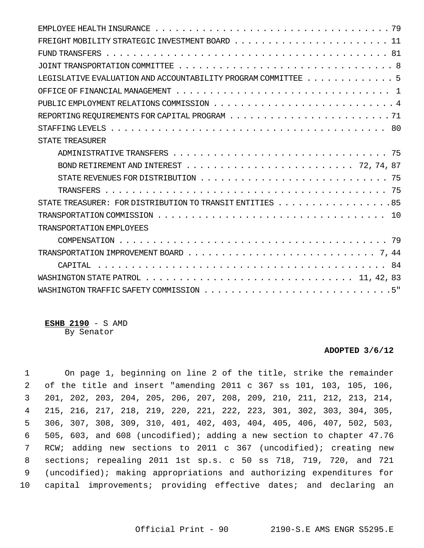| LEGISLATIVE EVALUATION AND ACCOUNTABILITY PROGRAM COMMITTEE 5 |  |
|---------------------------------------------------------------|--|
|                                                               |  |
|                                                               |  |
|                                                               |  |
|                                                               |  |
| <b>STATE TREASURER</b>                                        |  |
|                                                               |  |
|                                                               |  |
|                                                               |  |
|                                                               |  |
| STATE TREASURER: FOR DISTRIBUTION TO TRANSIT ENTITIES 85      |  |
|                                                               |  |
| TRANSPORTATION EMPLOYEES                                      |  |
|                                                               |  |
|                                                               |  |
|                                                               |  |
|                                                               |  |
|                                                               |  |

#### **ESHB 2190** - S AMD By Senator

#### **ADOPTED 3/6/12**

 1 On page 1, beginning on line 2 of the title, strike the remainder 2 of the title and insert "amending 2011 c 367 ss 101, 103, 105, 106, 3 201, 202, 203, 204, 205, 206, 207, 208, 209, 210, 211, 212, 213, 214, 4 215, 216, 217, 218, 219, 220, 221, 222, 223, 301, 302, 303, 304, 305, 5 306, 307, 308, 309, 310, 401, 402, 403, 404, 405, 406, 407, 502, 503, 6 505, 603, and 608 (uncodified); adding a new section to chapter 47.76 7 RCW; adding new sections to 2011 c 367 (uncodified); creating new 8 sections; repealing 2011 1st sp.s. c 50 ss 718, 719, 720, and 721 9 (uncodified); making appropriations and authorizing expenditures for 10 capital improvements; providing effective dates; and declaring an